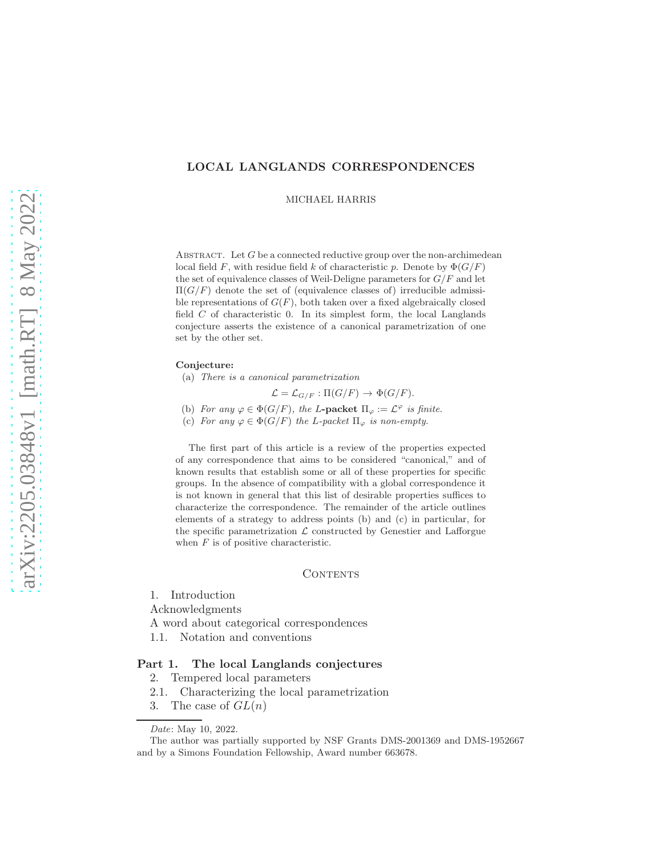# LOCAL LANGLANDS CORRESPONDENCES

MICHAEL HARRIS

ABSTRACT. Let  $G$  be a connected reductive group over the non-archimedean local field F, with residue field k of characteristic p. Denote by  $\Phi(G/F)$ the set of equivalence classes of Weil-Deligne parameters for  $G/F$  and let  $\Pi(G/F)$  denote the set of (equivalence classes of) irreducible admissible representations of  $G(F)$ , both taken over a fixed algebraically closed field  $C$  of characteristic 0. In its simplest form, the local Langlands conjecture asserts the existence of a canonical parametrization of one set by the other set.

#### Conjecture:

(a) There is a canonical parametrization

$$
\mathcal{L} = \mathcal{L}_{G/F} : \Pi(G/F) \to \Phi(G/F).
$$

- (b) For any  $\varphi \in \Phi(G/F)$ , the L-packet  $\Pi_{\varphi} := \mathcal{L}^{\varphi}$  is finite.
- (c) For any  $\varphi \in \Phi(G/F)$  the L-packet  $\Pi_{\varphi}$  is non-empty.

The first part of this article is a review of the properties expected of any correspondence that aims to be considered "canonical," and of known results that establish some or all of these properties for specific groups. In the absence of compatibility with a global correspondence it is not known in general that this list of desirable properties suffices to characterize the correspondence. The remainder of the article outlines elements of a strategy to address points (b) and (c) in particular, for the specific parametrization  $\mathcal L$  constructed by Genestier and Lafforgue when  $F$  is of positive characteristic.

### **CONTENTS**

1. Introduction

Acknowledgments

- A word about categorical correspondences
- 1.1. Notation and conventions

## Part 1. The local Langlands conjectures

- 2. Tempered local parameters
- 2.1. Characterizing the local parametrization
- 3. The case of  $GL(n)$

Date: May 10, 2022.

The author was partially supported by NSF Grants DMS-2001369 and DMS-1952667 and by a Simons Foundation Fellowship, Award number 663678.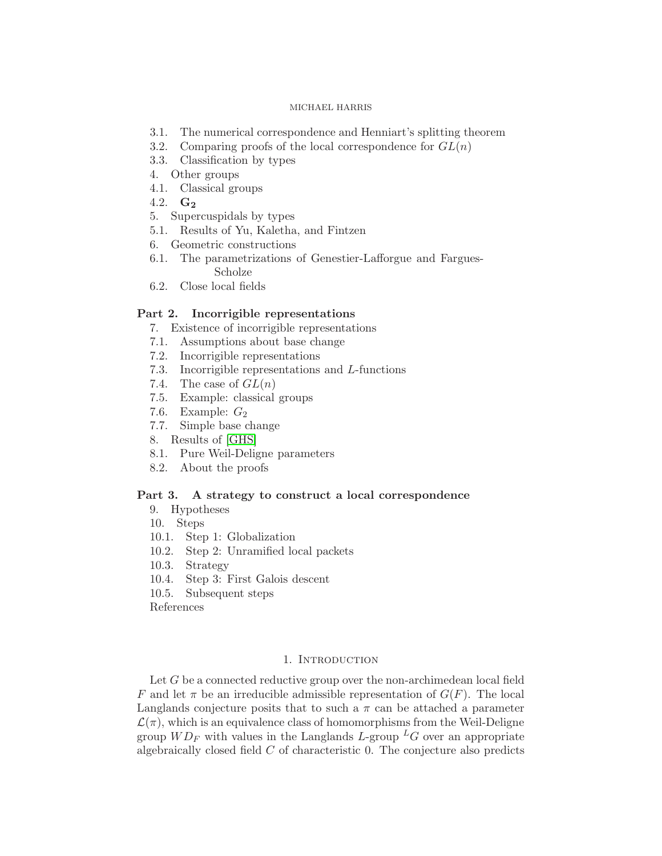- 3.1. The numerical correspondence and Henniart's splitting theorem
- 3.2. Comparing proofs of the local correspondence for  $GL(n)$
- 3.3. Classification by types
- 4. Other groups
- 4.1. Classical groups
- 4.2.  $G_2$
- 5. Supercuspidals by types
- 5.1. Results of Yu, Kaletha, and Fintzen
- 6. Geometric constructions
- 6.1. The parametrizations of Genestier-Lafforgue and Fargues-Scholze
- 6.2. Close local fields

## Part 2. Incorrigible representations

- 7. Existence of incorrigible representations
- 7.1. Assumptions about base change
- 7.2. Incorrigible representations
- 7.3. Incorrigible representations and L-functions
- 7.4. The case of  $GL(n)$
- 7.5. Example: classical groups
- 7.6. Example:  $G_2$
- 7.7. Simple base change
- 8. Results of [\[GHS\]](#page-49-0)
- 8.1. Pure Weil-Deligne parameters
- 8.2. About the proofs

## Part 3. A strategy to construct a local correspondence

- 9. Hypotheses
- 10. Steps
- 10.1. Step 1: Globalization
- 10.2. Step 2: Unramified local packets
- 10.3. Strategy
- 10.4. Step 3: First Galois descent
- 10.5. Subsequent steps

References

# 1. INTRODUCTION

Let G be a connected reductive group over the non-archimedean local field F and let  $\pi$  be an irreducible admissible representation of  $G(F)$ . The local Langlands conjecture posits that to such a  $\pi$  can be attached a parameter  $\mathcal{L}(\pi)$ , which is an equivalence class of homomorphisms from the Weil-Deligne group  $WD_F$  with values in the Langlands L-group  ${}^L G$  over an appropriate algebraically closed field C of characteristic 0. The conjecture also predicts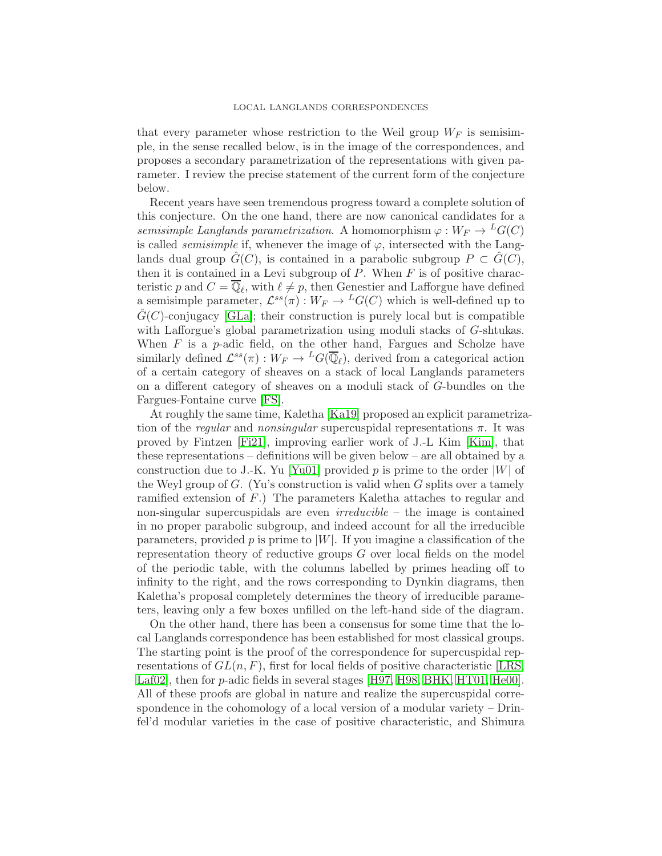### LOCAL LANGLANDS CORRESPONDENCES

that every parameter whose restriction to the Weil group  $W_F$  is semisimple, in the sense recalled below, is in the image of the correspondences, and proposes a secondary parametrization of the representations with given parameter. I review the precise statement of the current form of the conjecture below.

Recent years have seen tremendous progress toward a complete solution of this conjecture. On the one hand, there are now canonical candidates for a semisimple Langlands parametrization. A homomorphism  $\varphi: W_F \to {}^L G(C)$ is called *semisimple* if, whenever the image of  $\varphi$ , intersected with the Langlands dual group  $\tilde{G}(C)$ , is contained in a parabolic subgroup  $P \subset \tilde{G}(C)$ , then it is contained in a Levi subgroup of  $P$ . When  $F$  is of positive characteristic p and  $C = \mathbb{Q}_{\ell}$ , with  $\ell \neq p$ , then Genestier and Lafforgue have defined a semisimple parameter,  $\mathcal{L}^{ss}(\pi): W_F \to {}^L G(C)$  which is well-defined up to  $G(C)$ -conjugacy [\[GLa\]](#page-49-1); their construction is purely local but is compatible with Lafforgue's global parametrization using moduli stacks of G-shtukas. When  $F$  is a p-adic field, on the other hand, Fargues and Scholze have similarly defined  $\mathcal{L}^{ss}(\pi): W_F \to {}^L G(\overline{\mathbb{Q}}_{\ell}),$  derived from a categorical action of a certain category of sheaves on a stack of local Langlands parameters on a different category of sheaves on a moduli stack of G-bundles on the Fargues-Fontaine curve [\[FS\]](#page-49-2).

At roughly the same time, Kaletha [\[Ka19\]](#page-50-0) proposed an explicit parametrization of the *regular* and *nonsingular* supercuspidal representations  $\pi$ . It was proved by Fintzen [\[Fi21\]](#page-49-3), improving earlier work of J.-L Kim [\[Kim\]](#page-50-1), that these representations – definitions will be given below – are all obtained by a construction due to J.-K. Yu [\[Yu01\]](#page-51-0) provided p is prime to the order  $|W|$  of the Weyl group of  $G$ . (Yu's construction is valid when  $G$  splits over a tamely ramified extension of F.) The parameters Kaletha attaches to regular and non-singular supercuspidals are even  $irreducible$  – the image is contained in no proper parabolic subgroup, and indeed account for all the irreducible parameters, provided  $p$  is prime to |W|. If you imagine a classification of the representation theory of reductive groups G over local fields on the model of the periodic table, with the columns labelled by primes heading off to infinity to the right, and the rows corresponding to Dynkin diagrams, then Kaletha's proposal completely determines the theory of irreducible parameters, leaving only a few boxes unfilled on the left-hand side of the diagram.

On the other hand, there has been a consensus for some time that the local Langlands correspondence has been established for most classical groups. The starting point is the proof of the correspondence for supercuspidal representations of  $GL(n, F)$ , first for local fields of positive characteristic [\[LRS,](#page-51-1) Laf02, then for p-adic fields in several stages [\[H97,](#page-49-4) [H98,](#page-49-5) [BHK,](#page-48-0) [HT01,](#page-49-6) [He00\]](#page-49-7). All of these proofs are global in nature and realize the supercuspidal correspondence in the cohomology of a local version of a modular variety – Drinfel'd modular varieties in the case of positive characteristic, and Shimura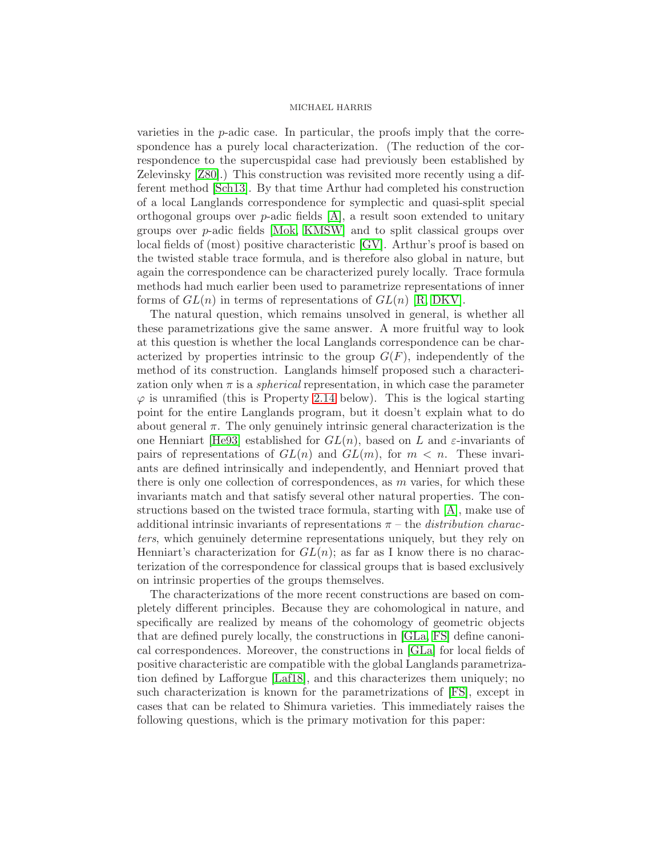varieties in the  $p$ -adic case. In particular, the proofs imply that the correspondence has a purely local characterization. (The reduction of the correspondence to the supercuspidal case had previously been established by Zelevinsky [\[Z80\]](#page-51-2).) This construction was revisited more recently using a different method [\[Sch13\]](#page-51-3). By that time Arthur had completed his construction of a local Langlands correspondence for symplectic and quasi-split special orthogonal groups over  $p$ -adic fields  $[A]$ , a result soon extended to unitary groups over p-adic fields [\[Mok,](#page-51-4) [KMSW\]](#page-50-3) and to split classical groups over local fields of (most) positive characteristic [\[GV\]](#page-49-8). Arthur's proof is based on the twisted stable trace formula, and is therefore also global in nature, but again the correspondence can be characterized purely locally. Trace formula methods had much earlier been used to parametrize representations of inner forms of  $GL(n)$  in terms of representations of  $GL(n)$  [\[R,](#page-51-5) [DKV\]](#page-49-9).

The natural question, which remains unsolved in general, is whether all these parametrizations give the same answer. A more fruitful way to look at this question is whether the local Langlands correspondence can be characterized by properties intrinsic to the group  $G(F)$ , independently of the method of its construction. Langlands himself proposed such a characterization only when  $\pi$  is a *spherical* representation, in which case the parameter  $\varphi$  is unramified (this is Property [2.14](#page-12-0) below). This is the logical starting point for the entire Langlands program, but it doesn't explain what to do about general  $\pi$ . The only genuinely intrinsic general characterization is the one Henniart [\[He93\]](#page-49-10) established for  $GL(n)$ , based on L and  $\varepsilon$ -invariants of pairs of representations of  $GL(n)$  and  $GL(m)$ , for  $m < n$ . These invariants are defined intrinsically and independently, and Henniart proved that there is only one collection of correspondences, as  $m$  varies, for which these invariants match and that satisfy several other natural properties. The constructions based on the twisted trace formula, starting with [\[A\]](#page-48-1), make use of additional intrinsic invariants of representations  $\pi$  – the *distribution charac*ters, which genuinely determine representations uniquely, but they rely on Henniart's characterization for  $GL(n)$ ; as far as I know there is no characterization of the correspondence for classical groups that is based exclusively on intrinsic properties of the groups themselves.

The characterizations of the more recent constructions are based on completely different principles. Because they are cohomological in nature, and specifically are realized by means of the cohomology of geometric objects that are defined purely locally, the constructions in [\[GLa,](#page-49-1) [FS\]](#page-49-2) define canonical correspondences. Moreover, the constructions in [\[GLa\]](#page-49-1) for local fields of positive characteristic are compatible with the global Langlands parametrization defined by Lafforgue [\[Laf18\]](#page-50-4), and this characterizes them uniquely; no such characterization is known for the parametrizations of [\[FS\]](#page-49-2), except in cases that can be related to Shimura varieties. This immediately raises the following questions, which is the primary motivation for this paper: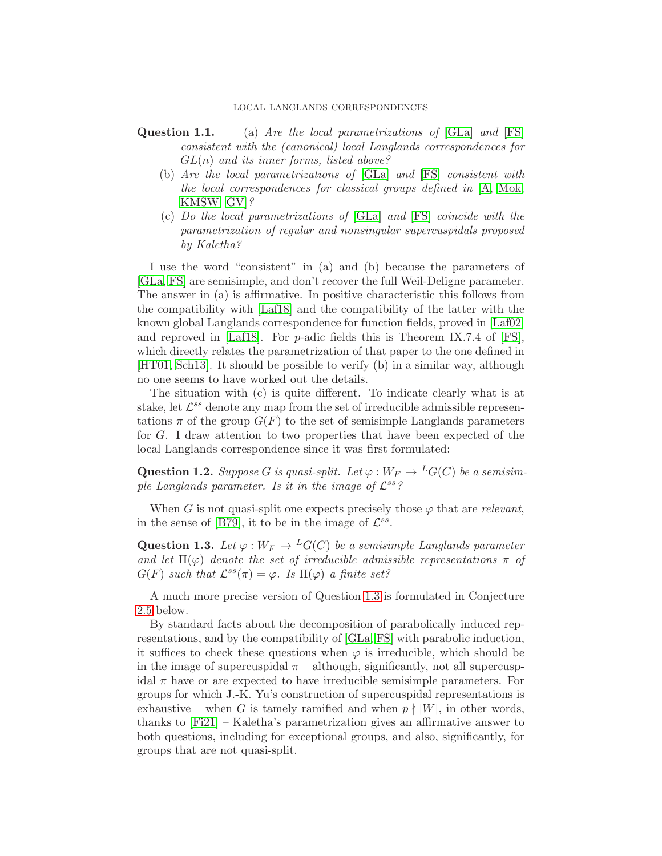### LOCAL LANGLANDS CORRESPONDENCES

- Question 1.1. (a) Are the local parametrizations of [\[GLa\]](#page-49-1) and [\[FS\]](#page-49-2) consistent with the (canonical) local Langlands correspondences for  $GL(n)$  and its inner forms, listed above?
	- (b) Are the local parametrizations of [\[GLa\]](#page-49-1) and [\[FS\]](#page-49-2) consistent with the local correspondences for classical groups defined in [\[A,](#page-48-1) [Mok,](#page-51-4) [KMSW,](#page-50-3) [GV\]](#page-49-8)?
	- (c) Do the local parametrizations of [\[GLa\]](#page-49-1) and [\[FS\]](#page-49-2) coincide with the parametrization of regular and nonsingular supercuspidals proposed by Kaletha?

I use the word "consistent" in (a) and (b) because the parameters of [\[GLa,](#page-49-1) [FS\]](#page-49-2) are semisimple, and don't recover the full Weil-Deligne parameter. The answer in (a) is affirmative. In positive characteristic this follows from the compatibility with [\[Laf18\]](#page-50-4) and the compatibility of the latter with the known global Langlands correspondence for function fields, proved in [\[Laf02\]](#page-50-2) and reproved in [\[Laf18\]](#page-50-4). For p-adic fields this is Theorem IX.7.4 of [\[FS\]](#page-49-2), which directly relates the parametrization of that paper to the one defined in [\[HT01,](#page-49-6) [Sch13\]](#page-51-3). It should be possible to verify (b) in a similar way, although no one seems to have worked out the details.

The situation with (c) is quite different. To indicate clearly what is at stake, let  $\mathcal{L}^{ss}$  denote any map from the set of irreducible admissible representations  $\pi$  of the group  $G(F)$  to the set of semisimple Langlands parameters for G. I draw attention to two properties that have been expected of the local Langlands correspondence since it was first formulated:

<span id="page-4-1"></span>**Question 1.2.** Suppose G is quasi-split. Let  $\varphi : W_F \to {}^L G(C)$  be a semisimple Langlands parameter. Is it in the image of  $\mathcal{L}^{ss}$ ?

When G is not quasi-split one expects precisely those  $\varphi$  that are relevant, in the sense of [\[B79\]](#page-48-2), it to be in the image of  $\mathcal{L}^{ss}$ .

<span id="page-4-0"></span>**Question 1.3.** Let  $\varphi: W_F \to {}^L G(C)$  be a semisimple Langlands parameter and let  $\Pi(\varphi)$  denote the set of irreducible admissible representations  $\pi$  of  $G(F)$  such that  $\mathcal{L}^{ss}(\pi) = \varphi$ . Is  $\Pi(\varphi)$  a finite set?

A much more precise version of Question [1.3](#page-4-0) is formulated in Conjecture [2.5](#page-9-0) below.

By standard facts about the decomposition of parabolically induced representations, and by the compatibility of [\[GLa,](#page-49-1) [FS\]](#page-49-2) with parabolic induction, it suffices to check these questions when  $\varphi$  is irreducible, which should be in the image of supercuspidal  $\pi$  – although, significantly, not all supercuspidal  $\pi$  have or are expected to have irreducible semisimple parameters. For groups for which J.-K. Yu's construction of supercuspidal representations is exhaustive – when G is tamely ramified and when  $p \nmid |W|$ , in other words, thanks to [\[Fi21\]](#page-49-3) – Kaletha's parametrization gives an affirmative answer to both questions, including for exceptional groups, and also, significantly, for groups that are not quasi-split.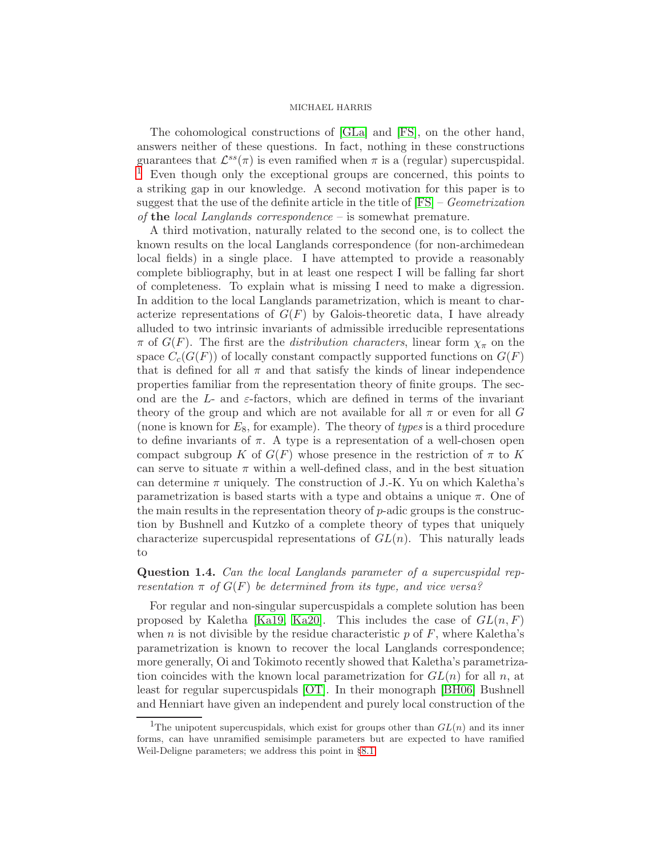The cohomological constructions of [\[GLa\]](#page-49-1) and [\[FS\]](#page-49-2), on the other hand, answers neither of these questions. In fact, nothing in these constructions guarantees that  $\mathcal{L}^{ss}(\pi)$  is even ramified when  $\pi$  is a (regular) supercuspidal. Even though only the exceptional groups are concerned, this points to a striking gap in our knowledge. A second motivation for this paper is to suggest that the use of the definite article in the title of  $[FS]$  – *Geometrization* of the local Langlands correspondence  $-$  is somewhat premature.

A third motivation, naturally related to the second one, is to collect the known results on the local Langlands correspondence (for non-archimedean local fields) in a single place. I have attempted to provide a reasonably complete bibliography, but in at least one respect I will be falling far short of completeness. To explain what is missing I need to make a digression. In addition to the local Langlands parametrization, which is meant to characterize representations of  $G(F)$  by Galois-theoretic data, I have already alluded to two intrinsic invariants of admissible irreducible representations  $\pi$  of  $G(F)$ . The first are the *distribution characters*, linear form  $\chi_{\pi}$  on the space  $C_c(G(F))$  of locally constant compactly supported functions on  $G(F)$ that is defined for all  $\pi$  and that satisfy the kinds of linear independence properties familiar from the representation theory of finite groups. The second are the L- and  $\varepsilon$ -factors, which are defined in terms of the invariant theory of the group and which are not available for all  $\pi$  or even for all G (none is known for  $E_8$ , for example). The theory of types is a third procedure to define invariants of  $\pi$ . A type is a representation of a well-chosen open compact subgroup K of  $G(F)$  whose presence in the restriction of  $\pi$  to K can serve to situate  $\pi$  within a well-defined class, and in the best situation can determine  $\pi$  uniquely. The construction of J.-K. Yu on which Kaletha's parametrization is based starts with a type and obtains a unique  $\pi$ . One of the main results in the representation theory of  $p$ -adic groups is the construction by Bushnell and Kutzko of a complete theory of types that uniquely characterize supercuspidal representations of  $GL(n)$ . This naturally leads to

## Question 1.4. Can the local Langlands parameter of a supercuspidal representation  $\pi$  of  $G(F)$  be determined from its type, and vice versa?

For regular and non-singular supercuspidals a complete solution has been proposed by Kaletha [\[Ka19,](#page-50-0) [Ka20\]](#page-50-5). This includes the case of  $GL(n, F)$ when n is not divisible by the residue characteristic p of  $F$ , where Kaletha's parametrization is known to recover the local Langlands correspondence; more generally, Oi and Tokimoto recently showed that Kaletha's parametrization coincides with the known local parametrization for  $GL(n)$  for all n, at least for regular supercuspidals [\[OT\]](#page-51-6). In their monograph [\[BH06\]](#page-48-3) Bushnell and Henniart have given an independent and purely local construction of the

<span id="page-5-0"></span><sup>&</sup>lt;sup>1</sup>The unipotent supercuspidals, which exist for groups other than  $GL(n)$  and its inner forms, can have unramified semisimple parameters but are expected to have ramified Weil-Deligne parameters; we address this point in §[8.1.](#page-41-0)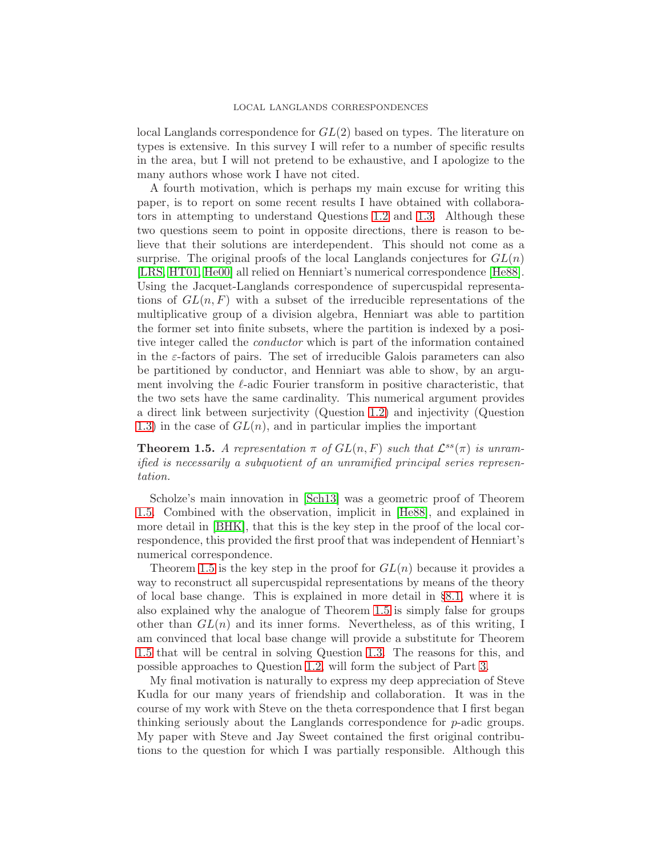local Langlands correspondence for GL(2) based on types. The literature on types is extensive. In this survey I will refer to a number of specific results in the area, but I will not pretend to be exhaustive, and I apologize to the many authors whose work I have not cited.

A fourth motivation, which is perhaps my main excuse for writing this paper, is to report on some recent results I have obtained with collaborators in attempting to understand Questions [1.2](#page-4-1) and [1.3.](#page-4-0) Although these two questions seem to point in opposite directions, there is reason to believe that their solutions are interdependent. This should not come as a surprise. The original proofs of the local Langlands conjectures for  $GL(n)$ [\[LRS,](#page-51-1) [HT01,](#page-49-6) [He00\]](#page-49-7) all relied on Henniart's numerical correspondence [\[He88\]](#page-49-11). Using the Jacquet-Langlands correspondence of supercuspidal representations of  $GL(n, F)$  with a subset of the irreducible representations of the multiplicative group of a division algebra, Henniart was able to partition the former set into finite subsets, where the partition is indexed by a positive integer called the conductor which is part of the information contained in the  $\varepsilon$ -factors of pairs. The set of irreducible Galois parameters can also be partitioned by conductor, and Henniart was able to show, by an argument involving the  $\ell$ -adic Fourier transform in positive characteristic, that the two sets have the same cardinality. This numerical argument provides a direct link between surjectivity (Question [1.2\)](#page-4-1) and injectivity (Question [1.3\)](#page-4-0) in the case of  $GL(n)$ , and in particular implies the important

<span id="page-6-0"></span>**Theorem 1.5.** A representation  $\pi$  of  $GL(n, F)$  such that  $\mathcal{L}^{ss}(\pi)$  is unramified is necessarily a subquotient of an unramified principal series representation.

Scholze's main innovation in [\[Sch13\]](#page-51-3) was a geometric proof of Theorem [1.5.](#page-6-0) Combined with the observation, implicit in [\[He88\]](#page-49-11), and explained in more detail in [\[BHK\]](#page-48-0), that this is the key step in the proof of the local correspondence, this provided the first proof that was independent of Henniart's numerical correspondence.

Theorem [1.5](#page-6-0) is the key step in the proof for  $GL(n)$  because it provides a way to reconstruct all supercuspidal representations by means of the theory of local base change. This is explained in more detail in §[8.1,](#page-41-0) where it is also explained why the analogue of Theorem [1.5](#page-6-0) is simply false for groups other than  $GL(n)$  and its inner forms. Nevertheless, as of this writing, I am convinced that local base change will provide a substitute for Theorem [1.5](#page-6-0) that will be central in solving Question [1.3.](#page-4-0) The reasons for this, and possible approaches to Question [1.2,](#page-4-1) will form the subject of Part [3.](#page-44-0)

My final motivation is naturally to express my deep appreciation of Steve Kudla for our many years of friendship and collaboration. It was in the course of my work with Steve on the theta correspondence that I first began thinking seriously about the Langlands correspondence for p-adic groups. My paper with Steve and Jay Sweet contained the first original contributions to the question for which I was partially responsible. Although this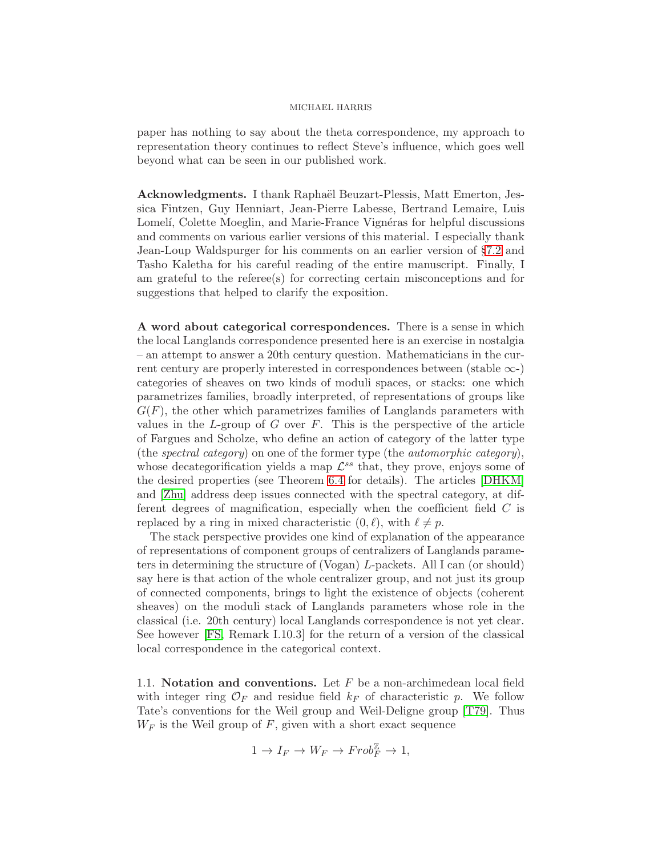paper has nothing to say about the theta correspondence, my approach to representation theory continues to reflect Steve's influence, which goes well beyond what can be seen in our published work.

Acknowledgments. I thank Raphaël Beuzart-Plessis, Matt Emerton, Jessica Fintzen, Guy Henniart, Jean-Pierre Labesse, Bertrand Lemaire, Luis Lomelí, Colette Moeglin, and Marie-France Vignéras for helpful discussions and comments on various earlier versions of this material. I especially thank Jean-Loup Waldspurger for his comments on an earlier version of §[7.2](#page-31-0) and Tasho Kaletha for his careful reading of the entire manuscript. Finally, I am grateful to the referee(s) for correcting certain misconceptions and for suggestions that helped to clarify the exposition.

A word about categorical correspondences. There is a sense in which the local Langlands correspondence presented here is an exercise in nostalgia – an attempt to answer a 20th century question. Mathematicians in the current century are properly interested in correspondences between (stable  $\infty$ -) categories of sheaves on two kinds of moduli spaces, or stacks: one which parametrizes families, broadly interpreted, of representations of groups like  $G(F)$ , the other which parametrizes families of Langlands parameters with values in the L-group of G over  $F$ . This is the perspective of the article of Fargues and Scholze, who define an action of category of the latter type (the spectral category) on one of the former type (the *automorphic category*), whose decategorification yields a map  $\mathcal{L}^{ss}$  that, they prove, enjoys some of the desired properties (see Theorem [6.4](#page-27-0) for details). The articles [\[DHKM\]](#page-48-4) and [\[Zhu\]](#page-52-0) address deep issues connected with the spectral category, at different degrees of magnification, especially when the coefficient field C is replaced by a ring in mixed characteristic  $(0, \ell)$ , with  $\ell \neq p$ .

The stack perspective provides one kind of explanation of the appearance of representations of component groups of centralizers of Langlands parameters in determining the structure of (Vogan) L-packets. All I can (or should) say here is that action of the whole centralizer group, and not just its group of connected components, brings to light the existence of objects (coherent sheaves) on the moduli stack of Langlands parameters whose role in the classical (i.e. 20th century) local Langlands correspondence is not yet clear. See however [\[FS,](#page-49-2) Remark I.10.3] for the return of a version of the classical local correspondence in the categorical context.

1.1. Notation and conventions. Let  $F$  be a non-archimedean local field with integer ring  $\mathcal{O}_F$  and residue field  $k_F$  of characteristic p. We follow Tate's conventions for the Weil group and Weil-Deligne group [\[T79\]](#page-51-7). Thus  $W_F$  is the Weil group of  $F$ , given with a short exact sequence

$$
1 \to I_F \to W_F \to \text{Frob}_F^{\mathbb{Z}} \to 1,
$$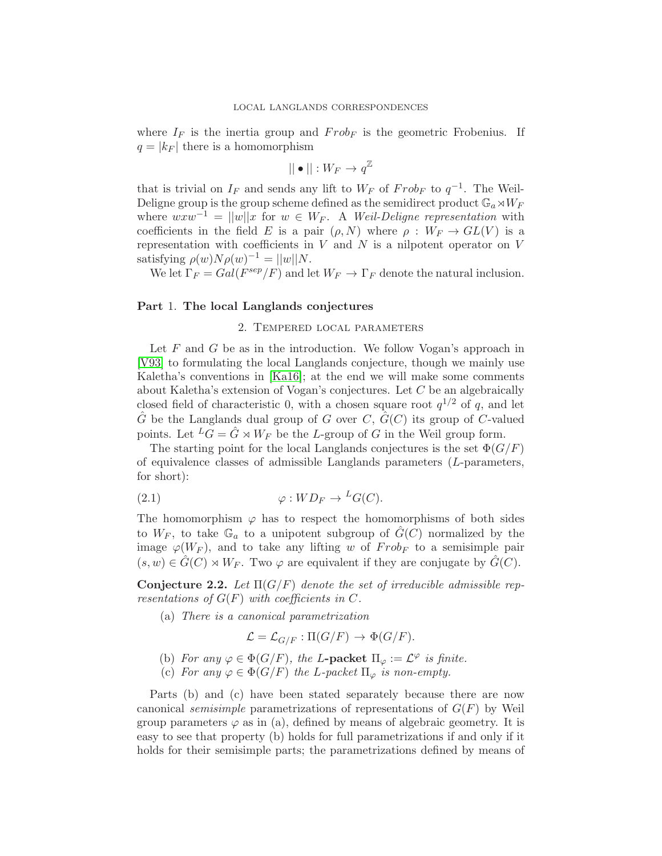where  $I_F$  is the inertia group and  $Frob_F$  is the geometric Frobenius. If  $q = |k_F|$  there is a homomorphism

$$
||\bullet||:W_F\to q^{\mathbb{Z}}
$$

that is trivial on  $I_F$  and sends any lift to  $W_F$  of  $Frob_F$  to  $q^{-1}$ . The Weil-Deligne group is the group scheme defined as the semidirect product  $\mathbb{G}_a \rtimes W_F$ where  $w x w^{-1} = ||w||x$  for  $w \in W_F$ . A Weil-Deligne representation with coefficients in the field E is a pair  $(\rho, N)$  where  $\rho : W_F \to GL(V)$  is a representation with coefficients in  $V$  and  $N$  is a nilpotent operator on  $V$ satisfying  $\rho(w)N\rho(w)^{-1} = ||w||N$ .

We let  $\Gamma_F = Gal(F^{sep}/F)$  and let  $W_F \to \Gamma_F$  denote the natural inclusion.

## <span id="page-8-1"></span>Part 1. The local Langlands conjectures

## 2. Tempered local parameters

Let  $F$  and  $G$  be as in the introduction. We follow Vogan's approach in [\[V93\]](#page-51-8) to formulating the local Langlands conjecture, though we mainly use Kaletha's conventions in [\[Ka16\]](#page-50-6); at the end we will make some comments about Kaletha's extension of Vogan's conjectures. Let  $C$  be an algebraically closed field of characteristic 0, with a chosen square root  $q^{1/2}$  of q, and let  $\hat{G}$  be the Langlands dual group of G over C,  $\hat{G}(C)$  its group of C-valued points. Let  ${}^L G = \hat{G} \rtimes W_F$  be the L-group of G in the Weil group form.

The starting point for the local Langlands conjectures is the set  $\Phi(G/F)$ of equivalence classes of admissible Langlands parameters (L-parameters, for short):

<span id="page-8-2"></span>(2.1) 
$$
\varphi: WD_F \to {}^L G(C).
$$

The homomorphism  $\varphi$  has to respect the homomorphisms of both sides to  $W_F$ , to take  $\mathbb{G}_a$  to a unipotent subgroup of  $G(C)$  normalized by the image  $\varphi(W_F)$ , and to take any lifting w of  $Frob_F$  to a semisimple pair  $(s, w) \in G(C) \rtimes W_F$ . Two  $\varphi$  are equivalent if they are conjugate by  $G(C)$ .

<span id="page-8-0"></span>Conjecture 2.2. Let  $\Pi(G/F)$  denote the set of irreducible admissible representations of  $G(F)$  with coefficients in C.

(a) There is a canonical parametrization

$$
\mathcal{L} = \mathcal{L}_{G/F} : \Pi(G/F) \to \Phi(G/F).
$$

- (b) For any  $\varphi \in \Phi(G/F)$ , the L-packet  $\Pi_{\varphi} := \mathcal{L}^{\varphi}$  is finite.
- (c) For any  $\varphi \in \Phi(G/F)$  the L-packet  $\Pi_{\varphi}$  is non-empty.

Parts (b) and (c) have been stated separately because there are now canonical *semisimple* parametrizations of representations of  $G(F)$  by Weil group parameters  $\varphi$  as in (a), defined by means of algebraic geometry. It is easy to see that property (b) holds for full parametrizations if and only if it holds for their semisimple parts; the parametrizations defined by means of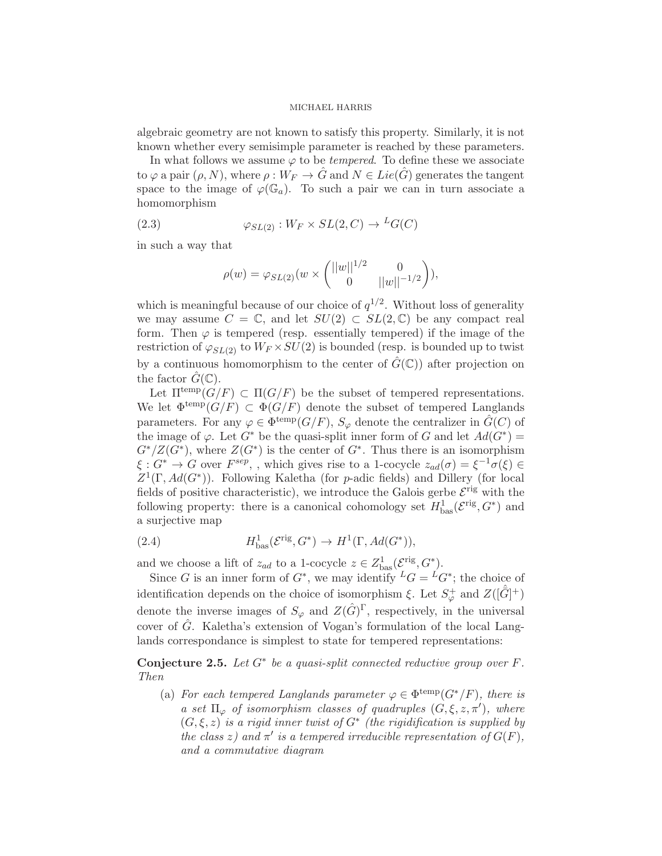algebraic geometry are not known to satisfy this property. Similarly, it is not known whether every semisimple parameter is reached by these parameters.

In what follows we assume  $\varphi$  to be *tempered*. To define these we associate to  $\varphi$  a pair  $(\rho, N)$ , where  $\rho: W_F \to \hat{G}$  and  $N \in Lie(\hat{G})$  generates the tangent space to the image of  $\varphi(\mathbb{G}_a)$ . To such a pair we can in turn associate a homomorphism

(2.3) 
$$
\varphi_{SL(2)} : W_F \times SL(2, C) \to {}^L G(C)
$$

in such a way that

<span id="page-9-1"></span>
$$
\rho(w) = \varphi_{SL(2)}(w \times \begin{pmatrix} ||w||^{1/2} & 0 \\ 0 & ||w||^{-1/2} \end{pmatrix}),
$$

which is meaningful because of our choice of  $q^{1/2}$ . Without loss of generality we may assume  $C = \mathbb{C}$ , and let  $SU(2) \subset SL(2,\mathbb{C})$  be any compact real form. Then  $\varphi$  is tempered (resp. essentially tempered) if the image of the restriction of  $\varphi_{SL(2)}$  to  $W_F \times SU(2)$  is bounded (resp. is bounded up to twist by a continuous homomorphism to the center of  $\hat{G}(\mathbb{C})$  after projection on the factor  $\tilde{G}(\mathbb{C})$ .

Let  $\Pi^{\text{temp}}(G/F) \subset \Pi(G/F)$  be the subset of tempered representations. We let  $\Phi^{\text{temp}}(G/F) \subset \Phi(G/F)$  denote the subset of tempered Langlands parameters. For any  $\varphi \in \Phi^{\text{temp}}(G/F)$ ,  $S_{\varphi}$  denote the centralizer in  $\hat{G}(C)$  of the image of  $\varphi$ . Let  $G^*$  be the quasi-split inner form of G and let  $Ad(G^*)$  =  $G^*/Z(G^*)$ , where  $Z(G^*)$  is the center of  $G^*$ . Thus there is an isomorphism  $\xi: G^* \to G$  over  $F^{sep}$ , , which gives rise to a 1-cocycle  $z_{ad}(\sigma) = \xi^{-1} \sigma(\xi) \in$  $Z^1(\Gamma, Ad(G^*))$ . Following Kaletha (for p-adic fields) and Dillery (for local fields of positive characteristic), we introduce the Galois gerbe  $\mathcal{E}^{\text{rig}}$  with the following property: there is a canonical cohomology set  $H_{\text{bas}}^1(\mathcal{E}^{\text{rig}}, G^*)$  and a surjective map

(2.4) 
$$
H^1_{\text{bas}}(\mathcal{E}^{\text{rig}}, G^*) \to H^1(\Gamma, Ad(G^*)),
$$

and we choose a lift of  $z_{ad}$  to a 1-cocycle  $z \in Z_{\text{bas}}^1(\mathcal{E}^{\text{rig}}, G^*)$ .

Since G is an inner form of  $G^*$ , we may identify  ${}^L G = {}^L G^*$ ; the choice of identification depends on the choice of isomorphism  $\xi$ . Let  $S^+_{\varphi}$  and  $Z([\hat{G}]^+)$ denote the inverse images of  $S_{\varphi}$  and  $Z(\hat{G})^{\Gamma}$ , respectively, in the universal cover of  $\hat{G}$ . Kaletha's extension of Vogan's formulation of the local Langlands correspondance is simplest to state for tempered representations:

<span id="page-9-0"></span>Conjecture 2.5. Let  $G^*$  be a quasi-split connected reductive group over  $F$ . Then

(a) For each tempered Langlands parameter  $\varphi \in \Phi^{\text{temp}}(G^*/F)$ , there is a set  $\Pi_{\varphi}$  of isomorphism classes of quadruples  $(G, \xi, z, \pi')$ , where  $(G, \xi, z)$  is a rigid inner twist of  $G^*$  (the rigidification is supplied by the class z) and  $\pi'$  is a tempered irreducible representation of  $G(F)$ , and a commutative diagram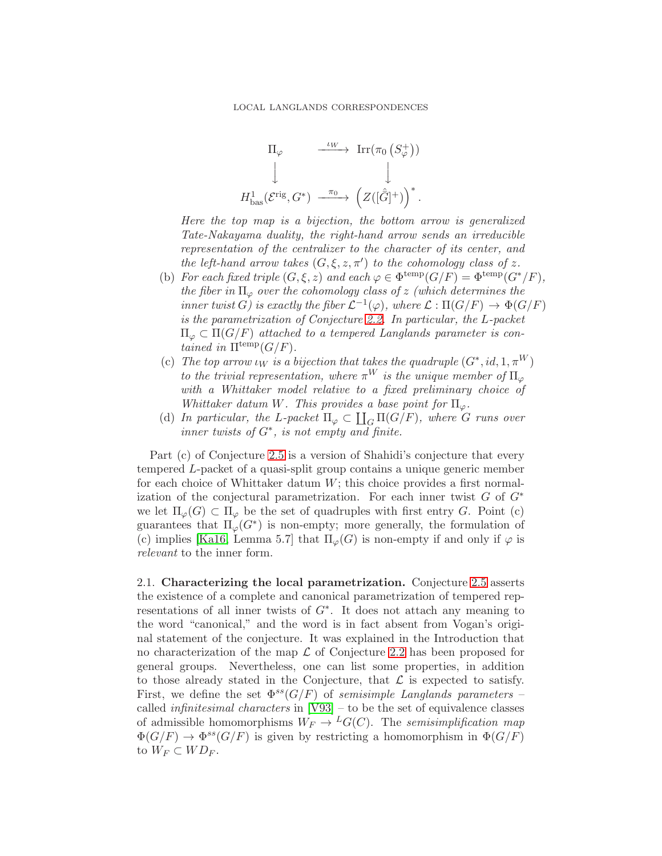$$
\Pi_{\varphi} \xrightarrow{\iota_W} \operatorname{Irr}(\pi_0 \left( S_{\varphi}^+ \right))
$$
\n
$$
\downarrow \qquad \qquad \downarrow
$$
\n
$$
H^1_{\text{bas}}(\mathcal{E}^{\text{rig}}, G^*) \xrightarrow{\pi_0} \left( Z([\hat{G}]^+ ) \right)^*.
$$

Here the top map is a bijection, the bottom arrow is generalized Tate-Nakayama duality, the right-hand arrow sends an irreducible representation of the centralizer to the character of its center, and the left-hand arrow takes  $(G, \xi, z, \pi')$  to the cohomology class of z.

- (b) For each fixed triple  $(G, \xi, z)$  and each  $\varphi \in \Phi^{\text{temp}}(G/F) = \Phi^{\text{temp}}(G^*/F)$ , the fiber in  $\Pi_{\varphi}$  over the cohomology class of z (which determines the inner twist  $G\acute{}$  is exactly the fiber  $\mathcal{L}^{-1}(\varphi)$ , where  $\mathcal{L}:\Pi(G/F)\rightarrow \Phi(G/F)$ is the parametrization of Conjecture [2.2.](#page-8-0) In particular, the L-packet  $\Pi_{\varphi} \subset \Pi(G/F)$  attached to a tempered Langlands parameter is contained in  $\Pi^{\text{temp}}(G/F)$ .
- (c) The top arrow  $\iota_W$  is a bijection that takes the quadruple  $(G^*, id, 1, \pi^W)$ to the trivial representation, where  $\pi^{W}$  is the unique member of  $\Pi_{\varphi}$ with a Whittaker model relative to a fixed preliminary choice of Whittaker datum W. This provides a base point for  $\Pi_{\varphi}$ .
- (d) In particular, the L-packet  $\Pi_{\varphi} \subset \coprod_G \Pi(G/F)$ , where G runs over inner twists of  $G^*$ , is not empty and finite.

Part (c) of Conjecture [2.5](#page-9-0) is a version of Shahidi's conjecture that every tempered L-packet of a quasi-split group contains a unique generic member for each choice of Whittaker datum  $W$ ; this choice provides a first normalization of the conjectural parametrization. For each inner twist  $G$  of  $G^*$ we let  $\Pi_{\varphi}(G) \subset \Pi_{\varphi}$  be the set of quadruples with first entry G. Point (c) guarantees that  $\Pi_{\varphi}(G^*)$  is non-empty; more generally, the formulation of (c) implies [\[Ka16,](#page-50-6) Lemma 5.7] that  $\Pi_{\varphi}(G)$  is non-empty if and only if  $\varphi$  is relevant to the inner form.

<span id="page-10-0"></span>2.1. Characterizing the local parametrization. Conjecture [2.5](#page-9-0) asserts the existence of a complete and canonical parametrization of tempered representations of all inner twists of  $G^*$ . It does not attach any meaning to the word "canonical," and the word is in fact absent from Vogan's original statement of the conjecture. It was explained in the Introduction that no characterization of the map  $\mathcal L$  of Conjecture [2.2](#page-8-0) has been proposed for general groups. Nevertheless, one can list some properties, in addition to those already stated in the Conjecture, that  $\mathcal L$  is expected to satisfy. First, we define the set  $\Phi^{ss}(G/F)$  of semisimple Langlands parameters – called infinitesimal characters in [\[V93\]](#page-51-8) – to be the set of equivalence classes of admissible homomorphisms  $W_F \to {}^L G(C)$ . The semisimplification map  $\Phi(G/F) \to \Phi^{ss}(G/F)$  is given by restricting a homomorphism in  $\Phi(G/F)$ to  $W_F \subset W D_F$ .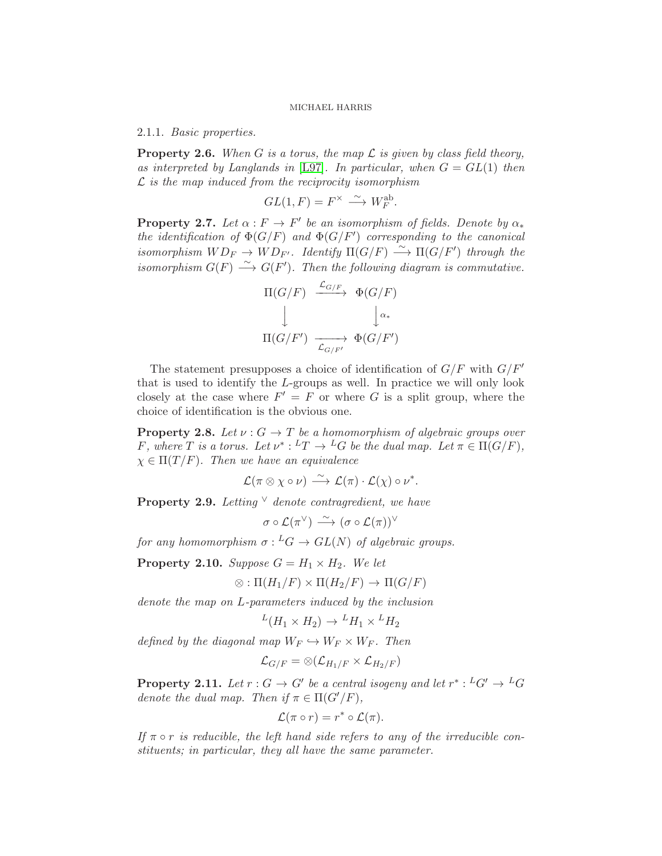<span id="page-11-3"></span>2.1.1. Basic properties.

<span id="page-11-4"></span>**Property 2.6.** When G is a torus, the map  $\mathcal L$  is given by class field theory, as interpreted by Langlands in [\[L97\]](#page-50-7). In particular, when  $G = GL(1)$  then  $\mathcal L$  is the map induced from the reciprocity isomorphism

$$
GL(1,F) = F^{\times} \xrightarrow{\sim} W^{\text{ab}}_F.
$$

<span id="page-11-5"></span>**Property 2.7.** Let  $\alpha : F \to F'$  be an isomorphism of fields. Denote by  $\alpha_*$ the identification of  $\Phi(G/F)$  and  $\Phi(G/F')$  corresponding to the canonical isomorphism  $WD_F \rightarrow WD_{F'}$ . Identify  $\Pi(G/F) \stackrel{\sim}{\longrightarrow} \Pi(G/F')$  through the isomorphism  $G(F) \stackrel{\sim}{\longrightarrow} G(F')$ . Then the following diagram is commutative.

$$
\Pi(G/F) \xrightarrow{\mathcal{L}_{G/F}} \Phi(G/F)
$$
  

$$
\downarrow \qquad \qquad \downarrow \alpha_*
$$
  

$$
\Pi(G/F') \xrightarrow{\mathcal{L}_{G/F'}} \Phi(G/F')
$$

The statement presupposes a choice of identification of  $G/F$  with  $G/F'$ that is used to identify the L-groups as well. In practice we will only look closely at the case where  $F' = F$  or where G is a split group, where the choice of identification is the obvious one.

<span id="page-11-0"></span>**Property 2.8.** Let  $\nu$  :  $G \to T$  be a homomorphism of algebraic groups over F, where T is a torus. Let  $\nu^*: {}^L T \to {}^L G$  be the dual map. Let  $\pi \in \Pi(G/F)$ ,  $\chi \in \Pi(T/F)$ . Then we have an equivalence

$$
\mathcal{L}(\pi \otimes \chi \circ \nu) \stackrel{\sim}{\longrightarrow} \mathcal{L}(\pi) \cdot \mathcal{L}(\chi) \circ \nu^*.
$$

<span id="page-11-6"></span>**Property 2.9.** Letting  $\vee$  denote contragredient, we have

 $\sigma \circ \mathcal{L}(\pi^{\vee}) \stackrel{\sim}{\longrightarrow} (\sigma \circ \mathcal{L}(\pi))^{\vee}$ 

for any homomorphism  $\sigma: {^L}G \to GL(N)$  of algebraic groups.

<span id="page-11-1"></span>**Property 2.10.** Suppose  $G = H_1 \times H_2$ . We let

$$
\otimes : \Pi(H_1/F) \times \Pi(H_2/F) \to \Pi(G/F)
$$

denote the map on L-parameters induced by the inclusion

$$
{}^L(H_1 \times H_2) \to {}^LH_1 \times {}^LH_2
$$

defined by the diagonal map  $W_F \hookrightarrow W_F \times W_F$ . Then

$$
\mathcal{L}_{G/F}=\otimes (\mathcal{L}_{H_1/F} \times \mathcal{L}_{H_2/F})
$$

<span id="page-11-2"></span>**Property 2.11.** Let  $r: G \to G'$  be a central isogeny and let  $r^*: {^L}G' \to {^L}G$ denote the dual map. Then if  $\pi \in \Pi(G'/F)$ ,

$$
\mathcal{L}(\pi \circ r) = r^* \circ \mathcal{L}(\pi).
$$

If  $\pi \circ r$  is reducible, the left hand side refers to any of the irreducible constituents; in particular, they all have the same parameter.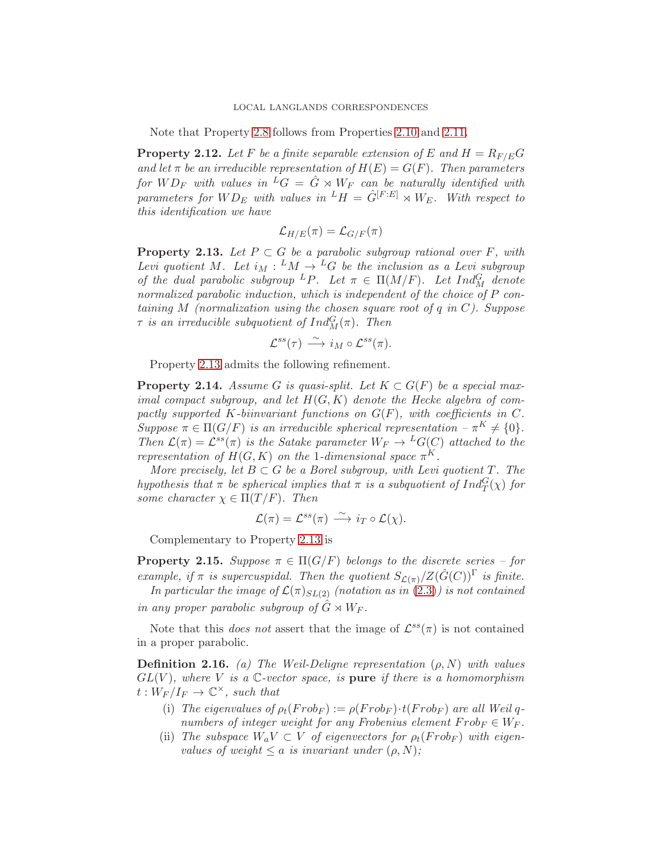Note that Property [2.8](#page-11-0) follows from Properties [2.10](#page-11-1) and [2.11.](#page-11-2)

<span id="page-12-2"></span>**Property 2.12.** Let F be a finite separable extension of E and  $H = R_{F/E}G$ and let  $\pi$  be an irreducible representation of  $H(E) = G(F)$ . Then parameters for  $WD_F$  with values in  ${}^L G = \hat{G} \rtimes W_F$  can be naturally identified with parameters for  $WD_E$  with values in  $^LH = \hat{G}^{[F:E]} \rtimes W_E$ . With respect to this identification we have

$$
\mathcal{L}_{H/E}(\pi) = \mathcal{L}_{G/F}(\pi)
$$

<span id="page-12-1"></span>**Property 2.13.** Let  $P \subset G$  be a parabolic subgroup rational over F, with Levi quotient M. Let  $i_M: {}^LM \to {}^LG$  be the inclusion as a Levi subgroup of the dual parabolic subgroup <sup>L</sup>P. Let  $\pi \in \Pi(M/F)$ . Let  $Ind_M^G$  denote normalized parabolic induction, which is independent of the choice of P containing  $M$  (normalization using the chosen square root of  $q$  in  $C$ ). Suppose  $\tau$  is an irreducible subquotient of  $Ind_M^G(\pi)$ . Then

$$
\mathcal{L}^{ss}(\tau) \stackrel{\sim}{\longrightarrow} i_M \circ \mathcal{L}^{ss}(\pi).
$$

Property [2.13](#page-12-1) admits the following refinement.

<span id="page-12-0"></span>**Property 2.14.** Assume G is quasi-split. Let  $K \subset G(F)$  be a special maximal compact subgroup, and let  $H(G, K)$  denote the Hecke algebra of compactly supported K-biinvariant functions on  $G(F)$ , with coefficients in C. Suppose  $\pi \in \Pi(G/F)$  is an irreducible spherical representation  $-\pi^{K} \neq \{0\}.$ Then  $\mathcal{L}(\pi) = \mathcal{L}^{ss}(\pi)$  is the Satake parameter  $W_F \to {}^L G(C)$  attached to the representation of  $H(G, K)$  on the 1-dimensional space  $\pi^{K}$ .

More precisely, let  $B \subset G$  be a Borel subgroup, with Levi quotient T. The hypothesis that  $\pi$  be spherical implies that  $\pi$  is a subquotient of  $Ind_T^G(\chi)$  for some character  $\chi \in \Pi(T/F)$ . Then

$$
\mathcal{L}(\pi) = \mathcal{L}^{ss}(\pi) \stackrel{\sim}{\longrightarrow} i_T \circ \mathcal{L}(\chi).
$$

Complementary to Property [2.13](#page-12-1) is

<span id="page-12-3"></span>**Property 2.15.** Suppose  $\pi \in \Pi(G/F)$  belongs to the discrete series – for example, if  $\pi$  is supercuspidal. Then the quotient  $S_{\mathcal{L}(\pi)}/Z(\hat{G}(C))^{\Gamma}$  is finite.

In particular the image of  $\mathcal{L}(\pi)_{SL(2)}$  (notation as in [\(2.3\)](#page-9-1)) is not contained in any proper parabolic subgroup of  $\ddot{G} \rtimes W_F$ .

Note that this *does not* assert that the image of  $\mathcal{L}^{ss}(\pi)$  is not contained in a proper parabolic.

<span id="page-12-4"></span>**Definition 2.16.** (a) The Weil-Deligne representation  $(\rho, N)$  with values  $GL(V)$ , where V is a C-vector space, is pure if there is a homomorphism  $t: \hat{W}_F/I_F \to \mathbb{C}^{\times}$ , such that

- (i) The eigenvalues of  $\rho_t(Frob_F) := \rho(Frob_F) \cdot t(Frob_F)$  are all Weil qnumbers of integer weight for any Frobenius element  $Frob_F \in W_F$ .
- (ii) The subspace  $W_a V \subset V$  of eigenvectors for  $\rho_t(Frob_F)$  with eigenvalues of weight  $\leq a$  is invariant under  $(\rho, N)$ ;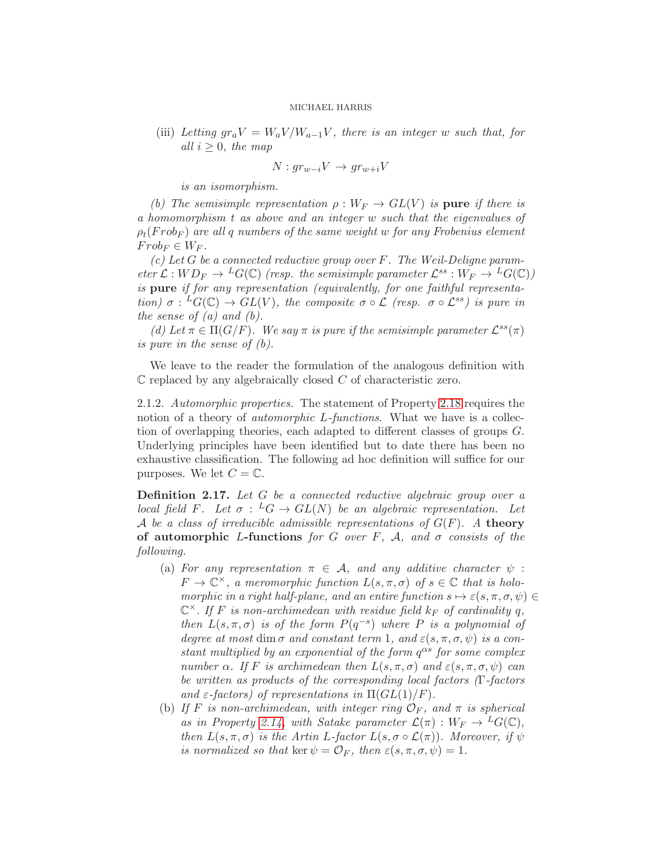(iii) Letting  $gr_aV = W_aV/W_{a-1}V$ , there is an integer w such that, for all  $i \geq 0$ , the map

$$
N: gr_{w-i}V \to gr_{w+i}V
$$

is an isomorphism.

(b) The semisimple representation  $\rho: W_F \to GL(V)$  is pure if there is a homomorphism t as above and an integer w such that the eigenvalues of  $\rho_t(Frob_F)$  are all q numbers of the same weight w for any Frobenius element  $Frob_F \in W_F$ .

(c) Let G be a connected reductive group over  $F$ . The Weil-Deligne parameter  $\mathcal{L}:WD_F\to {}^LG(\mathbb{C})$  (resp. the semisimple parameter  $\mathcal{L}^{ss}:W_F\to {}^LG(\mathbb{C}))$ is pure if for any representation (equivalently, for one faithful representation)  $\sigma: {}^L G(\mathbb{C}) \to GL(V)$ , the composite  $\sigma \circ \mathcal{L}$  (resp.  $\sigma \circ \mathcal{L}^{ss}$ ) is pure in the sense of  $(a)$  and  $(b)$ .

(d) Let  $\pi \in \Pi(G/F)$ . We say  $\pi$  is pure if the semisimple parameter  $\mathcal{L}^{ss}(\pi)$ is pure in the sense of (b).

We leave to the reader the formulation of the analogous definition with  $\mathbb C$  replaced by any algebraically closed  $C$  of characteristic zero.

<span id="page-13-0"></span>2.1.2. Automorphic properties. The statement of Property [2.18](#page-14-0) requires the notion of a theory of *automorphic L-functions*. What we have is a collection of overlapping theories, each adapted to different classes of groups G. Underlying principles have been identified but to date there has been no exhaustive classification. The following ad hoc definition will suffice for our purposes. We let  $C = \mathbb{C}$ .

<span id="page-13-1"></span>Definition 2.17. Let G be a connected reductive algebraic group over a local field F. Let  $\sigma : {}^L G \to GL(N)$  be an algebraic representation. Let A be a class of irreducible admissible representations of  $G(F)$ . A theory of automorphic L-functions for G over F, A, and  $\sigma$  consists of the following.

- (a) For any representation  $\pi \in A$ , and any additive character  $\psi$ :  $F \to \mathbb{C}^{\times}$ , a meromorphic function  $L(s, \pi, \sigma)$  of  $s \in \mathbb{C}$  that is holomorphic in a right half-plane, and an entire function  $s \mapsto \varepsilon(s, \pi, \sigma, \psi) \in$  $\mathbb{C}^{\times}$ . If F is non-archimedean with residue field  $k_F$  of cardinality q, then  $L(s, \pi, \sigma)$  is of the form  $P(q^{-s})$  where P is a polynomial of degree at most dim  $\sigma$  and constant term 1, and  $\varepsilon(s, \pi, \sigma, \psi)$  is a constant multiplied by an exponential of the form  $q^{\alpha s}$  for some complex number  $\alpha$ . If F is archimedean then  $L(s, \pi, \sigma)$  and  $\varepsilon(s, \pi, \sigma, \psi)$  can be written as products of the corresponding local factors (Γ-factors and  $\varepsilon$ -factors) of representations in  $\Pi(GL(1)/F)$ .
- (b) If F is non-archimedean, with integer ring  $\mathcal{O}_F$ , and  $\pi$  is spherical as in Property [2.14,](#page-12-0) with Satake parameter  $\mathcal{L}(\pi): W_F \to {}^L G(\mathbb{C}),$ then  $L(s, \pi, \sigma)$  is the Artin L-factor  $L(s, \sigma \circ \mathcal{L}(\pi))$ . Moreover, if  $\psi$ is normalized so that ker  $\psi = \mathcal{O}_F$ , then  $\varepsilon(s, \pi, \sigma, \psi) = 1$ .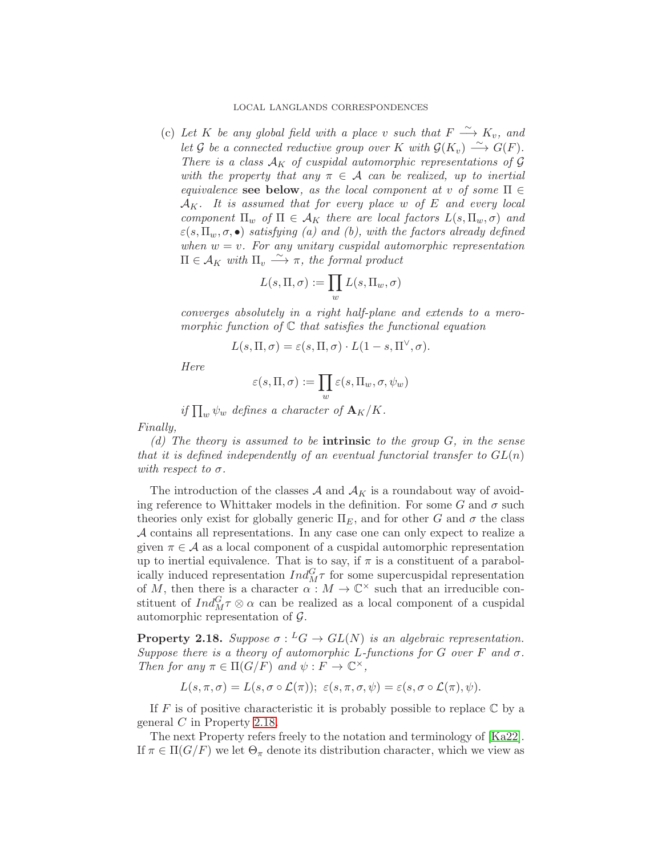### LOCAL LANGLANDS CORRESPONDENCES

(c) Let K be any global field with a place v such that  $F \stackrel{\sim}{\longrightarrow} K_v$ , and let G be a connected reductive group over K with  $\mathcal{G}(K_v) \stackrel{\sim}{\longrightarrow} \mathcal{G}(F)$ . There is a class  $A_K$  of cuspidal automorphic representations of  $G$ with the property that any  $\pi \in \mathcal{A}$  can be realized, up to inertial equivalence see below, as the local component at v of some  $\Pi \in$  $A_K$ . It is assumed that for every place w of E and every local component  $\Pi_w$  of  $\Pi \in \mathcal{A}_K$  there are local factors  $L(s, \Pi_w, \sigma)$  and  $\varepsilon(s,\Pi_w,\sigma,\bullet)$  satisfying (a) and (b), with the factors already defined when  $w = v$ . For any unitary cuspidal automorphic representation  $\Pi \in \mathcal{A}_K$  with  $\Pi_v \stackrel{\sim}{\longrightarrow} \pi$ , the formal product

$$
L(s,\Pi,\sigma):=\prod_w L(s,\Pi_w,\sigma)
$$

converges absolutely in a right half-plane and extends to a meromorphic function of  $\mathbb C$  that satisfies the functional equation

$$
L(s, \Pi, \sigma) = \varepsilon(s, \Pi, \sigma) \cdot L(1-s, \Pi^{\vee}, \sigma).
$$

Here

$$
\varepsilon(s,\Pi,\sigma):=\prod_w\varepsilon(s,\Pi_w,\sigma,\psi_w)
$$

if  $\prod_w \psi_w$  defines a character of  $\mathbf{A}_K/K$ .

Finally,

(d) The theory is assumed to be **intrinsic** to the group  $G$ , in the sense that it is defined independently of an eventual functorial transfer to  $GL(n)$ with respect to  $\sigma$ .

The introduction of the classes  $A$  and  $A_K$  is a roundabout way of avoiding reference to Whittaker models in the definition. For some G and  $\sigma$  such theories only exist for globally generic  $\Pi_E$ , and for other G and  $\sigma$  the class A contains all representations. In any case one can only expect to realize a given  $\pi \in \mathcal{A}$  as a local component of a cuspidal automorphic representation up to inertial equivalence. That is to say, if  $\pi$  is a constituent of a parabolically induced representation  $Ind_M^G \tau$  for some supercuspidal representation of M, then there is a character  $\alpha$  :  $M \to \mathbb{C}^\times$  such that an irreducible constituent of  $Ind_M^G \tau \otimes \alpha$  can be realized as a local component of a cuspidal automorphic representation of  $\mathcal{G}$ .

<span id="page-14-0"></span>**Property 2.18.** Suppose  $\sigma: {}^L G \to GL(N)$  is an algebraic representation. Suppose there is a theory of automorphic L-functions for G over F and  $\sigma$ . Then for any  $\pi \in \Pi(G/F)$  and  $\psi : F \to \mathbb{C}^{\times}$ ,

$$
L(s,\pi,\sigma)=L(s,\sigma\circ\mathcal{L}(\pi));\ \varepsilon(s,\pi,\sigma,\psi)=\varepsilon(s,\sigma\circ\mathcal{L}(\pi),\psi).
$$

If F is of positive characteristic it is probably possible to replace  $\mathbb C$  by a general C in Property [2.18.](#page-14-0)

The next Property refers freely to the notation and terminology of [\[Ka22\]](#page-50-8). If  $\pi \in \Pi(G/F)$  we let  $\Theta_{\pi}$  denote its distribution character, which we view as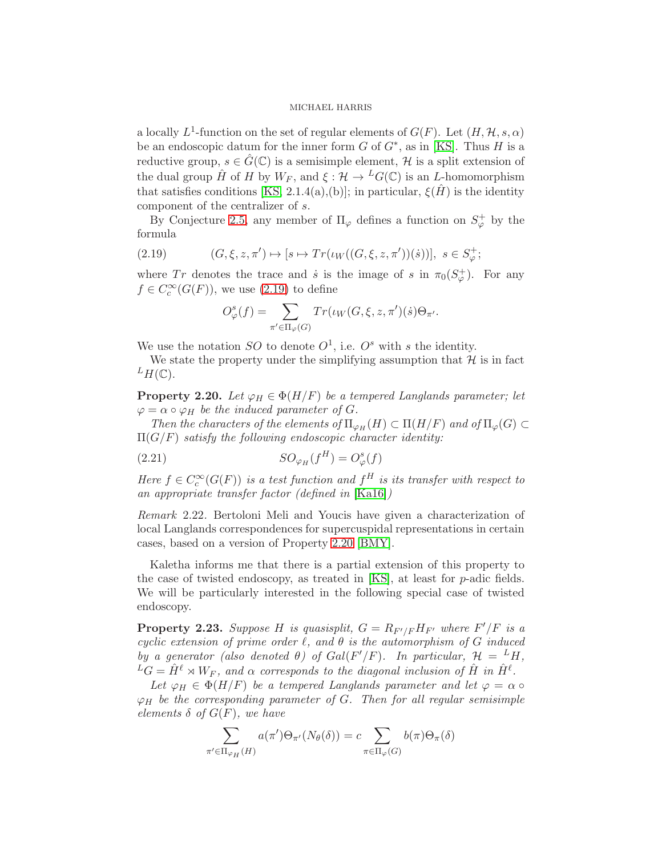a locally  $L^1$ -function on the set of regular elements of  $G(F)$ . Let  $(H, H, s, \alpha)$ be an endoscopic datum for the inner form  $G$  of  $G^*$ , as in [\[KS\]](#page-50-9). Thus  $H$  is a reductive group,  $s \in \hat{G}(\mathbb{C})$  is a semisimple element, H is a split extension of the dual group  $\hat{H}$  of H by  $W_F$ , and  $\xi : \mathcal{H} \to {}^L G(\mathbb{C})$  is an L-homomorphism that satisfies conditions [\[KS,](#page-50-9) 2.1.4(a),(b)]; in particular,  $\xi(\hat{H})$  is the identity component of the centralizer of s.

By Conjecture [2.5,](#page-9-0) any member of  $\Pi_{\varphi}$  defines a function on  $S_{\varphi}^+$  by the formula

(2.19) 
$$
(G, \xi, z, \pi') \mapsto [s \mapsto Tr(\iota_W((G, \xi, z, \pi'))(\dot{s}))], \ s \in S^+_{\varphi};
$$

where Tr denotes the trace and  $\dot{s}$  is the image of s in  $\pi_0(S^+_{\varphi})$ . For any  $f \in C_c^{\infty}(G(F))$ , we use [\(2.19\)](#page-15-0) to define

<span id="page-15-0"></span>
$$
O^s_\varphi(f) = \sum_{\pi' \in \Pi_\varphi(G)} Tr(\iota_W(G,\xi,z,\pi')(\dot s)\Theta_{\pi'}.
$$

We use the notation SO to denote  $O^1$ , i.e.  $O^s$  with s the identity.

We state the property under the simplifying assumption that  $\mathcal{H}$  is in fact  $^L H(\mathbb{C}).$ 

<span id="page-15-1"></span>**Property 2.20.** Let  $\varphi_H \in \Phi(H/F)$  be a tempered Langlands parameter; let  $\varphi = \alpha \circ \varphi_H$  be the induced parameter of G.

Then the characters of the elements of  $\Pi_{\varphi_H}(H) \subset \Pi(H/F)$  and of  $\Pi_{\varphi}(G) \subset$  $\Pi(G/F)$  satisfy the following endoscopic character identity:

(2.21) 
$$
SO_{\varphi_H}(f^H) = O_{\varphi}^s(f)
$$

Here  $f \in C_c^{\infty}(G(F))$  is a test function and  $f^H$  is its transfer with respect to an appropriate transfer factor (defined in [\[Ka16\]](#page-50-6))

Remark 2.22. Bertoloni Meli and Youcis have given a characterization of local Langlands correspondences for supercuspidal representations in certain cases, based on a version of Property [2.20](#page-15-1) [\[BMY\]](#page-48-5).

Kaletha informs me that there is a partial extension of this property to the case of twisted endoscopy, as treated in [\[KS\]](#page-50-9), at least for p-adic fields. We will be particularly interested in the following special case of twisted endoscopy.

<span id="page-15-2"></span>**Property 2.23.** Suppose H is quasisplit,  $G = R_{F'/F} H_{F'}$  where  $F'/F$  is a cyclic extension of prime order  $\ell$ , and  $\theta$  is the automorphism of G induced by a generator (also denoted  $\theta$ ) of Gal(F'/F). In particular,  $\mathcal{H} = {}^L H$ ,  ${}^L G = \hat{H}^{\ell} \rtimes W_F$ , and  $\alpha$  corresponds to the diagonal inclusion of  $\hat{H}$  in  $\hat{H}^{\ell}$ .

Let  $\varphi_H \in \Phi(H/F)$  be a tempered Langlands parameter and let  $\varphi = \alpha \circ$  $\varphi_H$  be the corresponding parameter of G. Then for all regular semisimple elements  $\delta$  of  $G(F)$ , we have

$$
\sum_{\pi' \in \Pi_{\varphi_H}(H)} a(\pi') \Theta_{\pi'}(N_{\theta}(\delta)) = c \sum_{\pi \in \Pi_{\varphi}(G)} b(\pi) \Theta_{\pi}(\delta)
$$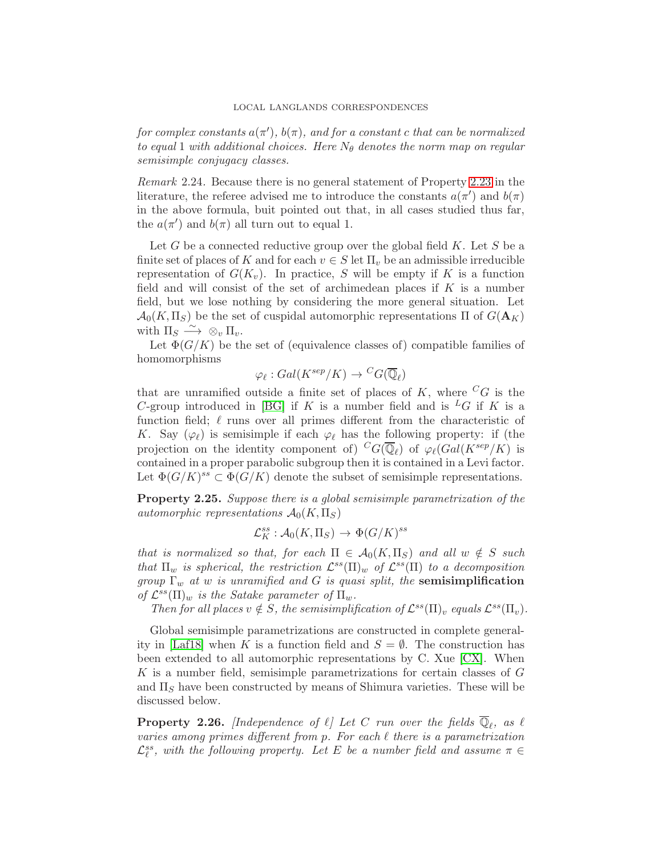### LOCAL LANGLANDS CORRESPONDENCES

for complex constants  $a(\pi')$ ,  $b(\pi)$ , and for a constant c that can be normalized to equal 1 with additional choices. Here  $N_{\theta}$  denotes the norm map on regular semisimple conjugacy classes.

Remark 2.24. Because there is no general statement of Property [2.23](#page-15-2) in the literature, the referee advised me to introduce the constants  $a(\pi')$  and  $b(\pi)$ in the above formula, buit pointed out that, in all cases studied thus far, the  $a(\pi')$  and  $b(\pi)$  all turn out to equal 1.

Let G be a connected reductive group over the global field  $K$ . Let S be a finite set of places of K and for each  $v \in S$  let  $\Pi_v$  be an admissible irreducible representation of  $G(K_v)$ . In practice, S will be empty if K is a function field and will consist of the set of archimedean places if  $K$  is a number field, but we lose nothing by considering the more general situation. Let  $\mathcal{A}_0(K,\Pi_S)$  be the set of cuspidal automorphic representations  $\Pi$  of  $G(\mathbf{A}_K)$ with  $\Pi_S \stackrel{\sim}{\longrightarrow} \otimes_v \Pi_v$ .

Let  $\Phi(G/K)$  be the set of (equivalence classes of) compatible families of homomorphisms

$$
\varphi_{\ell}: Gal(K^{sep}/K) \to {}^CG(\overline{\mathbb{Q}}_{\ell})
$$

that are unramified outside a finite set of places of  $K$ , where  ${}^{C}G$  is the C-group introduced in [\[BG\]](#page-48-6) if K is a number field and is  ${}^L G$  if K is a function field;  $\ell$  runs over all primes different from the characteristic of K. Say  $(\varphi_{\ell})$  is semisimple if each  $\varphi_{\ell}$  has the following property: if (the projection on the identity component of)  ${}^{C}G(\overline{\mathbb{Q}}_{\ell})$  of  $\varphi_{\ell}(Gal(K^{sep}/K))$  is contained in a proper parabolic subgroup then it is contained in a Levi factor. Let  $\Phi(G/K)^{ss} \subset \Phi(G/K)$  denote the subset of semisimple representations.

<span id="page-16-0"></span>Property 2.25. Suppose there is a global semisimple parametrization of the automorphic representations  $\mathcal{A}_0(K,\Pi_S)$ 

$$
\mathcal{L}_K^{ss} : \mathcal{A}_0(K,\Pi_S) \to \Phi(G/K)^{ss}
$$

that is normalized so that, for each  $\Pi \in \mathcal{A}_0(K,\Pi_S)$  and all  $w \notin S$  such that  $\Pi_w$  is spherical, the restriction  $\mathcal{L}^{ss}(\Pi)_w$  of  $\mathcal{L}^{ss}(\Pi)$  to a decomposition group  $\Gamma_w$  at w is unramified and G is quasi split, the semisimplification of  $\mathcal{L}^{ss}(\Pi)_w$  is the Satake parameter of  $\Pi_w$ .

Then for all places  $v \notin S$ , the semisimplification of  $\mathcal{L}^{ss}(\Pi)_{v}$  equals  $\mathcal{L}^{ss}(\Pi_{v})$ .

Global semisimple parametrizations are constructed in complete general-ity in [\[Laf18\]](#page-50-4) when K is a function field and  $S = \emptyset$ . The construction has been extended to all automorphic representations by C. Xue [\[CX\]](#page-48-7). When K is a number field, semisimple parametrizations for certain classes of G and  $\Pi<sub>S</sub>$  have been constructed by means of Shimura varieties. These will be discussed below.

<span id="page-16-1"></span>**Property 2.26.** [Independence of  $\ell$ ] Let C run over the fields  $\mathbb{Q}_{\ell}$ , as  $\ell$ varies among primes different from p. For each  $\ell$  there is a parametrization  $\mathcal{L}_{\ell}^{ss}$ , with the following property. Let E be a number field and assume  $\pi \in$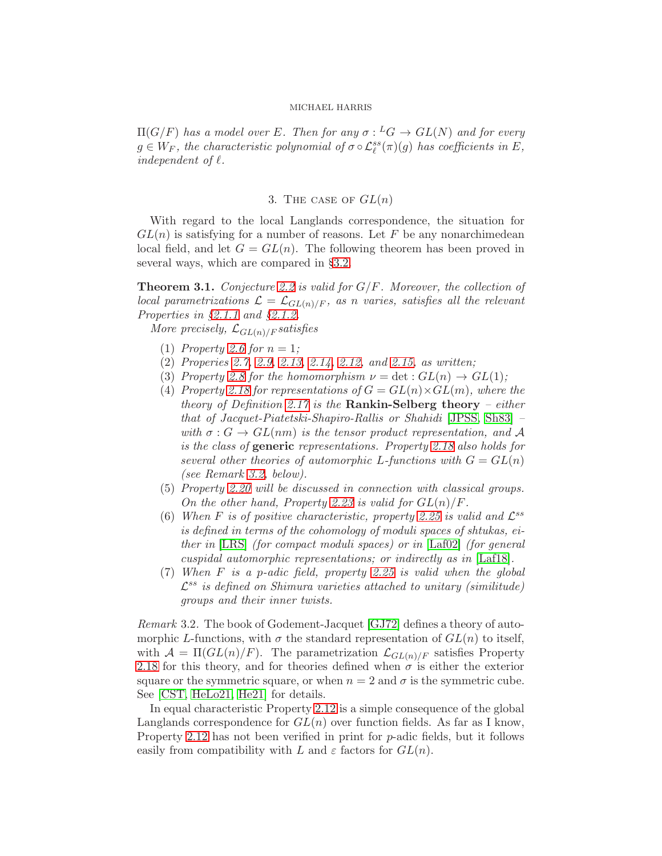$\Pi(G/F)$  has a model over E. Then for any  $\sigma : {}^L G \to GL(N)$  and for every  $g \in W_F$ , the characteristic polynomial of  $\sigma \circ \mathcal{L}_{\ell}^{ss}(\pi)(g)$  has coefficients in E, independent of  $\ell$ .

## 3. THE CASE OF  $GL(n)$

With regard to the local Langlands correspondence, the situation for  $GL(n)$  is satisfying for a number of reasons. Let F be any nonarchimedean local field, and let  $G = GL(n)$ . The following theorem has been proved in several ways, which are compared in §[3.2.](#page-19-0)

<span id="page-17-1"></span>**Theorem 3.1.** Conjecture [2.2](#page-8-0) is valid for  $G/F$ . Moreover, the collection of local parametrizations  $\mathcal{L} = \mathcal{L}_{GL(n)/F}$ , as n varies, satisfies all the relevant Properties in §[2.1.1](#page-11-3) and §[2.1.2.](#page-13-0)

More precisely,  $\mathcal{L}_{GL(n)/F}$  satisfies

- (1) Property [2.6](#page-11-4) for  $n = 1$ ;
- (2) Properies [2.7,](#page-11-5) [2.9,](#page-11-6) [2.13,](#page-12-1) [2.14,](#page-12-0) [2.12,](#page-12-2) and [2.15,](#page-12-3) as written;
- (3) Property [2.8](#page-11-0) for the homomorphism  $\nu = \det : GL(n) \to GL(1);$
- (4) Property [2.18](#page-14-0) for representations of  $G = GL(n) \times GL(m)$ , where the theory of Definition [2.17](#page-13-1) is the Rankin-Selberg theory – either that of Jacquet-Piatetski-Shapiro-Rallis or Shahidi [\[JPSS,](#page-50-10) [Sh83\]](#page-51-9) – with  $\sigma : G \to GL(nm)$  is the tensor product representation, and A is the class of **generic** representations. Property [2.18](#page-14-0) also holds for several other theories of automorphic L-functions with  $G = GL(n)$ (see Remark [3.2,](#page-17-0) below).
- (5) Property [2.20](#page-15-1) will be discussed in connection with classical groups. On the other hand, Property [2.23](#page-15-2) is valid for  $GL(n)/F$ .
- (6) When F is of positive characteristic, property [2.25](#page-16-0) is valid and  $\mathcal{L}^{ss}$ is defined in terms of the cohomology of moduli spaces of shtukas, either in [\[LRS\]](#page-51-1) (for compact moduli spaces) or in [\[Laf02\]](#page-50-2) (for general cuspidal automorphic representations; or indirectly as in [\[Laf18\]](#page-50-4).
- (7) When F is a p-adic field, property [2.25](#page-16-0) is valid when the global  $\mathcal{L}^{ss}$  is defined on Shimura varieties attached to unitary (similitude) groups and their inner twists.

<span id="page-17-0"></span>Remark 3.2. The book of Godement-Jacquet [\[GJ72\]](#page-49-12) defines a theory of automorphic L-functions, with  $\sigma$  the standard representation of  $GL(n)$  to itself, with  $\mathcal{A} = \Pi(GL(n)/F)$ . The parametrization  $\mathcal{L}_{GL(n)/F}$  satisfies Property [2.18](#page-14-0) for this theory, and for theories defined when  $\sigma$  is either the exterior square or the symmetric square, or when  $n = 2$  and  $\sigma$  is the symmetric cube. See [\[CST,](#page-48-8) [HeLo21,](#page-50-11) [He21\]](#page-50-12) for details.

In equal characteristic Property [2.12](#page-12-2) is a simple consequence of the global Langlands correspondence for  $GL(n)$  over function fields. As far as I know, Property [2.12](#page-12-2) has not been verified in print for p-adic fields, but it follows easily from compatibility with L and  $\varepsilon$  factors for  $GL(n)$ .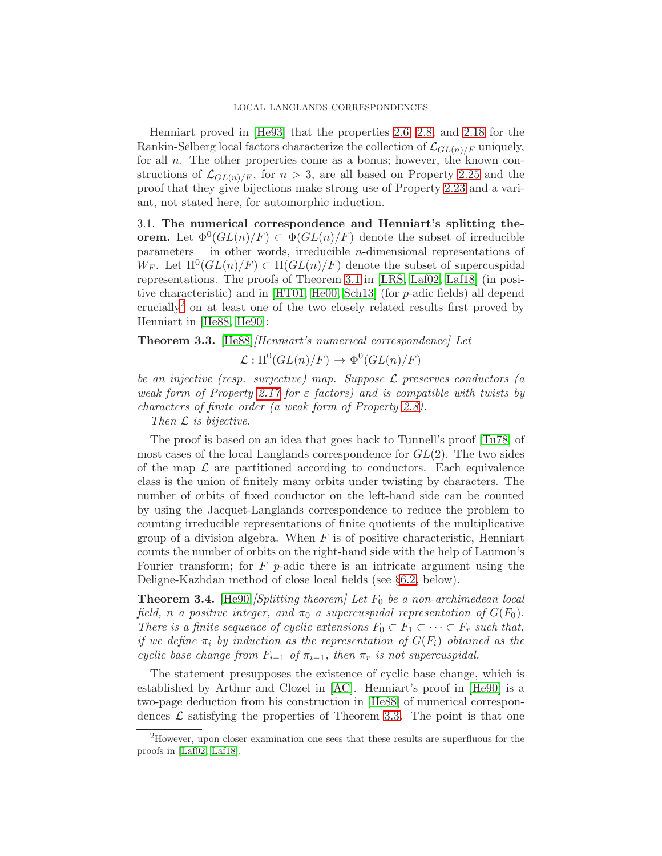Henniart proved in [\[He93\]](#page-49-10) that the properties [2.6,](#page-11-4) [2.8,](#page-11-0) and [2.18](#page-14-0) for the Rankin-Selberg local factors characterize the collection of  $\mathcal{L}_{GL(n)/F}$  uniquely, for all  $n$ . The other properties come as a bonus; however, the known constructions of  $\mathcal{L}_{GL(n)/F}$ , for  $n > 3$ , are all based on Property [2.25](#page-16-0) and the proof that they give bijections make strong use of Property [2.23](#page-15-2) and a variant, not stated here, for automorphic induction.

3.1. The numerical correspondence and Henniart's splitting theorem. Let  $\Phi^0(GL(n)/F) \subset \Phi(GL(n)/F)$  denote the subset of irreducible parameters – in other words, irreducible *n*-dimensional representations of W<sub>F</sub>. Let  $\Pi^0(GL(n)/F) \subset \Pi(GL(n)/F)$  denote the subset of supercuspidal representations. The proofs of Theorem [3.1](#page-17-1) in [\[LRS,](#page-51-1) [Laf02,](#page-50-2) [Laf18\]](#page-50-4) (in positive characteristic) and in [\[HT01,](#page-49-6) [He00,](#page-49-7) [Sch13\]](#page-51-3) (for p-adic fields) all depend crucially[2](#page-18-0) on at least one of the two closely related results first proved by Henniart in [\[He88,](#page-49-11) [He90\]](#page-49-13):

<span id="page-18-1"></span>Theorem 3.3. [\[He88\]](#page-49-11)/Henniart's numerical correspondence] Let

 $\mathcal{L}: \Pi^0(GL(n)/F) \to \Phi^0(GL(n)/F)$ 

be an injective (resp. surjective) map. Suppose  $\mathcal L$  preserves conductors (a weak form of Property [2.17](#page-13-1) for  $\varepsilon$  factors) and is compatible with twists by characters of finite order (a weak form of Property [2.8\)](#page-11-0).

Then  $L$  is bijective.

The proof is based on an idea that goes back to Tunnell's proof [\[Tu78\]](#page-51-10) of most cases of the local Langlands correspondence for  $GL(2)$ . The two sides of the map  $\mathcal L$  are partitioned according to conductors. Each equivalence class is the union of finitely many orbits under twisting by characters. The number of orbits of fixed conductor on the left-hand side can be counted by using the Jacquet-Langlands correspondence to reduce the problem to counting irreducible representations of finite quotients of the multiplicative group of a division algebra. When  $F$  is of positive characteristic, Henniart counts the number of orbits on the right-hand side with the help of Laumon's Fourier transform; for  $F$  p-adic there is an intricate argument using the Deligne-Kazhdan method of close local fields (see §[6.2,](#page-27-1) below).

<span id="page-18-2"></span>**Theorem 3.4.** [\[He90\]](#page-49-13) [Splitting theorem] Let  $F_0$  be a non-archimedean local field, n a positive integer, and  $\pi_0$  a supercuspidal representation of  $G(F_0)$ . There is a finite sequence of cyclic extensions  $F_0 \subset F_1 \subset \cdots \subset F_r$  such that, if we define  $\pi_i$  by induction as the representation of  $G(F_i)$  obtained as the cyclic base change from  $F_{i-1}$  of  $\pi_{i-1}$ , then  $\pi_r$  is not supercuspidal.

The statement presupposes the existence of cyclic base change, which is established by Arthur and Clozel in [\[AC\]](#page-48-9). Henniart's proof in [\[He90\]](#page-49-13) is a two-page deduction from his construction in [\[He88\]](#page-49-11) of numerical correspondences  $\mathcal L$  satisfying the properties of Theorem [3.3.](#page-18-1) The point is that one

<span id="page-18-0"></span><sup>&</sup>lt;sup>2</sup>However, upon closer examination one sees that these results are superfluous for the proofs in [\[Laf02,](#page-50-2) [Laf18\]](#page-50-4).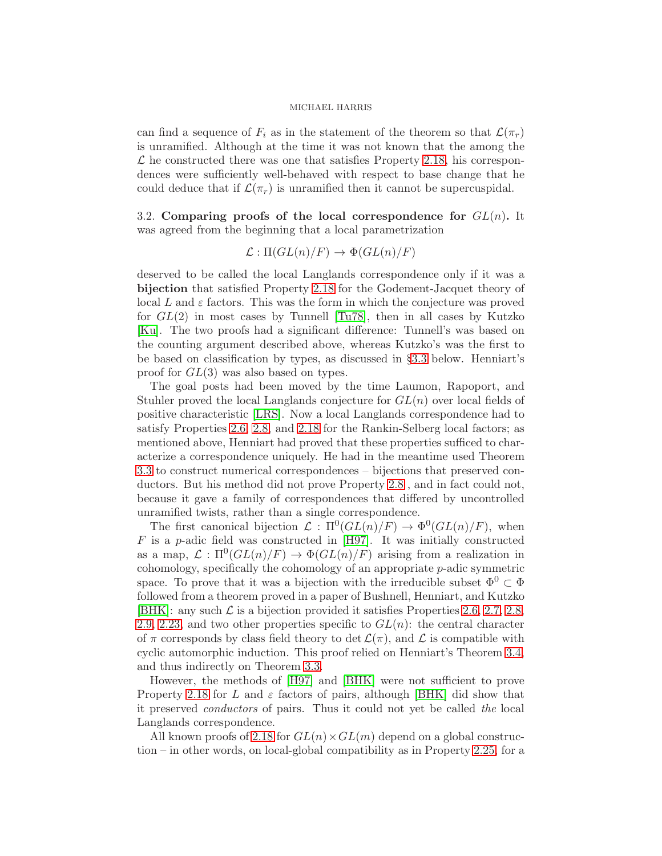can find a sequence of  $F_i$  as in the statement of the theorem so that  $\mathcal{L}(\pi_r)$ is unramified. Although at the time it was not known that the among the  $\mathcal L$  he constructed there was one that satisfies Property [2.18,](#page-14-0) his correspondences were sufficiently well-behaved with respect to base change that he could deduce that if  $\mathcal{L}(\pi_r)$  is unramified then it cannot be supercuspidal.

<span id="page-19-0"></span>3.2. Comparing proofs of the local correspondence for  $GL(n)$ . It was agreed from the beginning that a local parametrization

$$
\mathcal{L} : \Pi(GL(n)/F) \to \Phi(GL(n)/F)
$$

deserved to be called the local Langlands correspondence only if it was a bijection that satisfied Property [2.18](#page-14-0) for the Godement-Jacquet theory of local L and  $\varepsilon$  factors. This was the form in which the conjecture was proved for  $GL(2)$  in most cases by Tunnell [\[Tu78\]](#page-51-10), then in all cases by Kutzko [\[Ku\]](#page-50-13). The two proofs had a significant difference: Tunnell's was based on the counting argument described above, whereas Kutzko's was the first to be based on classification by types, as discussed in §[3.3](#page-20-0) below. Henniart's proof for GL(3) was also based on types.

The goal posts had been moved by the time Laumon, Rapoport, and Stuhler proved the local Langlands conjecture for  $GL(n)$  over local fields of positive characteristic [\[LRS\]](#page-51-1). Now a local Langlands correspondence had to satisfy Properties [2.6,](#page-11-4) [2.8,](#page-11-0) and [2.18](#page-14-0) for the Rankin-Selberg local factors; as mentioned above, Henniart had proved that these properties sufficed to characterize a correspondence uniquely. He had in the meantime used Theorem [3.3](#page-18-1) to construct numerical correspondences – bijections that preserved conductors. But his method did not prove Property [2.8](#page-11-0) , and in fact could not, because it gave a family of correspondences that differed by uncontrolled unramified twists, rather than a single correspondence.

The first canonical bijection  $\mathcal{L} : \Pi^0(GL(n)/F) \to \Phi^0(GL(n)/F)$ , when  $F$  is a p-adic field was constructed in [\[H97\]](#page-49-4). It was initially constructed as a map,  $\mathcal{L} : \Pi^0(GL(n)/F) \to \Phi(GL(n)/F)$  arising from a realization in cohomology, specifically the cohomology of an appropriate p-adic symmetric space. To prove that it was a bijection with the irreducible subset  $\Phi^0 \subset \Phi$ followed from a theorem proved in a paper of Bushnell, Henniart, and Kutzko [\[BHK\]](#page-48-0): any such  $\mathcal L$  is a bijection provided it satisfies Properties [2.6,](#page-11-4) [2.7,](#page-11-5) [2.8,](#page-11-0) [2.9,](#page-11-6) [2.23,](#page-15-2) and two other properties specific to  $GL(n)$ : the central character of  $\pi$  corresponds by class field theory to det  $\mathcal{L}(\pi)$ , and  $\mathcal L$  is compatible with cyclic automorphic induction. This proof relied on Henniart's Theorem [3.4,](#page-18-2) and thus indirectly on Theorem [3.3.](#page-18-1)

However, the methods of [\[H97\]](#page-49-4) and [\[BHK\]](#page-48-0) were not sufficient to prove Property [2.18](#page-14-0) for L and  $\varepsilon$  factors of pairs, although [\[BHK\]](#page-48-0) did show that it preserved conductors of pairs. Thus it could not yet be called the local Langlands correspondence.

All known proofs of [2.18](#page-14-0) for  $GL(n) \times GL(m)$  depend on a global construction – in other words, on local-global compatibility as in Property [2.25,](#page-16-0) for a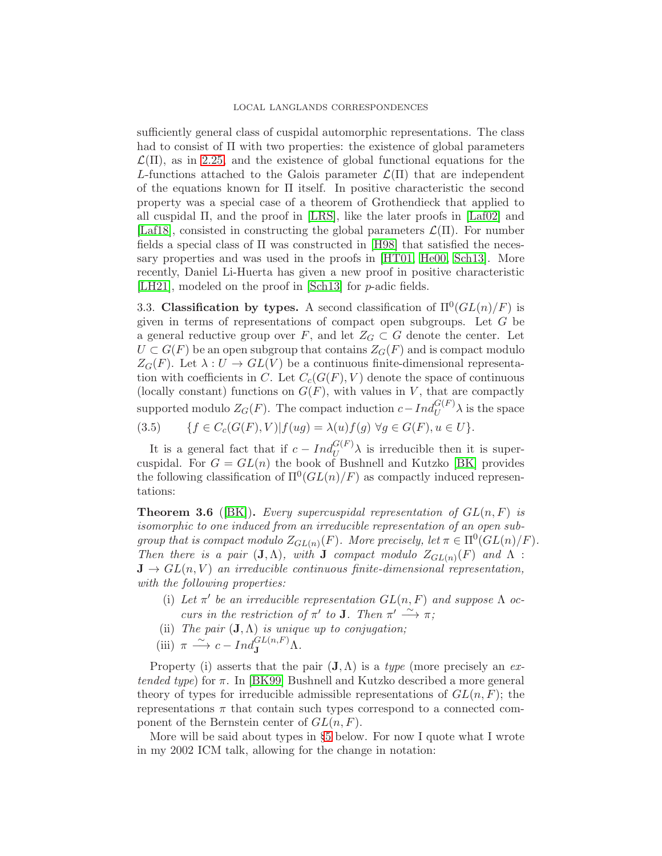### LOCAL LANGLANDS CORRESPONDENCES

sufficiently general class of cuspidal automorphic representations. The class had to consist of Π with two properties: the existence of global parameters  $\mathcal{L}(\Pi)$ , as in [2.25,](#page-16-0) and the existence of global functional equations for the L-functions attached to the Galois parameter  $\mathcal{L}(\Pi)$  that are independent of the equations known for  $\Pi$  itself. In positive characteristic the second property was a special case of a theorem of Grothendieck that applied to all cuspidal  $\Pi$ , and the proof in [\[LRS\]](#page-51-1), like the later proofs in [\[Laf02\]](#page-50-2) and [\[Laf18\]](#page-50-4), consisted in constructing the global parameters  $\mathcal{L}(\Pi)$ . For number fields a special class of Π was constructed in [\[H98\]](#page-49-5) that satisfied the necessary properties and was used in the proofs in [\[HT01,](#page-49-6) [He00,](#page-49-7) [Sch13\]](#page-51-3). More recently, Daniel Li-Huerta has given a new proof in positive characteristic [\[LH21\]](#page-51-11), modeled on the proof in [\[Sch13\]](#page-51-3) for p-adic fields.

<span id="page-20-0"></span>3.3. Classification by types. A second classification of  $\Pi^0(GL(n)/F)$  is given in terms of representations of compact open subgroups. Let G be a general reductive group over  $F$ , and let  $Z_G \subset G$  denote the center. Let  $U \subset G(F)$  be an open subgroup that contains  $Z_G(F)$  and is compact modulo  $Z_G(F)$ . Let  $\lambda: U \to GL(V)$  be a continuous finite-dimensional representation with coefficients in C. Let  $C_c(G(F), V)$  denote the space of continuous (locally constant) functions on  $G(F)$ , with values in V, that are compactly supported modulo  $Z_G(F)$ . The compact induction  $c - Ind_U^{G(F)} \lambda$  is the space

$$
(3.5) \qquad \{f \in C_c(G(F), V) | f(ug) = \lambda(u)f(g) \,\,\forall g \in G(F), u \in U\}.
$$

It is a general fact that if  $c - Ind_U^{G(F)} \lambda$  is irreducible then it is supercuspidal. For  $G = GL(n)$  the book of Bushnell and Kutzko [\[BK\]](#page-48-10) provides the following classification of  $\Pi^0(GL(n)/F)$  as compactly induced representations:

<span id="page-20-1"></span>**Theorem 3.6** ([\[BK\]](#page-48-10)). Every supercuspidal representation of  $GL(n, F)$  is isomorphic to one induced from an irreducible representation of an open subgroup that is compact modulo  $Z_{GL(n)}(F)$ . More precisely, let  $\pi \in \Pi^0(GL(n)/F)$ . Then there is a pair  $(\mathbf{J}, \Lambda)$ , with **J** compact modulo  $Z_{GL(n)}(F)$  and  $\Lambda$ :  $J \to GL(n, V)$  an irreducible continuous finite-dimensional representation, with the following properties:

- (i) Let  $\pi'$  be an irreducible representation  $GL(n, F)$  and suppose  $\Lambda$  occurs in the restriction of  $\pi'$  to **J**. Then  $\pi' \stackrel{\sim}{\longrightarrow} \pi$ ;
- (ii) The pair  $(\mathbf{J}, \Lambda)$  is unique up to conjugation;
- (iii)  $\pi \stackrel{\sim}{\longrightarrow} c Ind_{\mathbf{J}}^{GL(n,F)} \Lambda$ .

Property (i) asserts that the pair  $(J, \Lambda)$  is a *type* (more precisely an extended type) for  $\pi$ . In [\[BK99\]](#page-48-11) Bushnell and Kutzko described a more general theory of types for irreducible admissible representations of  $GL(n, F)$ ; the representations  $\pi$  that contain such types correspond to a connected component of the Bernstein center of  $GL(n, F)$ .

More will be said about types in §[5](#page-24-0) below. For now I quote what I wrote in my 2002 ICM talk, allowing for the change in notation: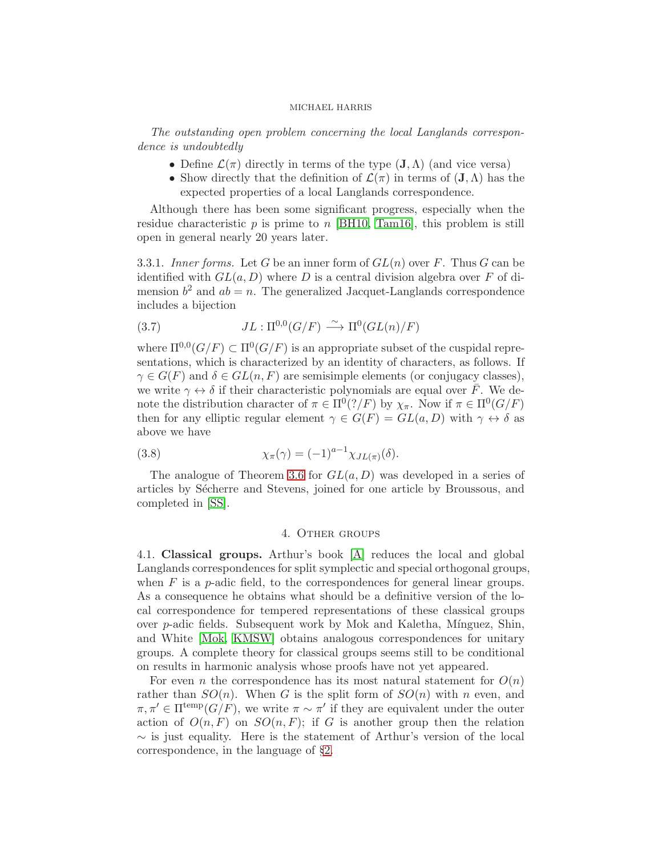The outstanding open problem concerning the local Langlands correspondence is undoubtedly

- Define  $\mathcal{L}(\pi)$  directly in terms of the type  $(\mathbf{J}, \Lambda)$  (and vice versa)
- Show directly that the definition of  $\mathcal{L}(\pi)$  in terms of  $(\mathbf{J}, \Lambda)$  has the expected properties of a local Langlands correspondence.

Although there has been some significant progress, especially when the residue characteristic p is prime to n [\[BH10,](#page-48-12) [Tam16\]](#page-51-12), this problem is still open in general nearly 20 years later.

3.3.1. Inner forms. Let G be an inner form of  $GL(n)$  over F. Thus G can be identified with  $GL(a, D)$  where D is a central division algebra over F of dimension  $b^2$  and  $ab = n$ . The generalized Jacquet-Langlands correspondence includes a bijection

(3.7) 
$$
JL: \Pi^{0,0}(G/F) \xrightarrow{\sim} \Pi^{0}(GL(n)/F)
$$

where  $\Pi^{0,0}(G/F) \subset \Pi^{0}(G/F)$  is an appropriate subset of the cuspidal representations, which is characterized by an identity of characters, as follows. If  $\gamma \in G(F)$  and  $\delta \in GL(n, F)$  are semisimple elements (or conjugacy classes), we write  $\gamma \leftrightarrow \delta$  if their characteristic polynomials are equal over  $\bar{F}$ . We denote the distribution character of  $\pi \in \Pi^0(]/F$  by  $\chi_{\pi}$ . Now if  $\pi \in \Pi^0(G/F)$ then for any elliptic regular element  $\gamma \in G(F) = GL(a, D)$  with  $\gamma \leftrightarrow \delta$  as above we have

(3.8) 
$$
\chi_{\pi}(\gamma) = (-1)^{a-1} \chi_{JL(\pi)}(\delta).
$$

The analogue of Theorem [3.6](#page-20-1) for  $GL(a, D)$  was developed in a series of articles by Sécherre and Stevens, joined for one article by Broussous, and completed in [\[SS\]](#page-51-13).

## 4. Other groups

<span id="page-21-0"></span>4.1. Classical groups. Arthur's book [\[A\]](#page-48-1) reduces the local and global Langlands correspondences for split symplectic and special orthogonal groups, when  $F$  is a *p*-adic field, to the correspondences for general linear groups. As a consequence he obtains what should be a definitive version of the local correspondence for tempered representations of these classical groups over p-adic fields. Subsequent work by Mok and Kaletha, M´ınguez, Shin, and White [\[Mok,](#page-51-4) [KMSW\]](#page-50-3) obtains analogous correspondences for unitary groups. A complete theory for classical groups seems still to be conditional on results in harmonic analysis whose proofs have not yet appeared.

For even *n* the correspondence has its most natural statement for  $O(n)$ rather than  $SO(n)$ . When G is the split form of  $SO(n)$  with n even, and  $\pi, \pi' \in \Pi^{\text{temp}}(G/F)$ , we write  $\pi \sim \pi'$  if they are equivalent under the outer action of  $O(n, F)$  on  $SO(n, F)$ ; if G is another group then the relation  $\sim$  is just equality. Here is the statement of Arthur's version of the local correspondence, in the language of §[2.](#page-8-1)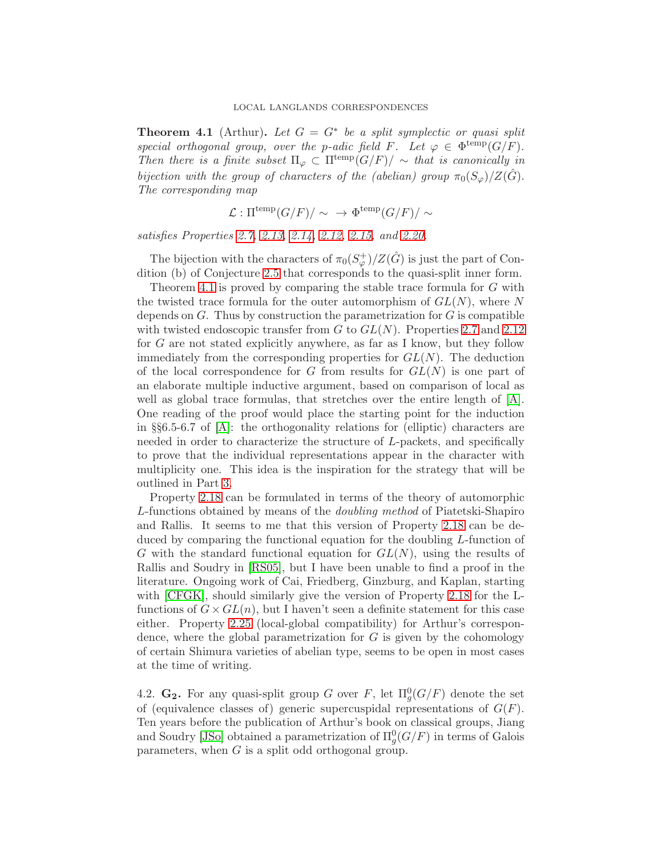<span id="page-22-0"></span>**Theorem 4.1** (Arthur). Let  $G = G^*$  be a split symplectic or quasi split special orthogonal group, over the p-adic field F. Let  $\varphi \in \Phi^{\text{temp}}(G/F)$ . Then there is a finite subset  $\Pi_{\varphi} \subset \Pi^{\text{temp}}(G/F) / \sim$  that is canonically in bijection with the group of characters of the (abelian) group  $\pi_0(S_{\varphi})/Z(\hat{G})$ . The corresponding map

$$
\mathcal{L} : \Pi^{\text{temp}}(G/F)/\sim \rightarrow \Phi^{\text{temp}}(G/F)/\sim
$$

satisfies Properties [2.7,](#page-11-5) [2.13,](#page-12-1) [2.14,](#page-12-0) [2.12,](#page-12-2) [2.15,](#page-12-3) and [2.20.](#page-15-1)

The bijection with the characters of  $\pi_0(S^+_{\varphi})/Z(\hat{G})$  is just the part of Condition (b) of Conjecture [2.5](#page-9-0) that corresponds to the quasi-split inner form.

Theorem [4.1](#page-22-0) is proved by comparing the stable trace formula for G with the twisted trace formula for the outer automorphism of  $GL(N)$ , where N depends on  $G$ . Thus by construction the parametrization for  $G$  is compatible with twisted endoscopic transfer from  $G$  to  $GL(N)$ . Properties [2.7](#page-11-5) and [2.12](#page-12-2) for G are not stated explicitly anywhere, as far as I know, but they follow immediately from the corresponding properties for  $GL(N)$ . The deduction of the local correspondence for G from results for  $GL(N)$  is one part of an elaborate multiple inductive argument, based on comparison of local as well as global trace formulas, that stretches over the entire length of [\[A\]](#page-48-1). One reading of the proof would place the starting point for the induction in §§6.5-6.7 of  $[A]$ : the orthogonality relations for (elliptic) characters are needed in order to characterize the structure of L-packets, and specifically to prove that the individual representations appear in the character with multiplicity one. This idea is the inspiration for the strategy that will be outlined in Part [3.](#page-44-0)

Property [2.18](#page-14-0) can be formulated in terms of the theory of automorphic L-functions obtained by means of the doubling method of Piatetski-Shapiro and Rallis. It seems to me that this version of Property [2.18](#page-14-0) can be deduced by comparing the functional equation for the doubling L-function of G with the standard functional equation for  $GL(N)$ , using the results of Rallis and Soudry in [\[RS05\]](#page-51-14), but I have been unable to find a proof in the literature. Ongoing work of Cai, Friedberg, Ginzburg, and Kaplan, starting with [\[CFGK\]](#page-48-13), should similarly give the version of Property [2.18](#page-14-0) for the Lfunctions of  $G \times GL(n)$ , but I haven't seen a definite statement for this case either. Property [2.25](#page-16-0) (local-global compatibility) for Arthur's correspondence, where the global parametrization for  $G$  is given by the cohomology of certain Shimura varieties of abelian type, seems to be open in most cases at the time of writing.

4.2.  $\mathbf{G_2}$ . For any quasi-split group G over F, let  $\Pi_g^0(G/F)$  denote the set of (equivalence classes of) generic supercuspidal representations of  $G(F)$ . Ten years before the publication of Arthur's book on classical groups, Jiang and Soudry [\[JSo\]](#page-50-14) obtained a parametrization of  $\Pi_g^0(G/F)$  in terms of Galois parameters, when  $G$  is a split odd orthogonal group.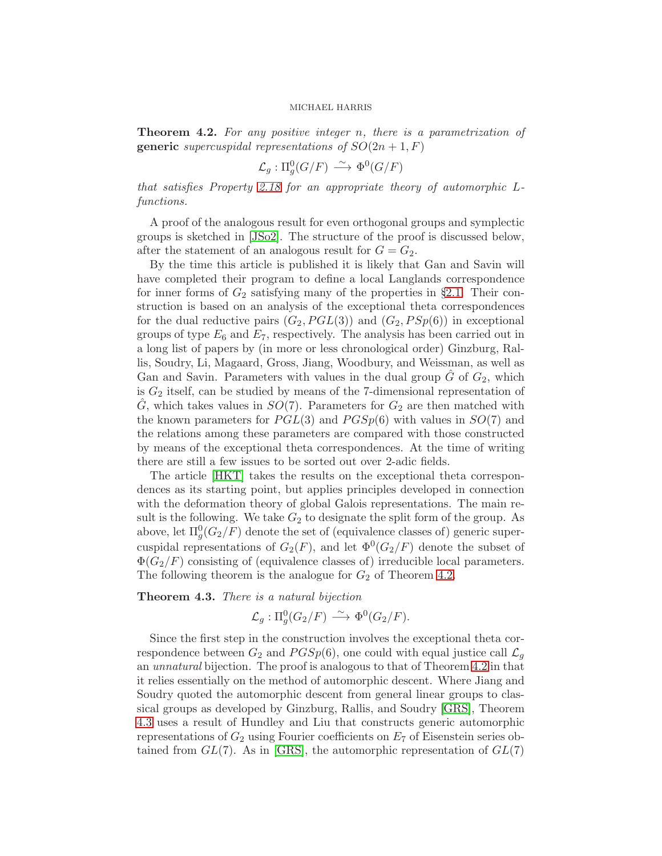<span id="page-23-0"></span>**Theorem 4.2.** For any positive integer n, there is a parametrization of **generic** supercuspidal representations of  $SO(2n+1, F)$ 

$$
\mathcal{L}_g: \Pi_g^0(G/F) \, \xrightarrow{\sim} \, \Phi^0(G/F)
$$

that satisfies Property [2.18](#page-14-0) for an appropriate theory of automorphic Lfunctions.

A proof of the analogous result for even orthogonal groups and symplectic groups is sketched in [\[JSo2\]](#page-50-15). The structure of the proof is discussed below, after the statement of an analogous result for  $G = G_2$ .

By the time this article is published it is likely that Gan and Savin will have completed their program to define a local Langlands correspondence for inner forms of  $G_2$  satisfying many of the properties in §[2.1.](#page-10-0) Their construction is based on an analysis of the exceptional theta correspondences for the dual reductive pairs  $(G_2, PGL(3))$  and  $(G_2, PSp(6))$  in exceptional groups of type  $E_6$  and  $E_7$ , respectively. The analysis has been carried out in a long list of papers by (in more or less chronological order) Ginzburg, Rallis, Soudry, Li, Magaard, Gross, Jiang, Woodbury, and Weissman, as well as Gan and Savin. Parameters with values in the dual group  $G$  of  $G_2$ , which is  $G_2$  itself, can be studied by means of the 7-dimensional representation of  $\ddot{G}$ , which takes values in  $SO(7)$ . Parameters for  $G_2$  are then matched with the known parameters for  $PGL(3)$  and  $PGSp(6)$  with values in  $SO(7)$  and the relations among these parameters are compared with those constructed by means of the exceptional theta correspondences. At the time of writing there are still a few issues to be sorted out over 2-adic fields.

The article [\[HKT\]](#page-49-14) takes the results on the exceptional theta correspondences as its starting point, but applies principles developed in connection with the deformation theory of global Galois representations. The main result is the following. We take  $G_2$  to designate the split form of the group. As above, let  $\Pi_g^0(G_2/F)$  denote the set of (equivalence classes of) generic supercuspidal representations of  $G_2(F)$ , and let  $\Phi^0(G_2/F)$  denote the subset of  $\Phi(G_2/F)$  consisting of (equivalence classes of) irreducible local parameters. The following theorem is the analogue for  $G_2$  of Theorem [4.2.](#page-23-0)

<span id="page-23-1"></span>Theorem 4.3. There is a natural bijection

$$
\mathcal{L}_g: \Pi_g^0(G_2/F) \stackrel{\sim}{\longrightarrow} \Phi^0(G_2/F).
$$

Since the first step in the construction involves the exceptional theta correspondence between  $G_2$  and  $PGSp(6)$ , one could with equal justice call  $\mathcal{L}_q$ an unnatural bijection. The proof is analogous to that of Theorem [4.2](#page-23-0) in that it relies essentially on the method of automorphic descent. Where Jiang and Soudry quoted the automorphic descent from general linear groups to classical groups as developed by Ginzburg, Rallis, and Soudry [\[GRS\]](#page-49-15), Theorem [4.3](#page-23-1) uses a result of Hundley and Liu that constructs generic automorphic representations of  $G_2$  using Fourier coefficients on  $E_7$  of Eisenstein series obtained from  $GL(7)$ . As in [\[GRS\]](#page-49-15), the automorphic representation of  $GL(7)$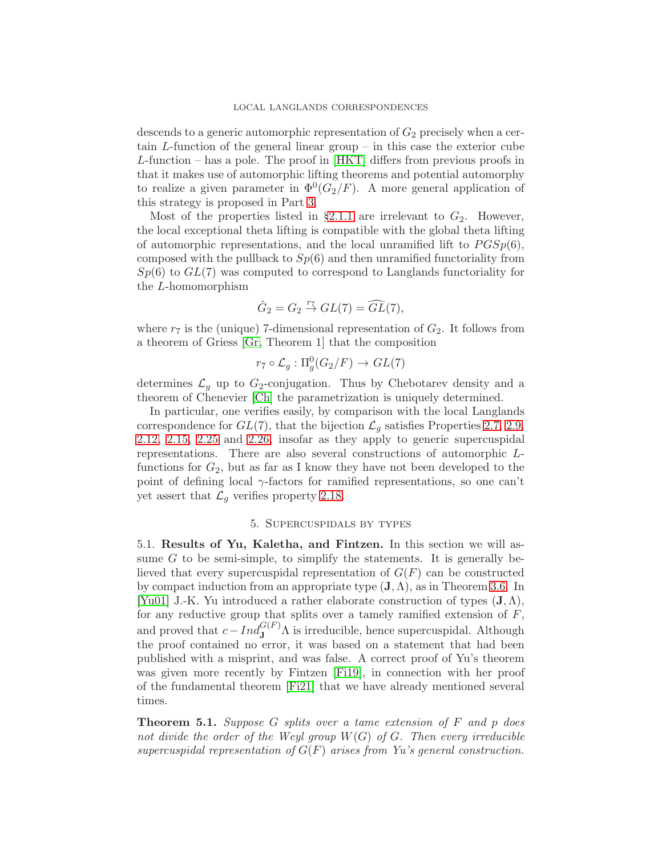descends to a generic automorphic representation of  $G_2$  precisely when a certain L-function of the general linear group – in this case the exterior cube L-function – has a pole. The proof in [\[HKT\]](#page-49-14) differs from previous proofs in that it makes use of automorphic lifting theorems and potential automorphy to realize a given parameter in  $\Phi^0(G_2/F)$ . A more general application of this strategy is proposed in Part [3.](#page-44-0)

Most of the properties listed in §[2.1.1](#page-11-3) are irrelevant to  $G_2$ . However, the local exceptional theta lifting is compatible with the global theta lifting of automorphic representations, and the local unramified lift to  $PGSp(6)$ , composed with the pullback to  $Sp(6)$  and then unramified functoriality from  $Sp(6)$  to  $GL(7)$  was computed to correspond to Langlands functoriality for the L-homomorphism

$$
\hat{G}_2 = G_2 \stackrel{r_7}{\rightarrow} GL(7) = \widehat{GL}(7),
$$

where  $r_7$  is the (unique) 7-dimensional representation of  $G_2$ . It follows from a theorem of Griess [\[Gr,](#page-49-16) Theorem 1] that the composition

$$
r_7 \circ \mathcal{L}_g : \Pi_g^0(G_2/F) \to GL(7)
$$

determines  $\mathcal{L}_g$  up to  $G_2$ -conjugation. Thus by Chebotarev density and a theorem of Chenevier [\[Ch\]](#page-48-14) the parametrization is uniquely determined.

In particular, one verifies easily, by comparison with the local Langlands correspondence for  $GL(7)$ , that the bijection  $\mathcal{L}_q$  satisfies Properties [2.7,](#page-11-5) [2.9,](#page-11-6) [2.12,](#page-12-2) [2.15,](#page-12-3) [2.25](#page-16-0) and [2.26,](#page-16-1) insofar as they apply to generic supercuspidal representations. There are also several constructions of automorphic Lfunctions for  $G_2$ , but as far as I know they have not been developed to the point of defining local  $\gamma$ -factors for ramified representations, so one can't yet assert that  $\mathcal{L}_q$  verifies property [2.18.](#page-14-0)

### 5. Supercuspidals by types

<span id="page-24-0"></span>5.1. Results of Yu, Kaletha, and Fintzen. In this section we will assume  $G$  to be semi-simple, to simplify the statements. It is generally believed that every supercuspidal representation of  $G(F)$  can be constructed by compact induction from an appropriate type  $(J, \Lambda)$ , as in Theorem [3.6.](#page-20-1) In [\[Yu01\]](#page-51-0) J.-K. Yu introduced a rather elaborate construction of types  $(\mathbf{J}, \Lambda)$ , for any reductive group that splits over a tamely ramified extension of  $F$ , and proved that  $c - Ind_{\mathbf{J}}^{G(F)} \Lambda$  is irreducible, hence supercuspidal. Although the proof contained no error, it was based on a statement that had been published with a misprint, and was false. A correct proof of Yu's theorem was given more recently by Fintzen [\[Fi19\]](#page-49-17), in connection with her proof of the fundamental theorem [\[Fi21\]](#page-49-3) that we have already mentioned several times.

<span id="page-24-1"></span>**Theorem 5.1.** Suppose G splits over a tame extension of  $F$  and  $p$  does not divide the order of the Weyl group  $W(G)$  of G. Then every irreducible supercuspidal representation of  $G(F)$  arises from Yu's general construction.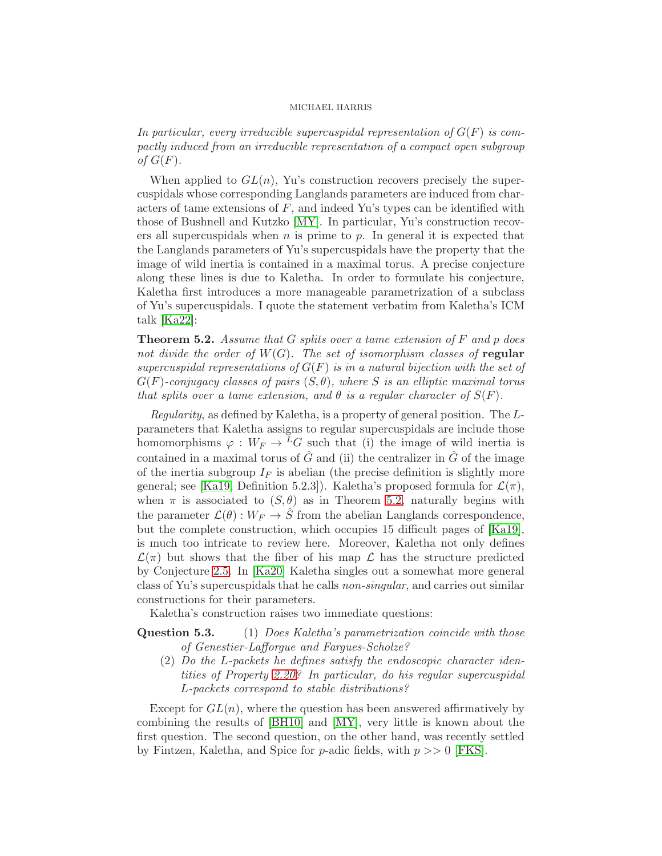In particular, every irreducible supercuspidal representation of  $G(F)$  is compactly induced from an irreducible representation of a compact open subgroup of  $G(F)$ .

When applied to  $GL(n)$ , Yu's construction recovers precisely the supercuspidals whose corresponding Langlands parameters are induced from characters of tame extensions of  $F$ , and indeed Yu's types can be identified with those of Bushnell and Kutzko [\[MY\]](#page-51-15). In particular, Yu's construction recovers all supercuspidals when  $n$  is prime to  $p$ . In general it is expected that the Langlands parameters of Yu's supercuspidals have the property that the image of wild inertia is contained in a maximal torus. A precise conjecture along these lines is due to Kaletha. In order to formulate his conjecture, Kaletha first introduces a more manageable parametrization of a subclass of Yu's supercuspidals. I quote the statement verbatim from Kaletha's ICM talk [\[Ka22\]](#page-50-8):

<span id="page-25-0"></span>**Theorem 5.2.** Assume that G splits over a tame extension of  $F$  and  $p$  does not divide the order of  $W(G)$ . The set of isomorphism classes of regular supercuspidal representations of  $G(F)$  is in a natural bijection with the set of  $G(F)$ -conjugacy classes of pairs  $(S, \theta)$ , where S is an elliptic maximal torus that splits over a tame extension, and  $\theta$  is a regular character of  $S(F)$ .

Regularity, as defined by Kaletha, is a property of general position. The Lparameters that Kaletha assigns to regular supercuspidals are include those homomorphisms  $\varphi : W_F \to L^2$  such that (i) the image of wild inertia is contained in a maximal torus of  $\hat{G}$  and (ii) the centralizer in  $\hat{G}$  of the image of the inertia subgroup  $I_F$  is abelian (the precise definition is slightly more general; see [\[Ka19,](#page-50-0) Definition 5.2.3]). Kaletha's proposed formula for  $\mathcal{L}(\pi)$ , when  $\pi$  is associated to  $(S, \theta)$  as in Theorem [5.2,](#page-25-0) naturally begins with the parameter  $\mathcal{L}(\theta): W_F \to \hat{S}$  from the abelian Langlands correspondence, but the complete construction, which occupies 15 difficult pages of [\[Ka19\]](#page-50-0), is much too intricate to review here. Moreover, Kaletha not only defines  $\mathcal{L}(\pi)$  but shows that the fiber of his map  $\mathcal{L}$  has the structure predicted by Conjecture [2.5.](#page-9-0) In [\[Ka20\]](#page-50-5) Kaletha singles out a somewhat more general class of Yu's supercuspidals that he calls non-singular, and carries out similar constructions for their parameters.

Kaletha's construction raises two immediate questions:

# Question 5.3. (1) Does Kaletha's parametrization coincide with those of Genestier-Lafforgue and Fargues-Scholze?

(2) Do the L-packets he defines satisfy the endoscopic character identities of Property [2.20?](#page-15-1) In particular, do his regular supercuspidal L-packets correspond to stable distributions?

Except for  $GL(n)$ , where the question has been answered affirmatively by combining the results of [\[BH10\]](#page-48-12) and [\[MY\]](#page-51-15), very little is known about the first question. The second question, on the other hand, was recently settled by Fintzen, Kaletha, and Spice for p-adic fields, with  $p \gg 0$  [\[FKS\]](#page-49-18).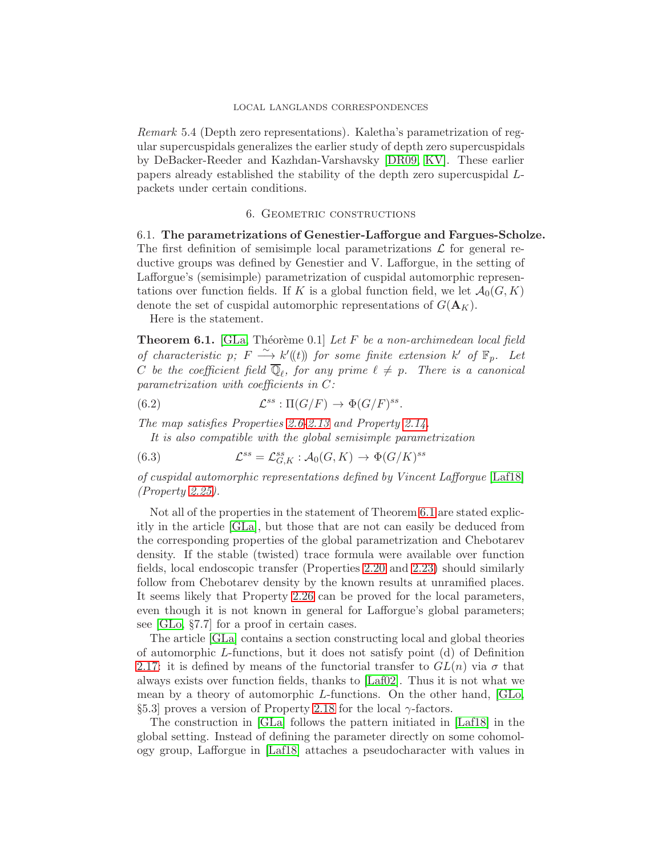Remark 5.4 (Depth zero representations). Kaletha's parametrization of regular supercuspidals generalizes the earlier study of depth zero supercuspidals by DeBacker-Reeder and Kazhdan-Varshavsky [\[DR09,](#page-48-15) [KV\]](#page-50-16). These earlier papers already established the stability of the depth zero supercuspidal Lpackets under certain conditions.

## 6. Geometric constructions

6.1. The parametrizations of Genestier-Lafforgue and Fargues-Scholze. The first definition of semisimple local parametrizations  $\mathcal L$  for general reductive groups was defined by Genestier and V. Lafforgue, in the setting of Lafforgue's (semisimple) parametrization of cuspidal automorphic representations over function fields. If K is a global function field, we let  $\mathcal{A}_0(G, K)$ denote the set of cuspidal automorphic representations of  $G(\mathbf{A}_K)$ .

Here is the statement.

<span id="page-26-0"></span>**Theorem 6.1.** [\[GLa,](#page-49-1) Théorème 0.1] Let F be a non-archimedean local field of characteristic p;  $F \stackrel{\sim}{\longrightarrow} k'(t)$  for some finite extension  $k'$  of  $\mathbb{F}_p$ . Let C be the coefficient field  $\mathbb{Q}_{\ell}$ , for any prime  $\ell \neq p$ . There is a canonical parametrization with coefficients in C:

(6.2) 
$$
\mathcal{L}^{ss} : \Pi(G/F) \to \Phi(G/F)^{ss}.
$$

The map satisfies Properties [2.6](#page-11-4)[-2.13](#page-12-1) and Property [2.14.](#page-12-0)

It is also compatible with the global semisimple parametrization

(6.3) 
$$
\mathcal{L}^{ss} = \mathcal{L}_{G,K}^{ss} : \mathcal{A}_0(G,K) \to \Phi(G/K)^{ss}
$$

of cuspidal automorphic representations defined by Vincent Lafforgue [\[Laf18\]](#page-50-4) (Property [2.25\)](#page-16-0).

Not all of the properties in the statement of Theorem [6.1](#page-26-0) are stated explicitly in the article [\[GLa\]](#page-49-1), but those that are not can easily be deduced from the corresponding properties of the global parametrization and Chebotarev density. If the stable (twisted) trace formula were available over function fields, local endoscopic transfer (Properties [2.20](#page-15-1) and [2.23\)](#page-15-2) should similarly follow from Chebotarev density by the known results at unramified places. It seems likely that Property [2.26](#page-16-1) can be proved for the local parameters, even though it is not known in general for Lafforgue's global parameters; see [\[GLo,](#page-49-19) §7.7] for a proof in certain cases.

The article [\[GLa\]](#page-49-1) contains a section constructing local and global theories of automorphic L-functions, but it does not satisfy point (d) of Definition [2.17:](#page-13-1) it is defined by means of the functorial transfer to  $GL(n)$  via  $\sigma$  that always exists over function fields, thanks to [\[Laf02\]](#page-50-2). Thus it is not what we mean by a theory of automorphic L-functions. On the other hand, [\[GLo,](#page-49-19) §5.3] proves a version of Property [2.18](#page-14-0) for the local  $\gamma$ -factors.

The construction in [\[GLa\]](#page-49-1) follows the pattern initiated in [\[Laf18\]](#page-50-4) in the global setting. Instead of defining the parameter directly on some cohomology group, Lafforgue in [\[Laf18\]](#page-50-4) attaches a pseudocharacter with values in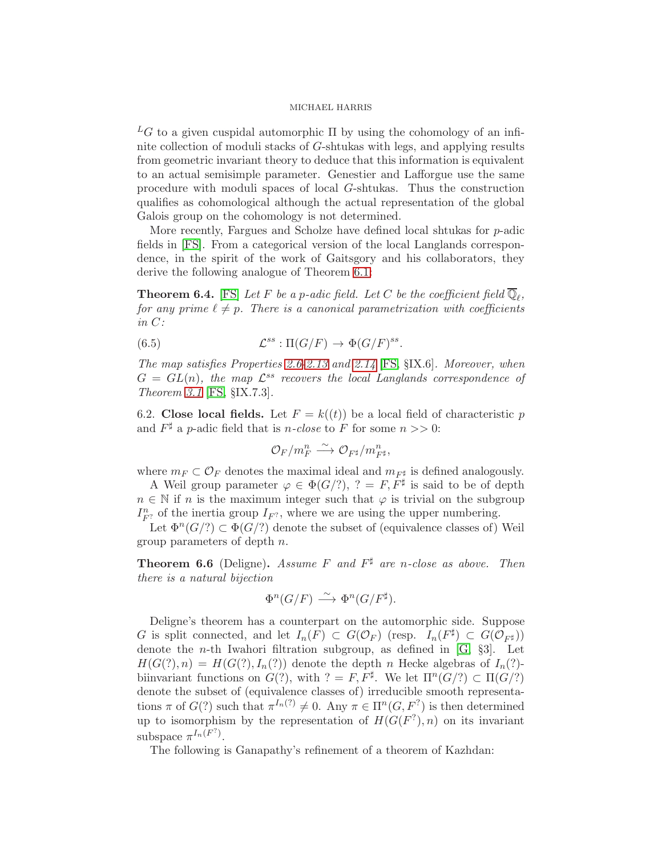${}^L G$  to a given cuspidal automorphic  $\Pi$  by using the cohomology of an infinite collection of moduli stacks of G-shtukas with legs, and applying results from geometric invariant theory to deduce that this information is equivalent to an actual semisimple parameter. Genestier and Lafforgue use the same procedure with moduli spaces of local G-shtukas. Thus the construction qualifies as cohomological although the actual representation of the global Galois group on the cohomology is not determined.

More recently, Fargues and Scholze have defined local shtukas for p-adic fields in [\[FS\]](#page-49-2). From a categorical version of the local Langlands correspondence, in the spirit of the work of Gaitsgory and his collaborators, they derive the following analogue of Theorem [6.1:](#page-26-0)

<span id="page-27-0"></span>**Theorem 6.4.** [\[FS\]](#page-49-2) Let F be a p-adic field. Let C be the coefficient field  $\mathbb{Q}_{\ell}$ , for any prime  $\ell \neq p$ . There is a canonical parametrization with coefficients in C:

(6.5) 
$$
\mathcal{L}^{ss} : \Pi(G/F) \to \Phi(G/F)^{ss}.
$$

The map satisfies Properties [2.6-](#page-11-4)[2.13](#page-12-1) and [2.14](#page-12-0) [\[FS,](#page-49-2) §IX.6]. Moreover, when  $G = GL(n)$ , the map  $\mathcal{L}^{ss}$  recovers the local Langlands correspondence of Theorem [3.1](#page-17-1) [\[FS,](#page-49-2) §IX.7.3].

<span id="page-27-1"></span>6.2. Close local fields. Let  $F = k((t))$  be a local field of characteristic p and  $F^{\sharp}$  a p-adic field that is n-close to F for some  $n >> 0$ :

$$
\mathcal{O}_F/m_F^n \stackrel{\sim}{\longrightarrow} \mathcal{O}_{F^{\sharp}}/m_{F^{\sharp}}^n,
$$

where  $m_F \subset \mathcal{O}_F$  denotes the maximal ideal and  $m_{F^{\sharp}}$  is defined analogously.

A Weil group parameter  $\varphi \in \Phi(G/?)$ ,  $? = F, F^{\sharp}$  is said to be of depth  $n \in \mathbb{N}$  if n is the maximum integer such that  $\varphi$  is trivial on the subgroup  $I_{F^2}^n$  of the inertia group  $I_{F^2}$ , where we are using the upper numbering.

Let  $\Phi^{n}(G/?) \subset \Phi(G/?)$  denote the subset of (equivalence classes of) Weil group parameters of depth n.

<span id="page-27-2"></span>**Theorem 6.6** (Deligne). Assume F and  $F^{\sharp}$  are n-close as above. Then there is a natural bijection

$$
\Phi^n(G/F) \stackrel{\sim}{\longrightarrow} \Phi^n(G/F^{\sharp}).
$$

Deligne's theorem has a counterpart on the automorphic side. Suppose G is split connected, and let  $I_n(F) \subset G(\mathcal{O}_F)$  (resp.  $I_n(F^{\sharp}) \subset G(\mathcal{O}_{F^{\sharp}})$ ) denote the *n*-th Iwahori filtration subgroup, as defined in  $[G, §3]$ . Let  $H(G(?) , n) = H(G(?) , I_n(?)$  denote the depth n Hecke algebras of  $I_n(?)$ biinvariant functions on  $G(?)$ , with  $? = F, F^{\sharp}$ . We let  $\Pi^{n}(G/?) \subset \Pi(G/?)$ denote the subset of (equivalence classes of) irreducible smooth representations  $\pi$  of  $G(?)$  such that  $\pi^{I_n(?)} \neq 0$ . Any  $\pi \in \Pi^n(G, F^?)$  is then determined up to isomorphism by the representation of  $H(G(F^?), n)$  on its invariant subspace  $\pi^{I_n(F^2)}$ .

The following is Ganapathy's refinement of a theorem of Kazhdan: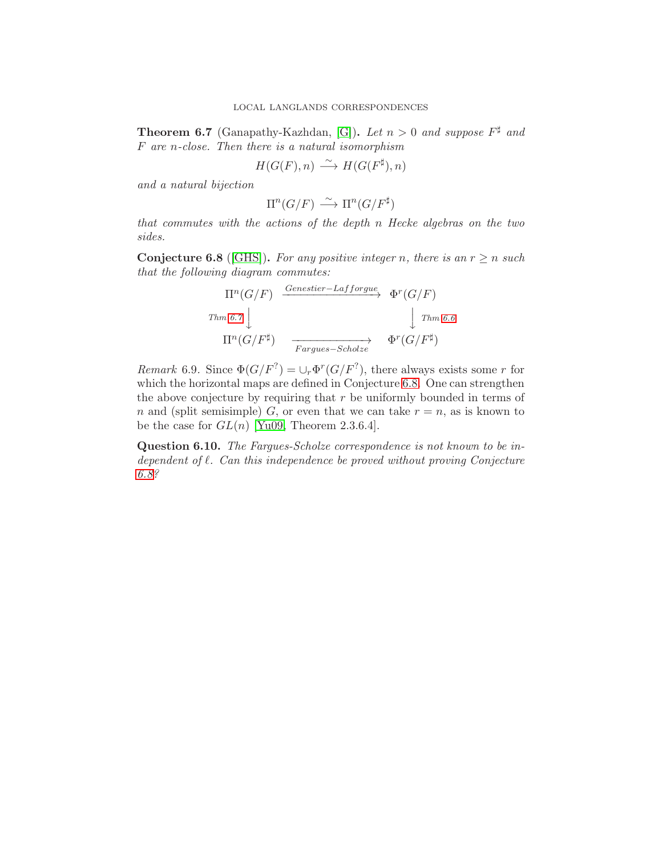<span id="page-28-0"></span>**Theorem 6.7** (Ganapathy-Kazhdan, [\[G\]](#page-49-20)). Let  $n > 0$  and suppose  $F^{\sharp}$  and F are n-close. Then there is a natural isomorphism

$$
H(G(F), n) \xrightarrow{\sim} H(G(F^{\sharp}), n)
$$

and a natural bijection

$$
\Pi^n(G/F) \xrightarrow{\sim} \Pi^n(G/F^{\sharp})
$$

that commutes with the actions of the depth n Hecke algebras on the two sides.

<span id="page-28-1"></span>**Conjecture 6.8** ([\[GHS\]](#page-49-0)). For any positive integer n, there is an  $r \ge n$  such that the following diagram commutes:

$$
\Pi^{n}(G/F) \xrightarrow{\text{Genestier} - \text{Lafforgue}} \Phi^{r}(G/F)
$$
\n
$$
\downarrow \text{Thm 6.6}
$$
\n
$$
\Pi^{n}(G/F^{\sharp}) \xrightarrow{\text{Fargues} - \text{Scholze}} \Phi^{r}(G/F^{\sharp})
$$

*Remark* 6.9. Since  $\Phi(G/F^?) = \cup_r \Phi^r(G/F^?)$ , there always exists some r for which the horizontal maps are defined in Conjecture [6.8.](#page-28-1) One can strengthen the above conjecture by requiring that  $r$  be uniformly bounded in terms of n and (split semisimple) G, or even that we can take  $r = n$ , as is known to be the case for  $GL(n)$  [\[Yu09,](#page-51-16) Theorem 2.3.6.4].

Question 6.10. The Fargues-Scholze correspondence is not known to be independent of  $\ell$ . Can this independence be proved without proving Conjecture [6.8?](#page-28-1)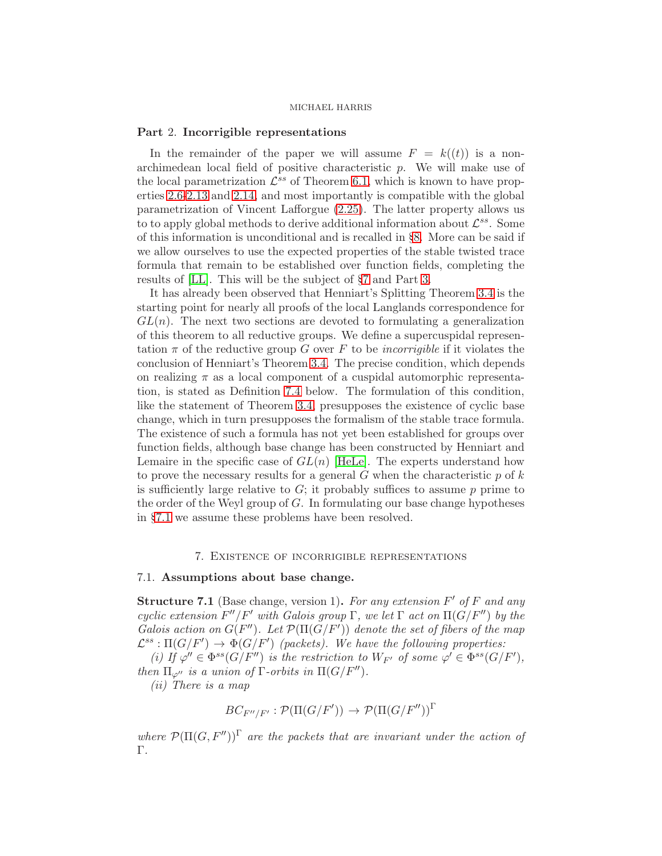### Part 2. Incorrigible representations

In the remainder of the paper we will assume  $F = k((t))$  is a nonarchimedean local field of positive characteristic p. We will make use of the local parametrization  $\mathcal{L}^{ss}$  of Theorem [6.1,](#page-26-0) which is known to have properties [2.6](#page-11-4)[-2.13](#page-12-1) and [2.14,](#page-12-0) and most importantly is compatible with the global parametrization of Vincent Lafforgue [\(2.25\)](#page-16-0). The latter property allows us to to apply global methods to derive additional information about  $\mathcal{L}^{ss}$ . Some of this information is unconditional and is recalled in §[8.](#page-40-0) More can be said if we allow ourselves to use the expected properties of the stable twisted trace formula that remain to be established over function fields, completing the results of [\[LL\]](#page-50-17). This will be the subject of §[7](#page-29-0) and Part [3.](#page-44-0)

It has already been observed that Henniart's Splitting Theorem [3.4](#page-18-2) is the starting point for nearly all proofs of the local Langlands correspondence for  $GL(n)$ . The next two sections are devoted to formulating a generalization of this theorem to all reductive groups. We define a supercuspidal representation  $\pi$  of the reductive group G over F to be *incorrigible* if it violates the conclusion of Henniart's Theorem [3.4.](#page-18-2) The precise condition, which depends on realizing  $\pi$  as a local component of a cuspidal automorphic representation, is stated as Definition [7.4](#page-31-1) below. The formulation of this condition, like the statement of Theorem [3.4,](#page-18-2) presupposes the existence of cyclic base change, which in turn presupposes the formalism of the stable trace formula. The existence of such a formula has not yet been established for groups over function fields, although base change has been constructed by Henniart and Lemaire in the specific case of  $GL(n)$  [\[HeLe\]](#page-50-18). The experts understand how to prove the necessary results for a general  $G$  when the characteristic  $p$  of  $k$ is sufficiently large relative to  $G$ ; it probably suffices to assume p prime to the order of the Weyl group of G. In formulating our base change hypotheses in §[7.1](#page-29-1) we assume these problems have been resolved.

## 7. Existence of incorrigible representations

## <span id="page-29-1"></span><span id="page-29-0"></span>7.1. Assumptions about base change.

<span id="page-29-2"></span>**Structure 7.1** (Base change, version 1). For any extension  $F'$  of  $F$  and any cyclic extension  $F''/F'$  with Galois group  $\Gamma$ , we let  $\Gamma$  act on  $\Pi(G/F'')$  by the Galois action on  $G(F'')$ . Let  $\mathcal{P}(\Pi(G/F'))$  denote the set of fibers of the map  $\mathcal{L}^{ss}: \Pi(G/F') \rightarrow \Phi(G/F')$  (packets). We have the following properties:

(i) If  $\varphi'' \in \Phi^{ss}(G/F'')$  is the restriction to  $W_{F'}$  of some  $\varphi' \in \Phi^{ss}(G/F')$ , then  $\Pi_{\varphi''}$  is a union of  $\Gamma$ -orbits in  $\Pi(G/F'')$ .

(ii) There is a map

$$
BC_{F''/F'} : \mathcal{P}(\Pi(G/F')) \to \mathcal{P}(\Pi(G/F''))^{\Gamma}
$$

where  $\mathcal{P}(\Pi(G, F''))^{\Gamma}$  are the packets that are invariant under the action of Γ.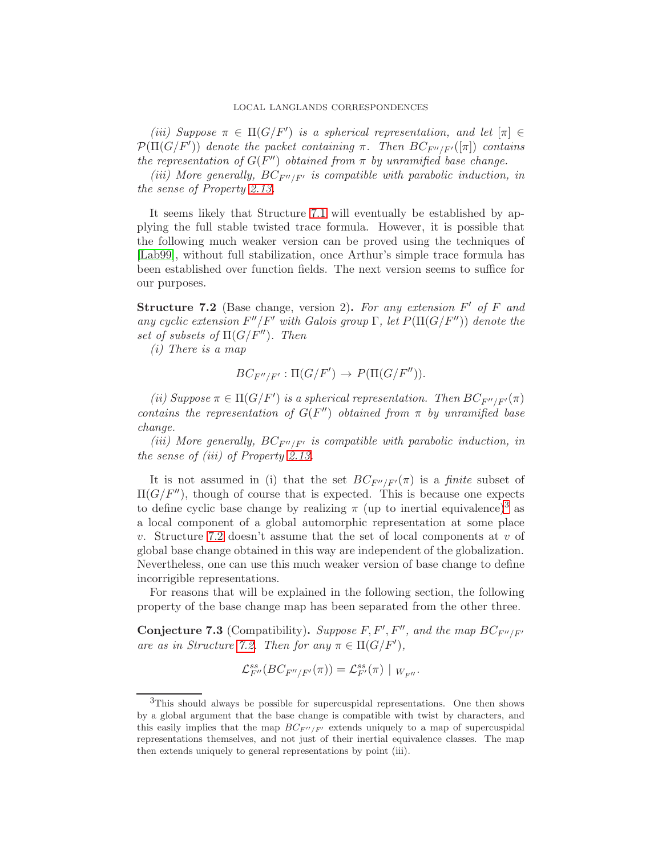(iii) Suppose  $\pi \in \Pi(G/F')$  is a spherical representation, and let  $[\pi] \in$  $\mathcal{P}(\Pi(G/F'))$  denote the packet containing  $\pi$ . Then  $BC_{F''/F'}([\pi])$  contains the representation of  $G(F'')$  obtained from  $\pi$  by unramified base change.

(iii) More generally,  $BC_{F''/F'}$  is compatible with parabolic induction, in the sense of Property [2.13.](#page-12-1)

It seems likely that Structure [7.1](#page-29-2) will eventually be established by applying the full stable twisted trace formula. However, it is possible that the following much weaker version can be proved using the techniques of [\[Lab99\]](#page-50-19), without full stabilization, once Arthur's simple trace formula has been established over function fields. The next version seems to suffice for our purposes.

<span id="page-30-1"></span>**Structure 7.2** (Base change, version 2). For any extension  $F'$  of  $F$  and any cyclic extension  $F''/F'$  with Galois group  $\Gamma$ , let  $P(\Pi(G/F''))$  denote the set of subsets of  $\Pi(G/F'')$ . Then

(i) There is a map

$$
BC_{F''/F'}:\Pi(G/F')\to P(\Pi(G/F'')).
$$

(ii) Suppose  $\pi \in \Pi(G/F')$  is a spherical representation. Then  $BC_{F''/F'}(\pi)$ contains the representation of  $G(F'')$  obtained from  $\pi$  by unramified base change.

(iii) More generally,  $BC_{F''/F'}$  is compatible with parabolic induction, in the sense of (iii) of Property [2.13.](#page-12-1)

It is not assumed in (i) that the set  $BC_{F''/F'}(\pi)$  is a finite subset of  $\Pi(G/F'')$ , though of course that is expected. This is because one expects to define cyclic base change by realizing  $\pi$  (up to inertial equivalence)<sup>[3](#page-30-0)</sup> as a local component of a global automorphic representation at some place v. Structure [7.2](#page-30-1) doesn't assume that the set of local components at  $v$  of global base change obtained in this way are independent of the globalization. Nevertheless, one can use this much weaker version of base change to define incorrigible representations.

For reasons that will be explained in the following section, the following property of the base change map has been separated from the other three.

<span id="page-30-2"></span>**Conjecture 7.3** (Compatibility). Suppose F, F', F'', and the map  $BC_{F''/F'}$ are as in Structure [7.2.](#page-30-1) Then for any  $\pi \in \Pi(G/F')$ ,

$$
\mathcal{L}_{F''}^{ss}(BC_{F''/F'}(\pi)) = \mathcal{L}_{F'}^{ss}(\pi) |_{W_{F''}}.
$$

<span id="page-30-0"></span><sup>&</sup>lt;sup>3</sup>This should always be possible for supercuspidal representations. One then shows by a global argument that the base change is compatible with twist by characters, and this easily implies that the map  $BC_{F''/F'}$  extends uniquely to a map of supercuspidal representations themselves, and not just of their inertial equivalence classes. The map then extends uniquely to general representations by point (iii).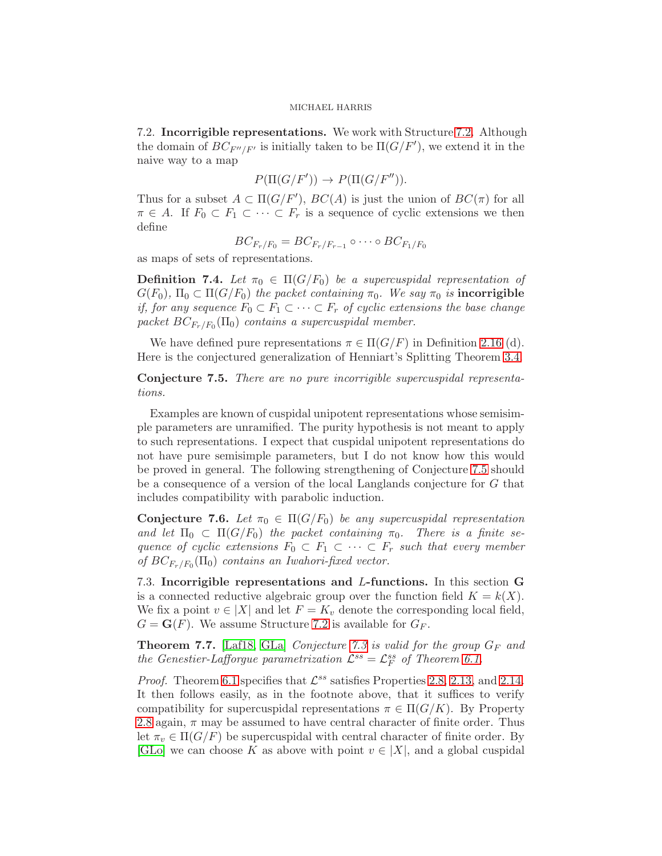<span id="page-31-0"></span>7.2. Incorrigible representations. We work with Structure [7.2.](#page-30-1) Although the domain of  $BC_{F''/F'}$  is initially taken to be  $\Pi(G/F')$ , we extend it in the naive way to a map

$$
P(\Pi(G/F')) \to P(\Pi(G/F'')).
$$

Thus for a subset  $A \subset \Pi(G/F')$ ,  $BC(A)$  is just the union of  $BC(\pi)$  for all  $\pi \in A$ . If  $F_0 \subset F_1 \subset \cdots \subset F_r$  is a sequence of cyclic extensions we then define

$$
BC_{F_r/F_0} = BC_{F_r/F_{r-1}} \circ \cdots \circ BC_{F_1/F_0}
$$

as maps of sets of representations.

<span id="page-31-1"></span>**Definition 7.4.** Let  $\pi_0 \in \Pi(G/F_0)$  be a supercuspidal representation of  $G(F_0)$ ,  $\Pi_0 \subset \Pi(G/F_0)$  the packet containing  $\pi_0$ . We say  $\pi_0$  is incorrigible if, for any sequence  $F_0 \subset F_1 \subset \cdots \subset F_r$  of cyclic extensions the base change packet  $BC_{F_r/F_0}(\Pi_0)$  contains a supercuspidal member.

We have defined pure representations  $\pi \in \Pi(G/F)$  in Definition [2.16](#page-12-4) (d). Here is the conjectured generalization of Henniart's Splitting Theorem [3.4.](#page-18-2)

<span id="page-31-2"></span>Conjecture 7.5. There are no pure incorrigible supercuspidal representations.

Examples are known of cuspidal unipotent representations whose semisimple parameters are unramified. The purity hypothesis is not meant to apply to such representations. I expect that cuspidal unipotent representations do not have pure semisimple parameters, but I do not know how this would be proved in general. The following strengthening of Conjecture [7.5](#page-31-2) should be a consequence of a version of the local Langlands conjecture for G that includes compatibility with parabolic induction.

<span id="page-31-4"></span>**Conjecture 7.6.** Let  $\pi_0 \in \Pi(G/F_0)$  be any supercuspidal representation and let  $\Pi_0 \subset \Pi(G/F_0)$  the packet containing  $\pi_0$ . There is a finite sequence of cyclic extensions  $F_0 \subset F_1 \subset \cdots \subset F_r$  such that every member of  $BC_{F_r/F_0}(\Pi_0)$  contains an Iwahori-fixed vector.

<span id="page-31-5"></span>7.3. Incorrigible representations and L-functions. In this section G is a connected reductive algebraic group over the function field  $K = k(X)$ . We fix a point  $v \in |X|$  and let  $F = K_v$  denote the corresponding local field,  $G = \mathbf{G}(F)$ . We assume Structure [7.2](#page-30-1) is available for  $G_F$ .

<span id="page-31-3"></span>**Theorem 7.7.** [\[Laf18,](#page-50-4) [GLa\]](#page-49-1) Conjecture [7.3](#page-30-2) is valid for the group  $G_F$  and the Genestier-Lafforgue parametrization  $\mathcal{L}^{ss} = \mathcal{L}_F^{ss}$  of Theorem [6.1.](#page-26-0)

*Proof.* Theorem [6.1](#page-26-0) specifies that  $\mathcal{L}^{ss}$  satisfies Properties [2.8,](#page-11-0) [2.13,](#page-12-1) and [2.14.](#page-12-0) It then follows easily, as in the footnote above, that it suffices to verify compatibility for supercuspidal representations  $\pi \in \Pi(G/K)$ . By Property [2.8](#page-11-0) again,  $\pi$  may be assumed to have central character of finite order. Thus let  $\pi_v \in \Pi(G/F)$  be supercuspidal with central character of finite order. By [\[GLo\]](#page-49-19) we can choose K as above with point  $v \in |X|$ , and a global cuspidal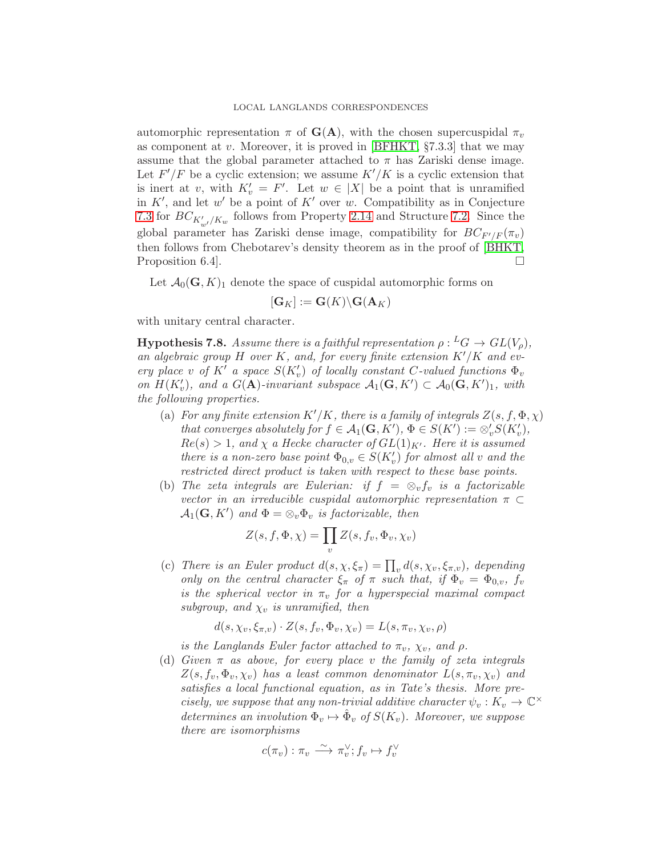automorphic representation  $\pi$  of  $G(A)$ , with the chosen supercuspidal  $\pi_v$ as component at v. Moreover, it is proved in  $[BFHKT, §7.3.3]$  that we may assume that the global parameter attached to  $\pi$  has Zariski dense image. Let  $F'/F$  be a cyclic extension; we assume  $K'/K$  is a cyclic extension that is inert at v, with  $K'_v = F'$ . Let  $w \in |X|$  be a point that is unramified in  $K'$ , and let  $w'$  be a point of  $K'$  over w. Compatibility as in Conjecture [7.3](#page-30-2) for  $BC_{K'_{w'}/K_w}$  follows from Property [2.14](#page-12-0) and Structure [7.2.](#page-30-1) Since the global parameter has Zariski dense image, compatibility for  $BC_{F'/F}(\pi_v)$ then follows from Chebotarev's density theorem as in the proof of [\[BHKT,](#page-48-17) Proposition 6.4.

Let  $\mathcal{A}_0(\mathbf{G}, K)_1$  denote the space of cuspidal automorphic forms on

$$
[\mathbf{G}_K] := \mathbf{G}(K) \backslash \mathbf{G}(\mathbf{A}_K)
$$

with unitary central character.

<span id="page-32-0"></span>**Hypothesis 7.8.** Assume there is a faithful representation  $\rho: {}^L G \to GL(V_\rho)$ , an algebraic group H over K, and, for every finite extension  $K'/K$  and every place v of  $K^l$  a space  $S(K'_v)$  of locally constant C-valued functions  $\Phi_v$ on  $H(K'_v)$ , and a  $G(A)$ -invariant subspace  $\mathcal{A}_1(G, K') \subset \mathcal{A}_0(G, K')_1$ , with the following properties.

- (a) For any finite extension  $K'/K$ , there is a family of integrals  $Z(s, f, \Phi, \chi)$ that converges absolutely for  $f \in \mathcal{A}_1(\mathbf{G}, K')$ ,  $\Phi \in S(K') := \otimes_v' S(K_v')$ ,  $Re(s) > 1$ , and  $\chi$  a Hecke character of  $GL(1)_{K'}$ . Here it is assumed there is a non-zero base point  $\Phi_{0,v} \in S(K'_v)$  for almost all v and the restricted direct product is taken with respect to these base points.
- (b) The zeta integrals are Eulerian: if  $f = \otimes_v f_v$  is a factorizable vector in an irreducible cuspidal automorphic representation  $\pi \subset$  $\mathcal{A}_1(\mathbf{G}, K')$  and  $\Phi = \otimes_v \Phi_v$  is factorizable, then

$$
Z(s, f, \Phi, \chi) = \prod_{v} Z(s, f_v, \Phi_v, \chi_v)
$$

(c) There is an Euler product  $d(s, \chi, \xi_{\pi}) = \prod_{v} d(s, \chi_{v}, \xi_{\pi,v})$ , depending only on the central character  $\xi_{\pi}$  of  $\pi$  such that, if  $\Phi_{v} = \Phi_{0,v}$ ,  $f_{v}$ is the spherical vector in  $\pi_v$  for a hyperspecial maximal compact subgroup, and  $\chi_v$  is unramified, then

$$
d(s, \chi_v, \xi_{\pi,v}) \cdot Z(s, f_v, \Phi_v, \chi_v) = L(s, \pi_v, \chi_v, \rho)
$$

is the Langlands Euler factor attached to  $\pi_v$ ,  $\chi_v$ , and  $\rho$ .

(d) Given  $\pi$  as above, for every place v the family of zeta integrals  $Z(s, f_v, \Phi_v, \chi_v)$  has a least common denominator  $L(s, \pi_v, \chi_v)$  and satisfies a local functional equation, as in Tate's thesis. More precisely, we suppose that any non-trivial additive character  $\psi_v : K_v \to \mathbb{C}^\times$ determines an involution  $\Phi_v \mapsto \hat{\Phi}_v$  of  $S(K_v)$ . Moreover, we suppose there are isomorphisms

$$
c(\pi_v) : \pi_v \xrightarrow{\sim} \pi_v^{\vee}; f_v \mapsto f_v^{\vee}
$$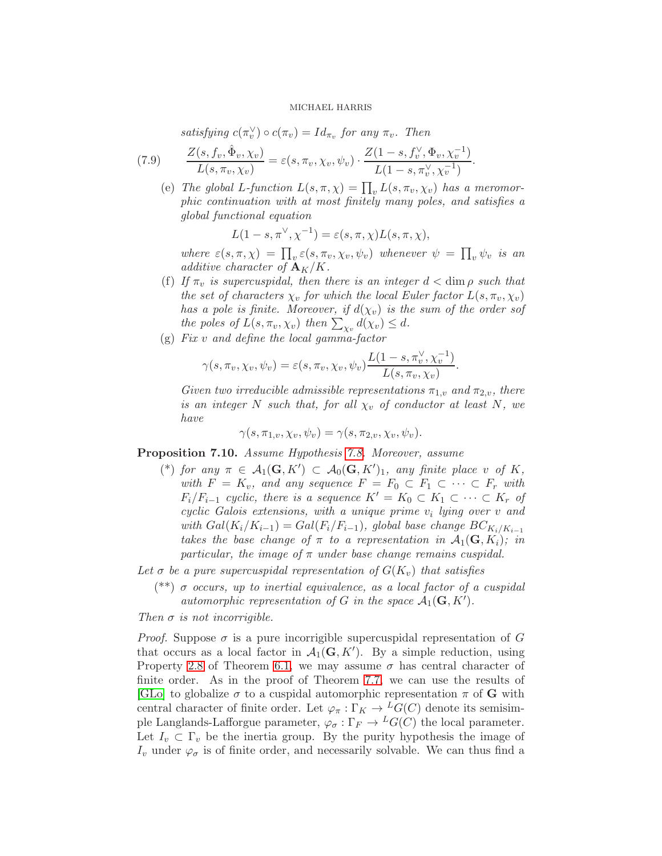satisfying  $c(\pi_v^{\vee})$  $(v_v) \circ c(\pi_v) = Id_{\pi_v}$  for any  $\pi_v$ . Then

(7.9) 
$$
\frac{Z(s, f_v, \hat{\Phi}_v, \chi_v)}{L(s, \pi_v, \chi_v)} = \varepsilon(s, \pi_v, \chi_v, \psi_v) \cdot \frac{Z(1-s, f_v^{\vee}, \Phi_v, \chi_v^{-1})}{L(1-s, \pi_v^{\vee}, \chi_v^{-1})}
$$

(e) The global L-function  $L(s, \pi, \chi) = \prod_v L(s, \pi_v, \chi_v)$  has a meromorphic continuation with at most finitely many poles, and satisfies a global functional equation

.

$$
L(1-s, \pi^{\vee}, \chi^{-1}) = \varepsilon(s, \pi, \chi)L(s, \pi, \chi),
$$

where  $\varepsilon(s,\pi,\chi) = \prod_{v} \varepsilon(s,\pi_v,\chi_v,\psi_v)$  whenever  $\psi = \prod_{v} \psi_v$  is an additive character of  ${\bf A}_K/K$ .

- (f) If  $\pi_v$  is supercuspidal, then there is an integer  $d < \dim \rho$  such that the set of characters  $\chi_v$  for which the local Euler factor  $L(s, \pi_v, \chi_v)$ has a pole is finite. Moreover, if  $d(\chi_v)$  is the sum of the order sof the poles of  $L(s, \pi_v, \chi_v)$  then  $\sum_{\chi_v} d(\chi_v) \leq d$ .
- (g) Fix v and define the local gamma-factor

$$
\gamma(s,\pi_v,\chi_v,\psi_v)=\varepsilon(s,\pi_v,\chi_v,\psi_v)\frac{L(1-s,\pi_v^{\vee},\chi_v^{-1})}{L(s,\pi_v,\chi_v)}.
$$

Given two irreducible admissible representations  $\pi_{1,v}$  and  $\pi_{2,v}$ , there is an integer N such that, for all  $\chi_v$  of conductor at least N, we have

$$
\gamma(s,\pi_{1,v},\chi_v,\psi_v)=\gamma(s,\pi_{2,v},\chi_v,\psi_v).
$$

<span id="page-33-0"></span>Proposition 7.10. Assume Hypothesis [7.8.](#page-32-0) Moreover, assume

(\*) for any  $\pi \in \mathcal{A}_1(\mathbf{G}, K') \subset \mathcal{A}_0(\mathbf{G}, K')_1$ , any finite place v of K, with  $F = K_v$ , and any sequence  $F = F_0 \subset F_1 \subset \cdots \subset F_r$  with  $F_i/F_{i-1}$  cyclic, there is a sequence  $K' = K_0 \subset K_1 \subset \cdots \subset K_r$  of  $cyclic$  Galois extensions, with a unique prime  $v_i$  lying over  $v$  and with  $Gal(K_i/K_{i-1}) = Gal(F_i/F_{i-1}),$  global base change  $BC_{K_i/K_{i-1}}$ takes the base change of  $\pi$  to a representation in  $\mathcal{A}_1(\mathbf{G}, K_i)$ ; in particular, the image of  $\pi$  under base change remains cuspidal.

Let  $\sigma$  be a pure supercuspidal representation of  $G(K_v)$  that satisfies

(\*\*)  $\sigma$  occurs, up to inertial equivalence, as a local factor of a cuspidal automorphic representation of G in the space  $A_1(G, K')$ .

Then  $\sigma$  is not incorrigible.

*Proof.* Suppose  $\sigma$  is a pure incorrigible supercuspidal representation of G that occurs as a local factor in  $\mathcal{A}_1(\mathbf{G}, K')$ . By a simple reduction, using Property [2.8](#page-11-0) of Theorem [6.1,](#page-26-0) we may assume  $\sigma$  has central character of finite order. As in the proof of Theorem [7.7,](#page-31-3) we can use the results of [\[GLo\]](#page-49-19) to globalize  $\sigma$  to a cuspidal automorphic representation  $\pi$  of **G** with central character of finite order. Let  $\varphi_{\pi}: \Gamma_K \to {}^L G(C)$  denote its semisimple Langlands-Lafforgue parameter,  $\varphi_{\sigma} : \Gamma_F \to {}^L G(C)$  the local parameter. Let  $I_v \subset \Gamma_v$  be the inertia group. By the purity hypothesis the image of  $I_v$  under  $\varphi_{\sigma}$  is of finite order, and necessarily solvable. We can thus find a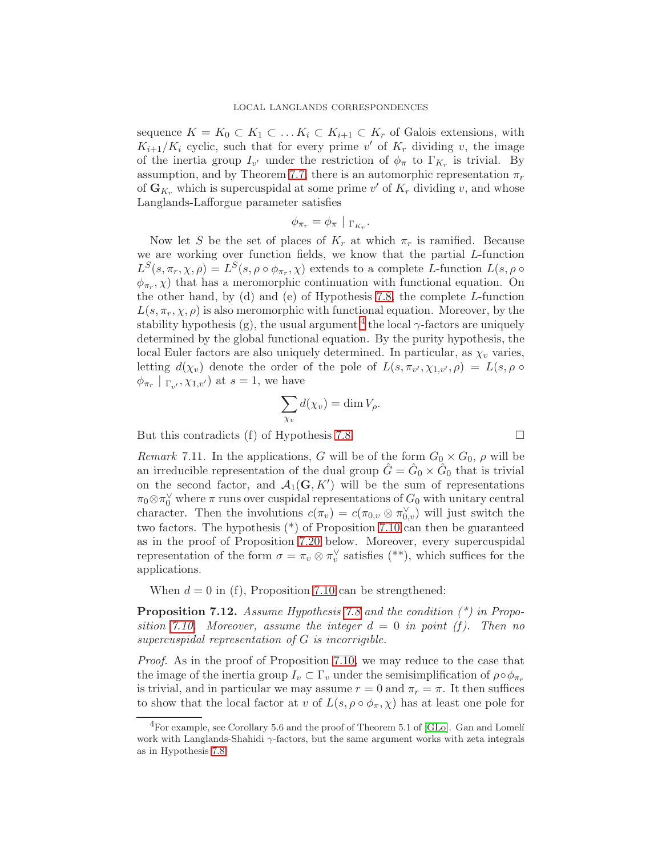sequence  $K = K_0 \subset K_1 \subset \ldots K_i \subset K_{i+1} \subset K_r$  of Galois extensions, with  $K_{i+1}/K_i$  cyclic, such that for every prime v' of  $K_r$  dividing v, the image of the inertia group  $I_{v'}$  under the restriction of  $\phi_{\pi}$  to  $\Gamma_{K_r}$  is trivial. By assumption, and by Theorem [7.7,](#page-31-3) there is an automorphic representation  $\pi_r$ of  $\mathbf{G}_{K_r}$  which is supercuspidal at some prime v' of  $K_r$  dividing v, and whose Langlands-Lafforgue parameter satisfies

$$
\phi_{\pi_r} = \phi_{\pi} \mid \Gamma_{K_r}.
$$

Now let S be the set of places of  $K_r$  at which  $\pi_r$  is ramified. Because we are working over function fields, we know that the partial L-function  $L^S(s, \pi_r, \chi, \rho) = L^S(s, \rho \circ \phi_{\pi_r}, \chi)$  extends to a complete L-function  $L(s, \rho \circ \phi_{\pi_r}, \chi, \rho)$  $(\phi_{\pi_r}, \chi)$  that has a meromorphic continuation with functional equation. On the other hand, by (d) and (e) of Hypothesis [7.8,](#page-32-0) the complete L-function  $L(s, \pi_r, \chi, \rho)$  is also meromorphic with functional equation. Moreover, by the stability hypothesis (g), the usual argument  $^4$  $^4$  the local  $\gamma$ -factors are uniquely determined by the global functional equation. By the purity hypothesis, the local Euler factors are also uniquely determined. In particular, as  $\chi_v$  varies, letting  $d(\chi_v)$  denote the order of the pole of  $L(s, \pi_{v'}, \chi_{1,v'}, \rho) = L(s, \rho \circ \rho)$  $\phi_{\pi_r} \mid \Gamma_{v'}, \chi_{1,v'}$  at  $s = 1$ , we have

$$
\sum_{\chi_v} d(\chi_v) = \dim V_\rho.
$$

But this contradicts (f) of Hypothesis [7.8.](#page-32-0)

<span id="page-34-1"></span>*Remark* 7.11. In the applications, G will be of the form  $G_0 \times G_0$ ,  $\rho$  will be an irreducible representation of the dual group  $\hat{G} = \hat{G}_0 \times \hat{G}_0$  that is trivial on the second factor, and  $\mathcal{A}_1(\mathbf{G}, K')$  will be the sum of representations  $\pi_0 \otimes \pi_0^{\vee}$  where  $\pi$  runs over cuspidal representations of  $G_0$  with unitary central character. Then the involutions  $c(\pi_v) = c(\pi_{0,v} \otimes \pi_{0,v}^{\vee})$  will just switch the two factors. The hypothesis (\*) of Proposition [7.10](#page-33-0) can then be guaranteed as in the proof of Proposition [7.20](#page-40-1) below. Moreover, every supercuspidal representation of the form  $\sigma = \pi_v \otimes \pi_v^{\vee}$  $\mathbf{v}_v$  satisfies (\*\*), which suffices for the applications.

When  $d = 0$  in (f), Proposition [7.10](#page-33-0) can be strengthened:

<span id="page-34-2"></span>**Proposition 7.12.** Assume Hypothesis [7.8](#page-32-0) and the condition  $(*)$  in Propo-sition [7.10.](#page-33-0) Moreover, assume the integer  $d = 0$  in point (f). Then no supercuspidal representation of G is incorrigible.

Proof. As in the proof of Proposition [7.10,](#page-33-0) we may reduce to the case that the image of the inertia group  $I_v \subset \Gamma_v$  under the semisimplification of  $\rho \circ \phi_{\pi_r}$ is trivial, and in particular we may assume  $r = 0$  and  $\pi_r = \pi$ . It then suffices to show that the local factor at v of  $L(s, \rho \circ \phi_\pi, \chi)$  has at least one pole for

$$
\qquad \qquad \Box
$$

<span id="page-34-0"></span> $^{4}$ For example, see Corollary 5.6 and the proof of Theorem 5.1 of [\[GLo\]](#page-49-19). Gan and Lomeli work with Langlands-Shahidi  $\gamma$ -factors, but the same argument works with zeta integrals as in Hypothesis [7.8.](#page-32-0)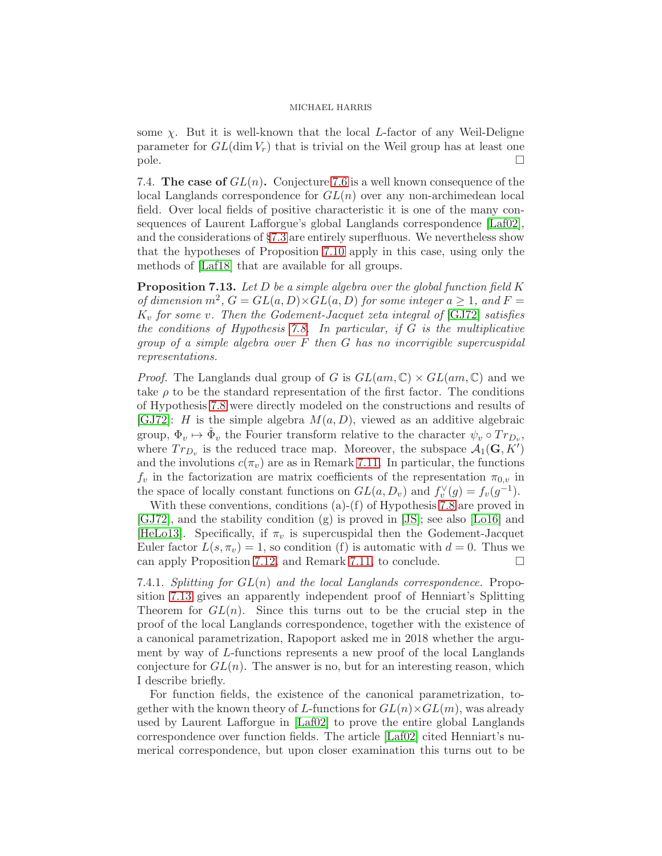some  $\chi$ . But it is well-known that the local L-factor of any Weil-Deligne parameter for  $GL(\dim V_r)$  that is trivial on the Weil group has at least one  $\Box$  pole.

7.4. The case of  $GL(n)$ . Conjecture [7.6](#page-31-4) is a well known consequence of the local Langlands correspondence for  $GL(n)$  over any non-archimedean local field. Over local fields of positive characteristic it is one of the many consequences of Laurent Lafforgue's global Langlands correspondence [\[Laf02\]](#page-50-2), and the considerations of §[7.3](#page-31-5) are entirely superfluous. We nevertheless show that the hypotheses of Proposition [7.10](#page-33-0) apply in this case, using only the methods of [\[Laf18\]](#page-50-4) that are available for all groups.

<span id="page-35-0"></span>**Proposition 7.13.** Let  $D$  be a simple algebra over the global function field  $K$ of dimension  $m^2$ ,  $G = GL(a, D) \times GL(a, D)$  for some integer  $a \geq 1$ , and  $F =$  $K_v$  for some v. Then the Godement-Jacquet zeta integral of [\[GJ72\]](#page-49-12) satisfies the conditions of Hypothesis [7.8.](#page-32-0) In particular, if  $G$  is the multiplicative group of a simple algebra over  $F$  then  $G$  has no incorrigible supercuspidal representations.

*Proof.* The Langlands dual group of G is  $GL(am,\mathbb{C}) \times GL(am,\mathbb{C})$  and we take  $\rho$  to be the standard representation of the first factor. The conditions of Hypothesis [7.8](#page-32-0) were directly modeled on the constructions and results of [\[GJ72\]](#page-49-12): *H* is the simple algebra  $M(a, D)$ , viewed as an additive algebraic group,  $\Phi_v \mapsto \hat{\Phi}_v$  the Fourier transform relative to the character  $\psi_v \circ Tr_{D_v}$ , where  $Tr_{D_v}$  is the reduced trace map. Moreover, the subspace  $\mathcal{A}_1(\mathbf{G}, K')$ and the involutions  $c(\pi_v)$  are as in Remark [7.11.](#page-34-1) In particular, the functions  $f_v$  in the factorization are matrix coefficients of the representation  $\pi_{0,v}$  in the space of locally constant functions on  $GL(a, D_v)$  and  $f_v^{\vee}$  $f_v^{\vee}(g) = f_v(g^{-1}).$ 

With these conventions, conditions (a)-(f) of Hypothesis [7.8](#page-32-0) are proved in [\[GJ72\]](#page-49-12), and the stability condition (g) is proved in [\[JS\]](#page-50-20); see also [\[Lo16\]](#page-51-17) and [\[HeLo13\]](#page-50-21). Specifically, if  $\pi_v$  is supercuspidal then the Godement-Jacquet Euler factor  $L(s, \pi_v) = 1$ , so condition (f) is automatic with  $d = 0$ . Thus we can apply Proposition [7.12,](#page-34-2) and Remark [7.11,](#page-34-1) to conclude.  $\Box$ 

7.4.1. Splitting for  $GL(n)$  and the local Langlands correspondence. Proposition [7.13](#page-35-0) gives an apparently independent proof of Henniart's Splitting Theorem for  $GL(n)$ . Since this turns out to be the crucial step in the proof of the local Langlands correspondence, together with the existence of a canonical parametrization, Rapoport asked me in 2018 whether the argument by way of L-functions represents a new proof of the local Langlands conjecture for  $GL(n)$ . The answer is no, but for an interesting reason, which I describe briefly.

For function fields, the existence of the canonical parametrization, together with the known theory of L-functions for  $GL(n)\times GL(m)$ , was already used by Laurent Lafforgue in [\[Laf02\]](#page-50-2) to prove the entire global Langlands correspondence over function fields. The article [\[Laf02\]](#page-50-2) cited Henniart's numerical correspondence, but upon closer examination this turns out to be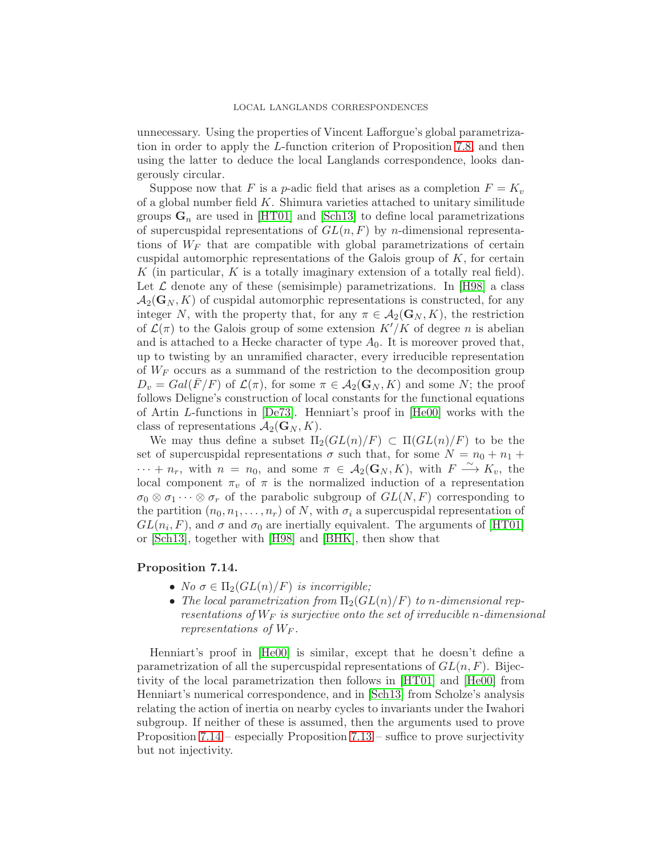unnecessary. Using the properties of Vincent Lafforgue's global parametrization in order to apply the L-function criterion of Proposition [7.8,](#page-32-0) and then using the latter to deduce the local Langlands correspondence, looks dangerously circular.

Suppose now that F is a p-adic field that arises as a completion  $F = K_v$ of a global number field  $K$ . Shimura varieties attached to unitary similitude groups  $G_n$  are used in [\[HT01\]](#page-49-6) and [\[Sch13\]](#page-51-3) to define local parametrizations of supercuspidal representations of  $GL(n, F)$  by *n*-dimensional representations of  $W_F$  that are compatible with global parametrizations of certain cuspidal automorphic representations of the Galois group of  $K$ , for certain K (in particular,  $K$  is a totally imaginary extension of a totally real field). Let  $\mathcal L$  denote any of these (semisimple) parametrizations. In [\[H98\]](#page-49-5) a class  $\mathcal{A}_2(\mathbf{G}_N, K)$  of cuspidal automorphic representations is constructed, for any integer N, with the property that, for any  $\pi \in \mathcal{A}_2(\mathbf{G}_N, K)$ , the restriction of  $\mathcal{L}(\pi)$  to the Galois group of some extension  $K'/K$  of degree n is abelian and is attached to a Hecke character of type  $A_0$ . It is moreover proved that, up to twisting by an unramified character, every irreducible representation of  $W_F$  occurs as a summand of the restriction to the decomposition group  $D_v = Gal(F/F)$  of  $\mathcal{L}(\pi)$ , for some  $\pi \in \mathcal{A}_2(\mathbf{G}_N, K)$  and some N; the proof follows Deligne's construction of local constants for the functional equations of Artin L-functions in [\[De73\]](#page-48-18). Henniart's proof in [\[He00\]](#page-49-7) works with the class of representations  $\mathcal{A}_2(\mathbf{G}_N, K)$ .

We may thus define a subset  $\Pi_2(GL(n)/F) \subset \Pi(GL(n)/F)$  to be the set of supercuspidal representations  $\sigma$  such that, for some  $N = n_0 + n_1 +$  $\cdots + n_r$ , with  $n = n_0$ , and some  $\pi \in A_2(G_N, K)$ , with  $F \xrightarrow{\sim} K_v$ , the local component  $\pi_v$  of  $\pi$  is the normalized induction of a representation  $\sigma_0 \otimes \sigma_1 \cdots \otimes \sigma_r$  of the parabolic subgroup of  $GL(N, F)$  corresponding to the partition  $(n_0, n_1, \ldots, n_r)$  of N, with  $\sigma_i$  a supercuspidal representation of  $GL(n_i, F)$ , and  $\sigma$  and  $\sigma_0$  are inertially equivalent. The arguments of [\[HT01\]](#page-49-6) or [\[Sch13\]](#page-51-3), together with [\[H98\]](#page-49-5) and [\[BHK\]](#page-48-0), then show that

## <span id="page-36-0"></span>Proposition 7.14.

- No  $\sigma \in \Pi_2(GL(n)/F)$  is incorrigible;
- The local parametrization from  $\Pi_2(GL(n)/F)$  to n-dimensional representations of  $W_F$  is surjective onto the set of irreducible n-dimensional representations of  $W_F$ .

Henniart's proof in [\[He00\]](#page-49-7) is similar, except that he doesn't define a parametrization of all the supercuspidal representations of  $GL(n, F)$ . Bijectivity of the local parametrization then follows in [\[HT01\]](#page-49-6) and [\[He00\]](#page-49-7) from Henniart's numerical correspondence, and in [\[Sch13\]](#page-51-3) from Scholze's analysis relating the action of inertia on nearby cycles to invariants under the Iwahori subgroup. If neither of these is assumed, then the arguments used to prove Proposition [7.14](#page-36-0) – especially Proposition [7.13](#page-35-0) – suffice to prove surjectivity but not injectivity.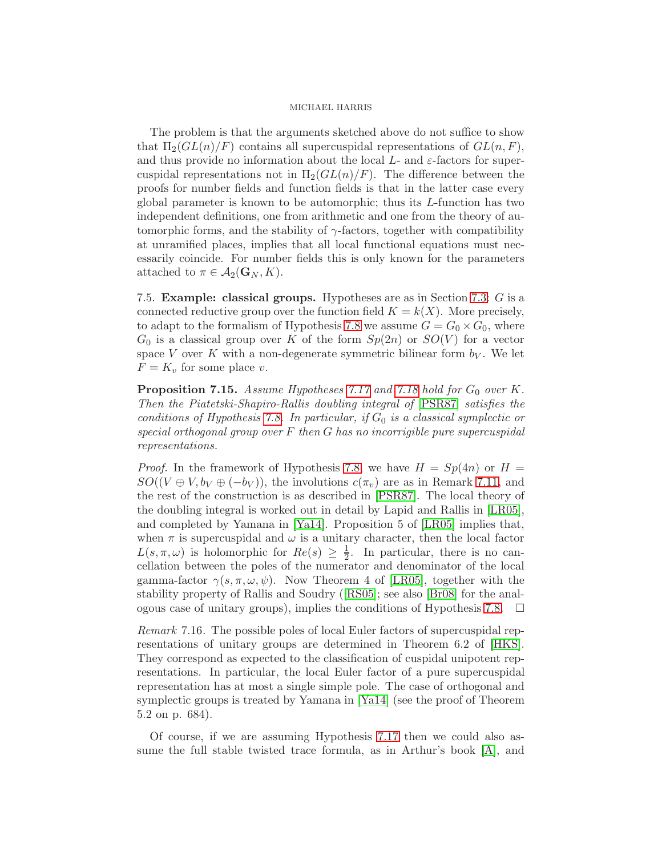The problem is that the arguments sketched above do not suffice to show that  $\Pi_2(GL(n)/F)$  contains all supercuspidal representations of  $GL(n, F)$ , and thus provide no information about the local  $L$ - and  $\varepsilon$ -factors for supercuspidal representations not in  $\Pi_2(GL(n)/F)$ . The difference between the proofs for number fields and function fields is that in the latter case every global parameter is known to be automorphic; thus its L-function has two independent definitions, one from arithmetic and one from the theory of automorphic forms, and the stability of  $\gamma$ -factors, together with compatibility at unramified places, implies that all local functional equations must necessarily coincide. For number fields this is only known for the parameters attached to  $\pi \in A_2(\mathbf{G}_N, K)$ .

7.5. Example: classical groups. Hypotheses are as in Section [7.3:](#page-31-5) G is a connected reductive group over the function field  $K = k(X)$ . More precisely, to adapt to the formalism of Hypothesis [7.8](#page-32-0) we assume  $G = G_0 \times G_0$ , where  $G_0$  is a classical group over K of the form  $Sp(2n)$  or  $SO(V)$  for a vector space V over K with a non-degenerate symmetric bilinear form  $b_V$ . We let  $F = K_v$  for some place v.

<span id="page-37-0"></span>**Proposition 7.15.** Assume Hypotheses [7.17](#page-38-0) and [7.18](#page-39-0) hold for  $G_0$  over K. Then the Piatetski-Shapiro-Rallis doubling integral of [\[PSR87\]](#page-51-18) satisfies the conditions of Hypothesis [7.8.](#page-32-0) In particular, if  $G_0$  is a classical symplectic or special orthogonal group over  $F$  then  $G$  has no incorrigible pure supercuspidal representations.

*Proof.* In the framework of Hypothesis [7.8,](#page-32-0) we have  $H = Sp(4n)$  or  $H =$  $SO((V \oplus V, b_V \oplus (-b_V)),$  the involutions  $c(\pi_v)$  are as in Remark [7.11,](#page-34-1) and the rest of the construction is as described in [\[PSR87\]](#page-51-18). The local theory of the doubling integral is worked out in detail by Lapid and Rallis in [\[LR05\]](#page-51-19), and completed by Yamana in [\[Ya14\]](#page-51-20). Proposition 5 of [\[LR05\]](#page-51-19) implies that, when  $\pi$  is supercuspidal and  $\omega$  is a unitary character, then the local factor  $L(s, \pi, \omega)$  is holomorphic for  $Re(s) \geq \frac{1}{2}$  $\frac{1}{2}$ . In particular, there is no cancellation between the poles of the numerator and denominator of the local gamma-factor  $\gamma(s, \pi, \omega, \psi)$ . Now Theorem 4 of [\[LR05\]](#page-51-19), together with the stability property of Rallis and Soudry([\[RS05\]](#page-51-14); see also [\[Br08\]](#page-48-19) for the anal-ogous case of unitary groups), implies the conditions of Hypothesis [7.8.](#page-32-0)  $\Box$ 

Remark 7.16. The possible poles of local Euler factors of supercuspidal representations of unitary groups are determined in Theorem 6.2 of [\[HKS\]](#page-49-21). They correspond as expected to the classification of cuspidal unipotent representations. In particular, the local Euler factor of a pure supercuspidal representation has at most a single simple pole. The case of orthogonal and symplectic groups is treated by Yamana in [\[Ya14\]](#page-51-20) (see the proof of Theorem 5.2 on p. 684).

Of course, if we are assuming Hypothesis [7.17](#page-38-0) then we could also assume the full stable twisted trace formula, as in Arthur's book [\[A\]](#page-48-1), and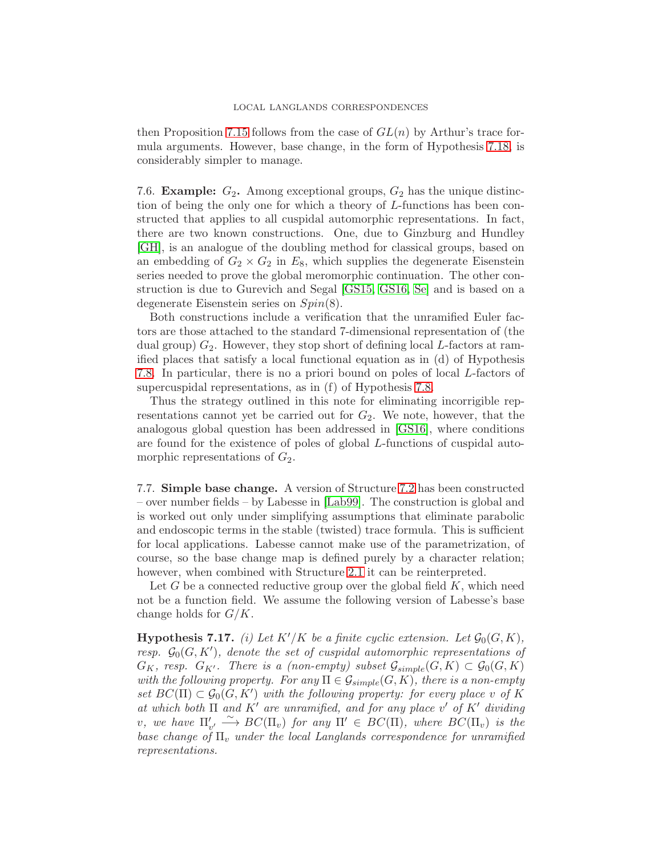### LOCAL LANGLANDS CORRESPONDENCES

then Proposition [7.15](#page-37-0) follows from the case of  $GL(n)$  by Arthur's trace formula arguments. However, base change, in the form of Hypothesis [7.18,](#page-39-0) is considerably simpler to manage.

7.6. **Example:**  $G_2$ . Among exceptional groups,  $G_2$  has the unique distinction of being the only one for which a theory of L-functions has been constructed that applies to all cuspidal automorphic representations. In fact, there are two known constructions. One, due to Ginzburg and Hundley [\[GH\]](#page-49-22), is an analogue of the doubling method for classical groups, based on an embedding of  $G_2 \times G_2$  in  $E_8$ , which supplies the degenerate Eisenstein series needed to prove the global meromorphic continuation. The other construction is due to Gurevich and Segal [\[GS15,](#page-49-23) [GS16,](#page-49-24) [Se\]](#page-51-21) and is based on a degenerate Eisenstein series on Spin(8).

Both constructions include a verification that the unramified Euler factors are those attached to the standard 7-dimensional representation of (the dual group)  $G_2$ . However, they stop short of defining local L-factors at ramified places that satisfy a local functional equation as in (d) of Hypothesis [7.8.](#page-32-0) In particular, there is no a priori bound on poles of local L-factors of supercuspidal representations, as in (f) of Hypothesis [7.8.](#page-32-0)

Thus the strategy outlined in this note for eliminating incorrigible representations cannot yet be carried out for  $G_2$ . We note, however, that the analogous global question has been addressed in [\[GS16\]](#page-49-24), where conditions are found for the existence of poles of global L-functions of cuspidal automorphic representations of  $G_2$ .

7.7. Simple base change. A version of Structure [7.2](#page-30-1) has been constructed – over number fields – by Labesse in [\[Lab99\]](#page-50-19). The construction is global and is worked out only under simplifying assumptions that eliminate parabolic and endoscopic terms in the stable (twisted) trace formula. This is sufficient for local applications. Labesse cannot make use of the parametrization, of course, so the base change map is defined purely by a character relation; however, when combined with Structure [2.1](#page-8-2) it can be reinterpreted.

Let  $G$  be a connected reductive group over the global field  $K$ , which need not be a function field. We assume the following version of Labesse's base change holds for  $G/K$ .

<span id="page-38-0"></span>**Hypothesis 7.17.** (i) Let  $K'/K$  be a finite cyclic extension. Let  $\mathcal{G}_0(G, K)$ , resp.  $\mathcal{G}_0(G,K')$ , denote the set of cuspidal automorphic representations of  $G_K$ , resp.  $G_{K'}$ . There is a (non-empty) subset  $\mathcal{G}_{simple}(G,K) \subset \mathcal{G}_0(G,K)$ with the following property. For any  $\Pi \in \mathcal{G}_{simple}(G,K)$ , there is a non-empty set  $BC(\Pi) \subset \mathcal{G}_0(G, K')$  with the following property: for every place v of K at which both  $\Pi$  and  $K'$  are unramified, and for any place  $v'$  of  $K'$  dividing v, we have  $\Pi'_{v'} \stackrel{\sim}{\longrightarrow} BC(\Pi_v)$  for any  $\Pi' \in BC(\Pi)$ , where  $BC(\Pi_v)$  is the base change of  $\Pi_v$  under the local Langlands correspondence for unramified representations.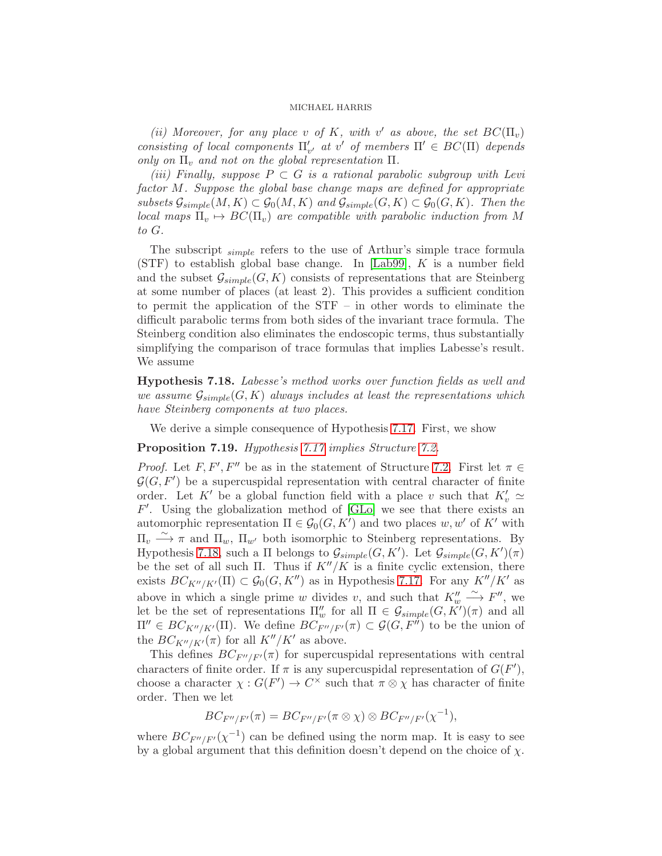(ii) Moreover, for any place v of K, with v' as above, the set  $BC(\Pi_v)$ consisting of local components  $\Pi'_{v'}$  at v' of members  $\Pi' \in BC(\Pi)$  depends only on  $\Pi_v$  and not on the global representation  $\Pi$ .

(iii) Finally, suppose  $P \subset G$  is a rational parabolic subgroup with Levi factor M. Suppose the global base change maps are defined for appropriate subsets  $\mathcal{G}_{simple}(M,K) \subset \mathcal{G}_0(M,K)$  and  $\mathcal{G}_{simple}(G,K) \subset \mathcal{G}_0(G,K)$ . Then the local maps  $\Pi_v \mapsto BC(\Pi_v)$  are compatible with parabolic induction from M to G.

The subscript <sub>simple</sub> refers to the use of Arthur's simple trace formula  $(STF)$  to establish global base change. In [\[Lab99\]](#page-50-19), K is a number field and the subset  $\mathcal{G}_{simple}(G, K)$  consists of representations that are Steinberg at some number of places (at least 2). This provides a sufficient condition to permit the application of the STF – in other words to eliminate the difficult parabolic terms from both sides of the invariant trace formula. The Steinberg condition also eliminates the endoscopic terms, thus substantially simplifying the comparison of trace formulas that implies Labesse's result. We assume

<span id="page-39-0"></span>Hypothesis 7.18. Labesse's method works over function fields as well and we assume  $\mathcal{G}_{simple}(G, K)$  always includes at least the representations which have Steinberg components at two places.

We derive a simple consequence of Hypothesis [7.17.](#page-38-0) First, we show

## <span id="page-39-1"></span>Proposition 7.19. Hypothesis [7.17](#page-38-0) implies Structure [7.2.](#page-30-1)

*Proof.* Let  $F, F', F''$  be as in the statement of Structure [7.2.](#page-30-1) First let  $\pi \in$  $\mathcal{G}(G, F')$  be a supercuspidal representation with central character of finite order. Let K' be a global function field with a place v such that  $K'_v$   $\simeq$  $F'$ . Using the globalization method of [\[GLo\]](#page-49-19) we see that there exists an automorphic representation  $\Pi \in \mathcal{G}_0(G, K')$  and two places  $w, w'$  of  $K'$  with  $\Pi_v \stackrel{\sim}{\longrightarrow} \pi$  and  $\Pi_w$ ,  $\Pi_{w'}$  both isomorphic to Steinberg representations. By Hypothesis [7.18,](#page-39-0) such a  $\Pi$  belongs to  $\mathcal{G}_{simple}(G, K')$ . Let  $\mathcal{G}_{simple}(G, K')(\pi)$ be the set of all such Π. Thus if  $K''/K$  is a finite cyclic extension, there exists  $BC_{K''/K'}(\Pi) \subset \mathcal{G}_0(G, K'')$  as in Hypothesis [7.17.](#page-38-0) For any  $K''/K'$  as above in which a single prime w divides v, and such that  $K''_w \xrightarrow{\sim} F''$ , we let be the set of representations  $\Pi''_w$  for all  $\Pi \in \mathcal{G}_{simple}(G, K')(\pi)$  and all  $\Pi'' \in BC_{K''/K'}(\Pi)$ . We define  $BC_{F''/F'}(\pi) \subset \mathcal{G}(G, F'')$  to be the union of the  $BC_{K''/K'}(\pi)$  for all  $K''/K'$  as above.

This defines  $BC_{F''/F'}(\pi)$  for supercuspidal representations with central characters of finite order. If  $\pi$  is any supercuspidal representation of  $G(F')$ , choose a character  $\chi: G(F') \to C^{\times}$  such that  $\pi \otimes \chi$  has character of finite order. Then we let

$$
BC_{F''/F'}(\pi) = BC_{F''/F'}(\pi \otimes \chi) \otimes BC_{F''/F'}(\chi^{-1}),
$$

where  $BC_{F''/F'}(\chi^{-1})$  can be defined using the norm map. It is easy to see by a global argument that this definition doesn't depend on the choice of  $\chi$ .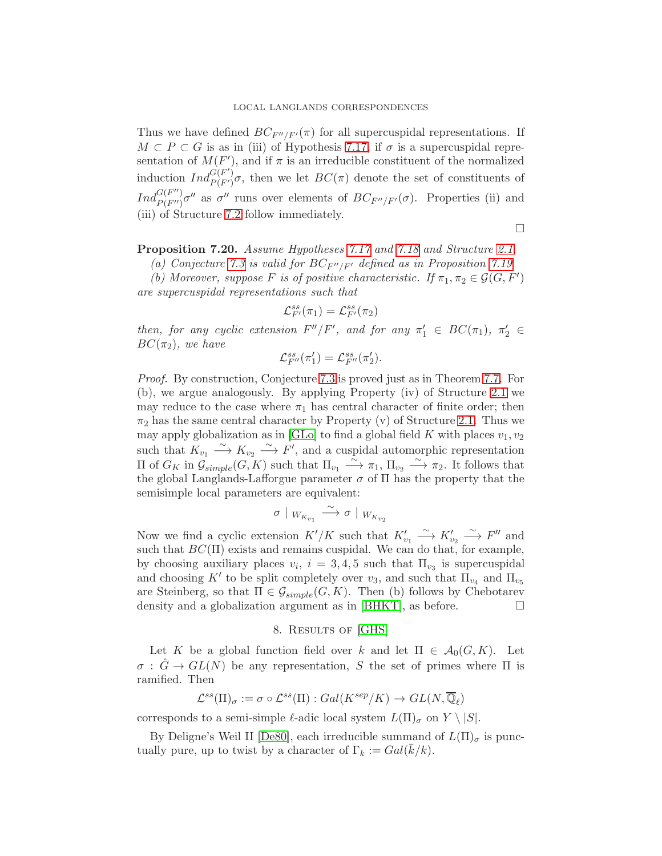Thus we have defined  $BC_{F''/F'}(\pi)$  for all supercuspidal representations. If  $M \subset P \subset G$  is as in (iii) of Hypothesis [7.17,](#page-38-0) if  $\sigma$  is a supercuspidal representation of  $M(F')$ , and if  $\pi$  is an irreducible constituent of the normalized induction  $Ind_{P(F')}^{G(F')} \sigma$ , then we let  $BC(\pi)$  denote the set of constituents of  $Ind_{P(F'')}^{G(F'')}$  ${}_{P(F'')}^{G(F'')}$  *o*" as  $\sigma''$  runs over elements of  $BC_{F''/F'}(\sigma)$ . Properties (ii) and (iii) of Structure [7.2](#page-30-1) follow immediately.

 $\Box$ 

<span id="page-40-1"></span>Proposition 7.20. Assume Hypotheses [7.17](#page-38-0) and [7.18](#page-39-0) and Structure [2.1.](#page-8-2)

(a) Conjecture [7.3](#page-30-2) is valid for  $BC_{F''/F'}$  defined as in Proposition [7.19](#page-39-1)

(b) Moreover, suppose F is of positive characteristic. If  $\pi_1, \pi_2 \in \mathcal{G}(G, F')$ are supercuspidal representations such that

$$
\mathcal{L}_{F'}^{ss}(\pi_1)=\mathcal{L}_{F'}^{ss}(\pi_2)
$$

then, for any cyclic extension  $F''/F'$ , and for any  $\pi'_1 \in BC(\pi_1)$ ,  $\pi'_2 \in$  $BC(\pi_2)$ , we have

$$
\mathcal{L}_{F''}^{ss}(\pi_1')=\mathcal{L}_{F''}^{ss}(\pi_2').
$$

Proof. By construction, Conjecture [7.3](#page-30-2) is proved just as in Theorem [7.7.](#page-31-3) For (b), we argue analogously. By applying Property (iv) of Structure [2.1](#page-8-2) we may reduce to the case where  $\pi_1$  has central character of finite order; then  $\pi_2$  has the same central character by Property (v) of Structure [2.1.](#page-8-2) Thus we may apply globalization as in [\[GLo\]](#page-49-19) to find a global field K with places  $v_1, v_2$ such that  $K_{v_1} \xrightarrow{\sim} K_{v_2} \xrightarrow{\sim} F'$ , and a cuspidal automorphic representation  $\Pi$  of  $G_K$  in  $\mathcal{G}_{simple}(G, K)$  such that  $\Pi_{v_1} \stackrel{\sim}{\longrightarrow} \pi_1$ ,  $\Pi_{v_2} \stackrel{\sim}{\longrightarrow} \pi_2$ . It follows that the global Langlands-Lafforgue parameter  $\sigma$  of  $\Pi$  has the property that the semisimple local parameters are equivalent:

$$
\sigma \mid W_{K_{v_1}} \stackrel{\sim}{\longrightarrow} \sigma \mid W_{K_{v_2}}
$$

Now we find a cyclic extension  $K'/K$  such that  $K'_{v_1} \longrightarrow K'_{v_2} \longrightarrow F''$  and such that  $BC(\Pi)$  exists and remains cuspidal. We can do that, for example, by choosing auxiliary places  $v_i$ ,  $i = 3, 4, 5$  such that  $\Pi_{v_3}$  is supercuspidal and choosing K' to be split completely over  $v_3$ , and such that  $\Pi_{v_4}$  and  $\Pi_{v_5}$ are Steinberg, so that  $\Pi \in \mathcal{G}_{simple}(G,K)$ . Then (b) follows by Chebotarev density and a globalization argument as in [\[BHKT\]](#page-48-17), as before.  $\Box$ 

## 8. Results of [\[GHS\]](#page-49-0)

<span id="page-40-0"></span>Let K be a global function field over k and let  $\Pi \in \mathcal{A}_0(G,K)$ . Let  $\sigma : \hat{G} \to GL(N)$  be any representation, S the set of primes where  $\Pi$  is ramified. Then

$$
\mathcal{L}^{ss}(\Pi)_{\sigma} := \sigma \circ \mathcal{L}^{ss}(\Pi) : Gal(K^{sep}/K) \to GL(N, \overline{\mathbb{Q}}_{\ell})
$$

corresponds to a semi-simple  $\ell$ -adic local system  $L(\Pi)_{\sigma}$  on  $Y \setminus |S|$ .

By Deligne's Weil II [\[De80\]](#page-48-20), each irreducible summand of  $L(\Pi)_{\sigma}$  is punctually pure, up to twist by a character of  $\Gamma_k := Gal(\bar{k}/k)$ .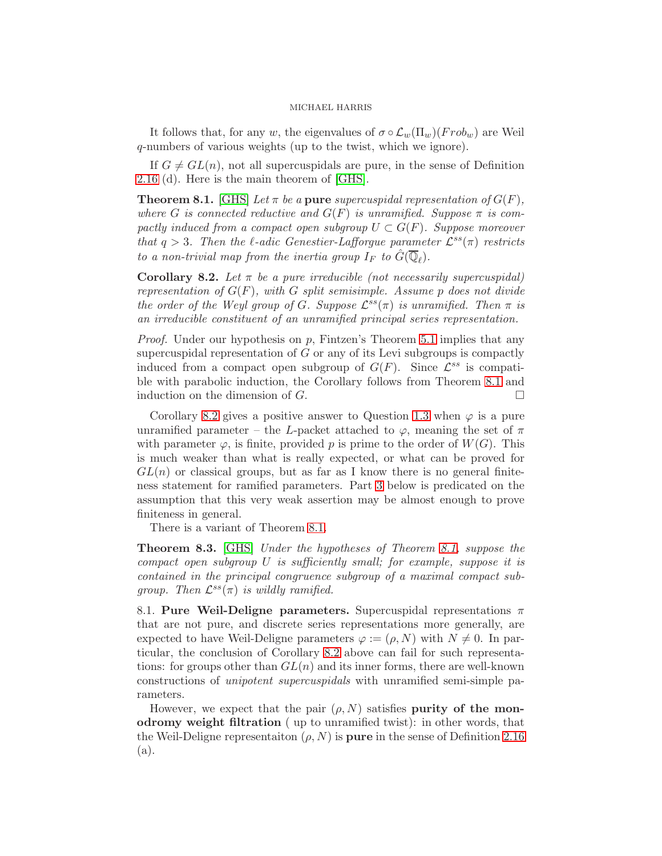It follows that, for any w, the eigenvalues of  $\sigma \circ \mathcal{L}_w(\Pi_w)(Frob_w)$  are Weil q-numbers of various weights (up to the twist, which we ignore).

If  $G \neq GL(n)$ , not all supercuspidals are pure, in the sense of Definition [2.16](#page-12-4) (d). Here is the main theorem of [\[GHS\]](#page-49-0).

<span id="page-41-1"></span>**Theorem 8.1.** [\[GHS\]](#page-49-0) Let  $\pi$  be a pure supercuspidal representation of  $G(F)$ , where G is connected reductive and  $G(F)$  is unramified. Suppose  $\pi$  is compactly induced from a compact open subgroup  $U \subset G(F)$ . Suppose moreover that  $q > 3$ . Then the  $\ell$ -adic Genestier-Lafforgue parameter  $\mathcal{L}^{ss}(\pi)$  restricts to a non-trivial map from the inertia group  $I_F$  to  $\hat{G}(\overline{\mathbb{Q}}_{\ell}).$ 

<span id="page-41-2"></span>Corollary 8.2. Let  $\pi$  be a pure irreducible (not necessarily supercuspidal) representation of  $G(F)$ , with G split semisimple. Assume p does not divide the order of the Weyl group of G. Suppose  $\mathcal{L}^{ss}(\pi)$  is unramified. Then  $\pi$  is an irreducible constituent of an unramified principal series representation.

*Proof.* Under our hypothesis on p, Fintzen's Theorem [5.1](#page-24-1) implies that any supercuspidal representation of  $G$  or any of its Levi subgroups is compactly induced from a compact open subgroup of  $G(F)$ . Since  $\mathcal{L}^{ss}$  is compatible with parabolic induction, the Corollary follows from Theorem [8.1](#page-41-1) and induction on the dimension of  $G$ .

Corollary [8.2](#page-41-2) gives a positive answer to Question [1.3](#page-4-0) when  $\varphi$  is a pure unramified parameter – the L-packet attached to  $\varphi$ , meaning the set of  $\pi$ with parameter  $\varphi$ , is finite, provided p is prime to the order of  $W(G)$ . This is much weaker than what is really expected, or what can be proved for  $GL(n)$  or classical groups, but as far as I know there is no general finiteness statement for ramified parameters. Part [3](#page-44-0) below is predicated on the assumption that this very weak assertion may be almost enough to prove finiteness in general.

There is a variant of Theorem [8.1.](#page-41-1)

Theorem 8.3. [\[GHS\]](#page-49-0) Under the hypotheses of Theorem [8.1,](#page-41-1) suppose the compact open subgroup  $U$  is sufficiently small; for example, suppose it is contained in the principal congruence subgroup of a maximal compact subgroup. Then  $\mathcal{L}^{ss}(\pi)$  is wildly ramified.

<span id="page-41-0"></span>8.1. Pure Weil-Deligne parameters. Supercuspidal representations  $\pi$ that are not pure, and discrete series representations more generally, are expected to have Weil-Deligne parameters  $\varphi := (\rho, N)$  with  $N \neq 0$ . In particular, the conclusion of Corollary [8.2](#page-41-2) above can fail for such representations: for groups other than  $GL(n)$  and its inner forms, there are well-known constructions of unipotent supercuspidals with unramified semi-simple parameters.

However, we expect that the pair  $(\rho, N)$  satisfies purity of the monodromy weight filtration ( up to unramified twist): in other words, that the Weil-Deligne representaiton  $(\rho, N)$  is **pure** in the sense of Definition [2.16](#page-12-4) (a).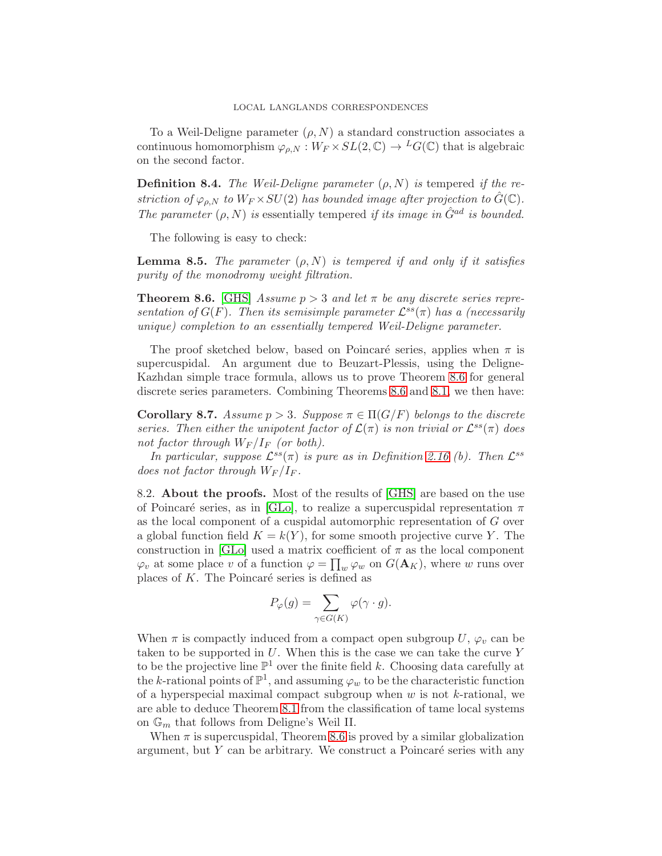To a Weil-Deligne parameter  $(\rho, N)$  a standard construction associates a continuous homomorphism  $\varphi_{\rho,N}: W_F \times SL(2,\mathbb{C}) \to {}^L G(\mathbb{C})$  that is algebraic on the second factor.

**Definition 8.4.** The Weil-Deligne parameter  $(\rho, N)$  is tempered if the restriction of  $\varphi_{\rho,N}$  to  $W_F \times SU(2)$  has bounded image after projection to  $\hat{G}(\mathbb{C})$ . The parameter  $(\rho, N)$  is essentially tempered if its image in  $\hat{G}^{ad}$  is bounded.

The following is easy to check:

**Lemma 8.5.** The parameter  $(\rho, N)$  is tempered if and only if it satisfies purity of the monodromy weight filtration.

<span id="page-42-0"></span>**Theorem 8.6.** [\[GHS\]](#page-49-0) Assume  $p > 3$  and let  $\pi$  be any discrete series representation of  $G(F)$ . Then its semisimple parameter  $\mathcal{L}^{ss}(\pi)$  has a (necessarily unique) completion to an essentially tempered Weil-Deligne parameter.

The proof sketched below, based on Poincaré series, applies when  $\pi$  is supercuspidal. An argument due to Beuzart-Plessis, using the Deligne-Kazhdan simple trace formula, allows us to prove Theorem [8.6](#page-42-0) for general discrete series parameters. Combining Theorems [8.6](#page-42-0) and [8.1,](#page-41-1) we then have:

Corollary 8.7. Assume  $p > 3$ . Suppose  $\pi \in \Pi(G/F)$  belongs to the discrete series. Then either the unipotent factor of  $\mathcal{L}(\pi)$  is non trivial or  $\mathcal{L}^{ss}(\pi)$  does not factor through  $W_F/I_F$  (or both).

In particular, suppose  $\mathcal{L}^{ss}(\pi)$  is pure as in Definition [2.16](#page-12-4) (b). Then  $\mathcal{L}^{ss}$ does not factor through  $W_F/I_F$ .

8.2. About the proofs. Most of the results of [\[GHS\]](#page-49-0) are based on the use of Poincaré series, as in [\[GLo\]](#page-49-19), to realize a supercuspidal representation  $\pi$ as the local component of a cuspidal automorphic representation of G over a global function field  $K = k(Y)$ , for some smooth projective curve Y. The construction in [\[GLo\]](#page-49-19) used a matrix coefficient of  $\pi$  as the local component  $\varphi_v$  at some place v of a function  $\varphi = \prod_w \varphi_w$  on  $G(\mathbf{A}_K)$ , where w runs over places of  $K$ . The Poincaré series is defined as

$$
P_{\varphi}(g) = \sum_{\gamma \in G(K)} \varphi(\gamma \cdot g).
$$

When  $\pi$  is compactly induced from a compact open subgroup U,  $\varphi_v$  can be taken to be supported in  $U$ . When this is the case we can take the curve  $Y$ to be the projective line  $\mathbb{P}^1$  over the finite field k. Choosing data carefully at the k-rational points of  $\mathbb{P}^1$ , and assuming  $\varphi_w$  to be the characteristic function of a hyperspecial maximal compact subgroup when  $w$  is not  $k$ -rational, we are able to deduce Theorem [8.1](#page-41-1) from the classification of tame local systems on  $\mathbb{G}_m$  that follows from Deligne's Weil II.

When  $\pi$  is supercuspidal, Theorem [8.6](#page-42-0) is proved by a similar globalization argument, but  $Y$  can be arbitrary. We construct a Poincaré series with any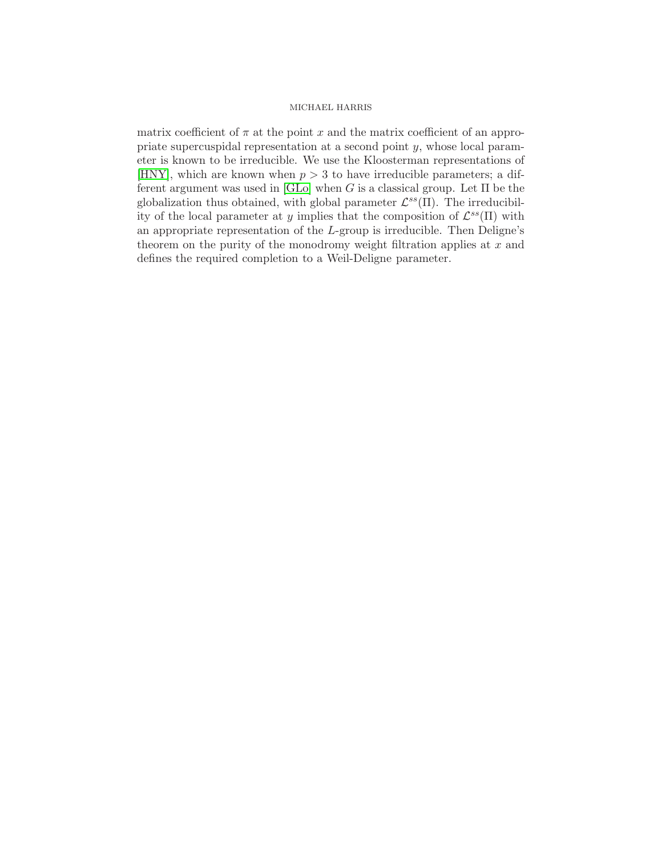matrix coefficient of  $\pi$  at the point x and the matrix coefficient of an appropriate supercuspidal representation at a second point y, whose local parameter is known to be irreducible. We use the Kloosterman representations of [\[HNY\]](#page-49-25), which are known when  $p > 3$  to have irreducible parameters; a different argument was used in  $[GLo]$  when G is a classical group. Let  $\Pi$  be the globalization thus obtained, with global parameter  $\mathcal{L}^{ss}(\Pi)$ . The irreducibility of the local parameter at y implies that the composition of  $\mathcal{L}^{ss}(\Pi)$  with an appropriate representation of the L-group is irreducible. Then Deligne's theorem on the purity of the monodromy weight filtration applies at  $x$  and defines the required completion to a Weil-Deligne parameter.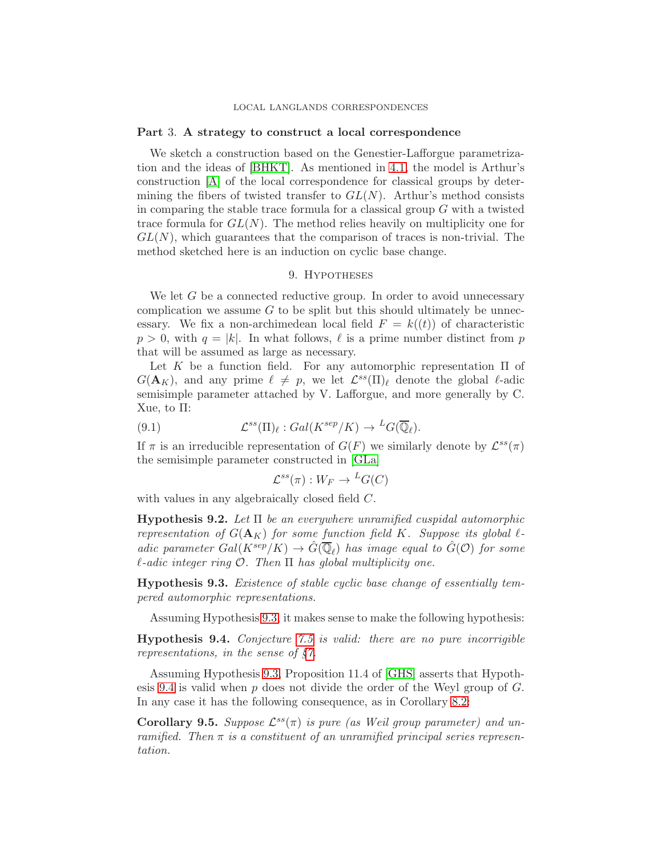### <span id="page-44-0"></span>Part 3. A strategy to construct a local correspondence

We sketch a construction based on the Genestier-Lafforgue parametrization and the ideas of [\[BHKT\]](#page-48-17). As mentioned in [4.1,](#page-21-0) the model is Arthur's construction [\[A\]](#page-48-1) of the local correspondence for classical groups by determining the fibers of twisted transfer to  $GL(N)$ . Arthur's method consists in comparing the stable trace formula for a classical group  $G$  with a twisted trace formula for  $GL(N)$ . The method relies heavily on multiplicity one for  $GL(N)$ , which guarantees that the comparison of traces is non-trivial. The method sketched here is an induction on cyclic base change.

## 9. Hypotheses

We let  $G$  be a connected reductive group. In order to avoid unnecessary complication we assume  $G$  to be split but this should ultimately be unnecessary. We fix a non-archimedean local field  $F = k((t))$  of characteristic  $p > 0$ , with  $q = |k|$ . In what follows,  $\ell$  is a prime number distinct from p that will be assumed as large as necessary.

Let K be a function field. For any automorphic representation  $\Pi$  of  $G(\mathbf{A}_K)$ , and any prime  $\ell \neq p$ , we let  $\mathcal{L}^{ss}(\Pi)_{\ell}$  denote the global  $\ell$ -adic semisimple parameter attached by V. Lafforgue, and more generally by C. Xue, to Π:

(9.1) 
$$
\mathcal{L}^{ss}(\Pi)_{\ell}: Gal(K^{sep}/K) \to {}^{L}G(\overline{\mathbb{Q}}_{\ell}).
$$

If  $\pi$  is an irreducible representation of  $G(F)$  we similarly denote by  $\mathcal{L}^{ss}(\pi)$ the semisimple parameter constructed in [\[GLa\]](#page-49-1)

<span id="page-44-3"></span>
$$
\mathcal{L}^{ss}(\pi): W_F \to {}^L G(C)
$$

with values in any algebraically closed field C.

<span id="page-44-5"></span>**Hypothesis 9.2.** Let  $\Pi$  be an everywhere unramified cuspidal automorphic representation of  $G(\mathbf{A}_K)$  for some function field K. Suppose its global  $\ell$ adic parameter  $Gal(K^{sep}/K) \to \hat{G}(\overline{\mathbb{Q}}_{\ell})$  has image equal to  $\hat{G}(\mathcal{O})$  for some  $\ell$ -adic integer ring  $\mathcal O$ . Then  $\Pi$  has global multiplicity one.

<span id="page-44-1"></span>Hypothesis 9.3. Existence of stable cyclic base change of essentially tempered automorphic representations.

Assuming Hypothesis [9.3,](#page-44-1) it makes sense to make the following hypothesis:

<span id="page-44-2"></span>Hypothesis 9.4. Conjecture [7.5](#page-31-2) is valid: there are no pure incorrigible representations, in the sense of  $\S$ .

Assuming Hypothesis [9.3,](#page-44-1) Proposition 11.4 of [\[GHS\]](#page-49-0) asserts that Hypoth-esis [9.4](#page-44-2) is valid when  $p$  does not divide the order of the Weyl group of  $G$ . In any case it has the following consequence, as in Corollary [8.2:](#page-41-2)

<span id="page-44-4"></span>Corollary 9.5. Suppose  $\mathcal{L}^{ss}(\pi)$  is pure (as Weil group parameter) and unramified. Then  $\pi$  is a constituent of an unramified principal series representation.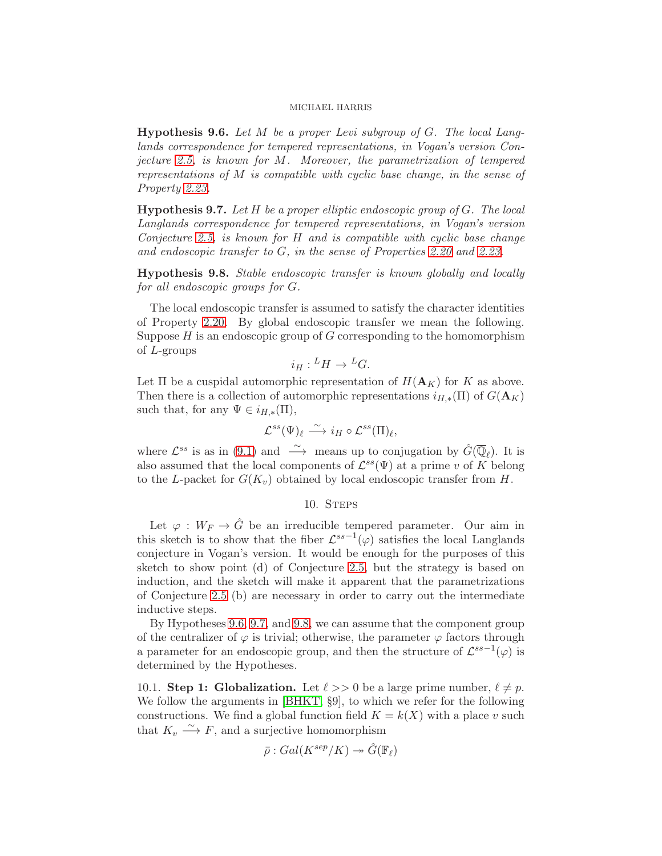<span id="page-45-0"></span>**Hypothesis 9.6.** Let  $M$  be a proper Levi subgroup of  $G$ . The local Langlands correspondence for tempered representations, in Vogan's version Conjecture [2.5,](#page-9-0) is known for M. Moreover, the parametrization of tempered representations of M is compatible with cyclic base change, in the sense of Property [2.23.](#page-15-2)

<span id="page-45-1"></span>**Hypothesis 9.7.** Let  $H$  be a proper elliptic endoscopic group of  $G$ . The local Langlands correspondence for tempered representations, in Vogan's version Conjecture [2.5,](#page-9-0) is known for H and is compatible with cyclic base change and endoscopic transfer to G, in the sense of Properties [2.20](#page-15-1) and [2.23.](#page-15-2)

<span id="page-45-2"></span>Hypothesis 9.8. Stable endoscopic transfer is known globally and locally for all endoscopic groups for G.

The local endoscopic transfer is assumed to satisfy the character identities of Property [2.20.](#page-15-1) By global endoscopic transfer we mean the following. Suppose  $H$  is an endoscopic group of  $G$  corresponding to the homomorphism of L-groups

$$
i_H: {}^L H \to {}^L G.
$$

Let  $\Pi$  be a cuspidal automorphic representation of  $H(\mathbf{A}_K)$  for K as above. Then there is a collection of automorphic representations  $i_{H,*}(\Pi)$  of  $G(\mathbf{A}_K)$ such that, for any  $\Psi \in i_{H,*}(\Pi)$ ,

$$
\mathcal{L}^{ss}(\Psi)_{\ell} \stackrel{\sim}{\longrightarrow} i_H \circ \mathcal{L}^{ss}(\Pi)_{\ell},
$$

where  $\mathcal{L}^{ss}$  is as in [\(9.1\)](#page-44-3) and  $\stackrel{\sim}{\longrightarrow}$  means up to conjugation by  $\hat{G}(\overline{\mathbb{Q}}_{\ell})$ . It is also assumed that the local components of  $\mathcal{L}^{ss}(\Psi)$  at a prime v of K belong to the L-packet for  $G(K_v)$  obtained by local endoscopic transfer from H.

## 10. STEPS

Let  $\varphi: W_F \to \hat{G}$  be an irreducible tempered parameter. Our aim in this sketch is to show that the fiber  $\mathcal{L}^{ss-1}(\varphi)$  satisfies the local Langlands conjecture in Vogan's version. It would be enough for the purposes of this sketch to show point (d) of Conjecture [2.5,](#page-9-0) but the strategy is based on induction, and the sketch will make it apparent that the parametrizations of Conjecture [2.5](#page-9-0) (b) are necessary in order to carry out the intermediate inductive steps.

By Hypotheses [9.6,](#page-45-0) [9.7,](#page-45-1) and [9.8,](#page-45-2) we can assume that the component group of the centralizer of  $\varphi$  is trivial; otherwise, the parameter  $\varphi$  factors through a parameter for an endoscopic group, and then the structure of  $\mathcal{L}^{ss-1}(\varphi)$  is determined by the Hypotheses.

10.1. Step 1: Globalization. Let  $\ell >> 0$  be a large prime number,  $\ell \neq p$ . We follow the arguments in [\[BHKT,](#page-48-17) §9], to which we refer for the following constructions. We find a global function field  $K = k(X)$  with a place v such that  $K_v \xrightarrow{\sim} F$ , and a surjective homomorphism

$$
\bar{\rho}: Gal(K^{sep}/K) \twoheadrightarrow \hat{G}(\mathbb{F}_\ell)
$$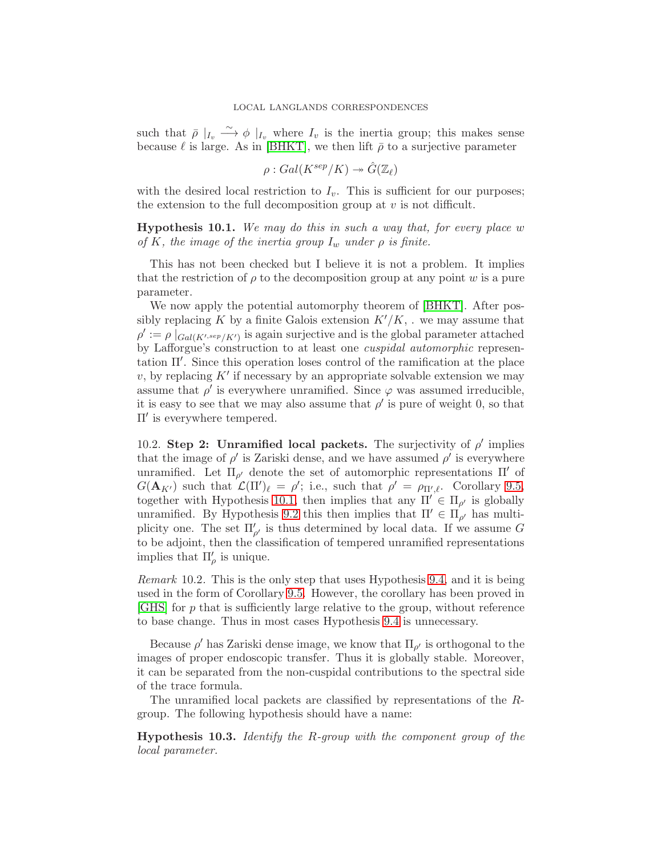such that  $\bar{\rho}$   $|_{I_v} \longrightarrow \phi$   $|_{I_v}$  where  $I_v$  is the inertia group; this makes sense because  $\ell$  is large. As in [\[BHKT\]](#page-48-17), we then lift  $\bar{\rho}$  to a surjective parameter

$$
\rho: Gal(K^{sep}/K) \twoheadrightarrow \hat{G}(\mathbb{Z}_{\ell})
$$

with the desired local restriction to  $I_v$ . This is sufficient for our purposes; the extension to the full decomposition group at  $v$  is not difficult.

<span id="page-46-0"></span>**Hypothesis 10.1.** We may do this in such a way that, for every place w of K, the image of the inertia group  $I_w$  under  $\rho$  is finite.

This has not been checked but I believe it is not a problem. It implies that the restriction of  $\rho$  to the decomposition group at any point w is a pure parameter.

We now apply the potential automorphy theorem of [\[BHKT\]](#page-48-17). After possibly replacing K by a finite Galois extension  $K'/K$ , . we may assume that  $\rho' := \rho \left[ G_{\text{all}(K',\text{sep}/K')} \right]$  is again surjective and is the global parameter attached by Lafforgue's construction to at least one cuspidal automorphic representation Π′ . Since this operation loses control of the ramification at the place v, by replacing  $K'$  if necessary by an appropriate solvable extension we may assume that  $\rho'$  is everywhere unramified. Since  $\varphi$  was assumed irreducible, it is easy to see that we may also assume that  $\rho'$  is pure of weight 0, so that Π′ is everywhere tempered.

10.2. Step 2: Unramified local packets. The surjectivity of  $\rho'$  implies that the image of  $\rho'$  is Zariski dense, and we have assumed  $\rho'$  is everywhere unramified. Let  $\Pi_{\rho'}$  denote the set of automorphic representations  $\Pi'$  of  $G(\mathbf{A}_{K'})$  such that  $\mathcal{L}(\Pi')_{\ell} = \rho'$ ; i.e., such that  $\rho' = \rho_{\Pi',\ell}$ . Corollary [9.5,](#page-44-4) together with Hypothesis [10.1,](#page-46-0) then implies that any  $\Pi' \in \Pi_{\rho'}$  is globally unramified. By Hypothesis [9.2](#page-44-5) this then implies that  $\Pi' \in \Pi'_{\rho'}$  has multiplicity one. The set  $\Pi'_{\rho'}$  is thus determined by local data. If we assume G to be adjoint, then the classification of tempered unramified representations implies that  $\Pi'_{\rho}$  is unique.

Remark 10.2. This is the only step that uses Hypothesis [9.4,](#page-44-2) and it is being used in the form of Corollary [9.5.](#page-44-4) However, the corollary has been proved in  $[GHS]$  for p that is sufficiently large relative to the group, without reference to base change. Thus in most cases Hypothesis [9.4](#page-44-2) is unnecessary.

Because  $\rho'$  has Zariski dense image, we know that  $\Pi_{\rho'}$  is orthogonal to the images of proper endoscopic transfer. Thus it is globally stable. Moreover, it can be separated from the non-cuspidal contributions to the spectral side of the trace formula.

The unramified local packets are classified by representations of the Rgroup. The following hypothesis should have a name:

Hypothesis 10.3. Identify the R-group with the component group of the local parameter.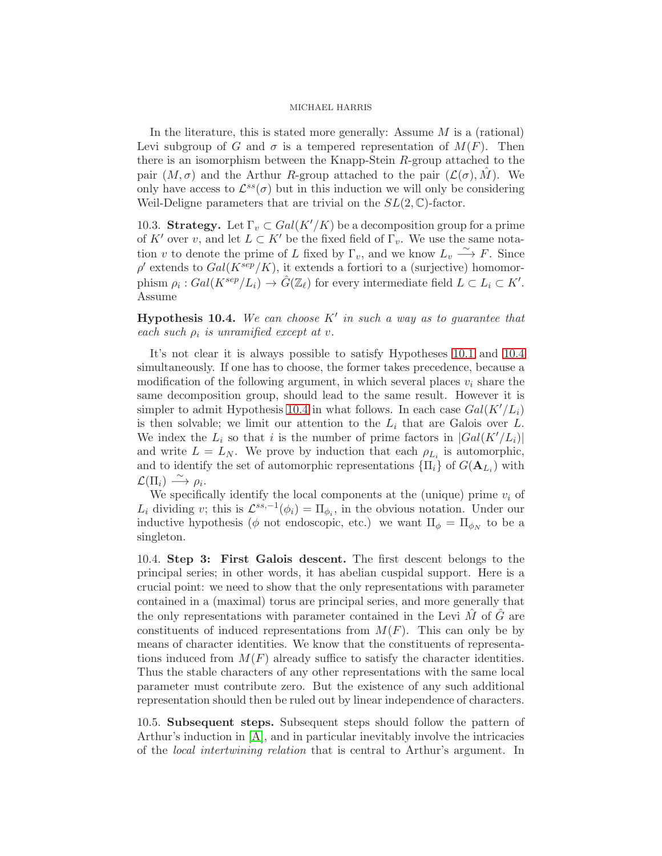In the literature, this is stated more generally: Assume  $M$  is a (rational) Levi subgroup of G and  $\sigma$  is a tempered representation of  $M(F)$ . Then there is an isomorphism between the Knapp-Stein R-group attached to the pair  $(M, \sigma)$  and the Arthur R-group attached to the pair  $(\mathcal{L}(\sigma), M)$ . We only have access to  $\mathcal{L}^{ss}(\sigma)$  but in this induction we will only be considering Weil-Deligne parameters that are trivial on the  $SL(2,\mathbb{C})$ -factor.

10.3. Strategy. Let  $\Gamma_v \subset Gal(K'/K)$  be a decomposition group for a prime of K' over v, and let  $L \subset K'$  be the fixed field of  $\Gamma_v$ . We use the same notation v to denote the prime of L fixed by  $\Gamma_v$ , and we know  $L_v \stackrel{\sim}{\longrightarrow} F$ . Since  $\rho'$  extends to  $Gal(K^{sep}/K)$ , it extends a fortiori to a (surjective) homomorphism  $\rho_i: Gal(K^{sep}/L_i) \to \hat{G}(\mathbb{Z}_\ell)$  for every intermediate field  $L \subset L_i \subset K'.$ Assume

<span id="page-47-0"></span>**Hypothesis 10.4.** We can choose  $K'$  in such a way as to guarantee that each such  $\rho_i$  is unramified except at v.

It's not clear it is always possible to satisfy Hypotheses [10.1](#page-46-0) and [10.4](#page-47-0) simultaneously. If one has to choose, the former takes precedence, because a modification of the following argument, in which several places  $v_i$  share the same decomposition group, should lead to the same result. However it is simpler to admit Hypothesis [10.4](#page-47-0) in what follows. In each case  $Gal(K'/L_i)$ is then solvable; we limit our attention to the  $L_i$  that are Galois over L. We index the  $L_i$  so that i is the number of prime factors in  $|Gal(K'/L_i)|$ and write  $L = L_N$ . We prove by induction that each  $\rho_{L_i}$  is automorphic, and to identify the set of automorphic representations  $\{\Pi_i\}$  of  $G(\mathbf{A}_{L_i})$  with  $\mathcal{L}(\Pi_i) \stackrel{\sim}{\longrightarrow} \rho_i.$ 

We specifically identify the local components at the (unique) prime  $v_i$  of  $L_i$  dividing v; this is  $\mathcal{L}^{ss,-1}(\phi_i) = \Pi_{\phi_i}$ , in the obvious notation. Under our inductive hypothesis ( $\phi$  not endoscopic, etc.) we want  $\Pi_{\phi} = \Pi_{\phi_N}$  to be a singleton.

10.4. Step 3: First Galois descent. The first descent belongs to the principal series; in other words, it has abelian cuspidal support. Here is a crucial point: we need to show that the only representations with parameter contained in a (maximal) torus are principal series, and more generally that the only representations with parameter contained in the Levi  $\hat{M}$  of  $\hat{G}$  are constituents of induced representations from  $M(F)$ . This can only be by means of character identities. We know that the constituents of representations induced from  $M(F)$  already suffice to satisfy the character identities. Thus the stable characters of any other representations with the same local parameter must contribute zero. But the existence of any such additional representation should then be ruled out by linear independence of characters.

10.5. Subsequent steps. Subsequent steps should follow the pattern of Arthur's induction in [\[A\]](#page-48-1), and in particular inevitably involve the intricacies of the local intertwining relation that is central to Arthur's argument. In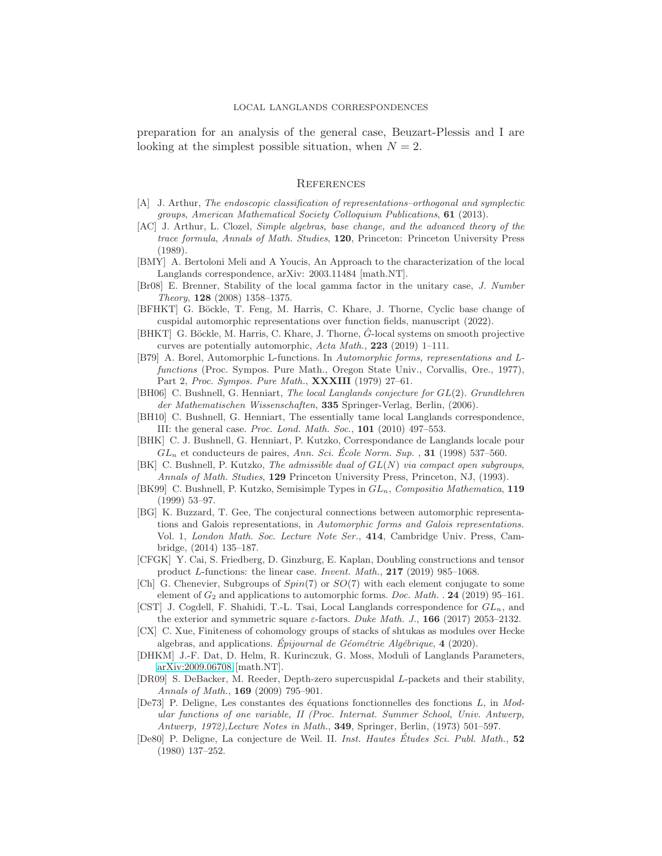preparation for an analysis of the general case, Beuzart-Plessis and I are looking at the simplest possible situation, when  $N = 2$ .

### **REFERENCES**

- <span id="page-48-1"></span>[A] J. Arthur, The endoscopic classification of representations–orthogonal and symplectic groups, American Mathematical Society Colloquium Publications, 61 (2013).
- <span id="page-48-9"></span>[AC] J. Arthur, L. Clozel, Simple algebras, base change, and the advanced theory of the trace formula, Annals of Math. Studies, 120, Princeton: Princeton University Press (1989).
- <span id="page-48-5"></span>[BMY] A. Bertoloni Meli and A Youcis, An Approach to the characterization of the local Langlands correspondence, arXiv: 2003.11484 [math.NT].
- <span id="page-48-19"></span>[Br08] E. Brenner, Stability of the local gamma factor in the unitary case, J. Number Theory, 128 (2008) 1358–1375.
- <span id="page-48-16"></span>[BFHKT] G. Böckle, T. Feng, M. Harris, C. Khare, J. Thorne, Cyclic base change of cuspidal automorphic representations over function fields, manuscript (2022).
- <span id="page-48-17"></span>[BHKT] G. Böckle, M. Harris, C. Khare, J. Thorne,  $\ddot{G}$ -local systems on smooth projective curves are potentially automorphic, Acta Math., 223 (2019) 1–111.
- <span id="page-48-2"></span>[B79] A. Borel, Automorphic L-functions. In Automorphic forms, representations and Lfunctions (Proc. Sympos. Pure Math., Oregon State Univ., Corvallis, Ore., 1977), Part 2, Proc. Sympos. Pure Math., XXXIII (1979) 27–61.
- <span id="page-48-3"></span>[BH06] C. Bushnell, G. Henniart, The local Langlands conjecture for GL(2). Grundlehren der Mathematischen Wissenschaften, 335 Springer-Verlag, Berlin, (2006).
- <span id="page-48-12"></span>[BH10] C. Bushnell, G. Henniart, The essentially tame local Langlands correspondence, III: the general case. Proc. Lond. Math. Soc., 101 (2010) 497–553.
- <span id="page-48-0"></span>[BHK] C. J. Bushnell, G. Henniart, P. Kutzko, Correspondance de Langlands locale pour  $GL_n$  et conducteurs de paires, Ann. Sci. École Norm. Sup., 31 (1998) 537–560.
- <span id="page-48-10"></span>[BK] C. Bushnell, P. Kutzko, *The admissible dual of*  $GL(N)$  *via compact open subgroups*, Annals of Math. Studies, 129 Princeton University Press, Princeton, NJ, (1993).
- <span id="page-48-11"></span>[BK99] C. Bushnell, P. Kutzko, Semisimple Types in  $GL_n$ , Compositio Mathematica, 119 (1999) 53–97.
- <span id="page-48-6"></span>[BG] K. Buzzard, T. Gee, The conjectural connections between automorphic representations and Galois representations, in Automorphic forms and Galois representations. Vol. 1, London Math. Soc. Lecture Note Ser., 414, Cambridge Univ. Press, Cambridge, (2014) 135–187.
- <span id="page-48-13"></span>[CFGK] Y. Cai, S. Friedberg, D. Ginzburg, E. Kaplan, Doubling constructions and tensor product L-functions: the linear case. Invent. Math., 217 (2019) 985–1068.
- <span id="page-48-14"></span>[Ch] G. Chenevier, Subgroups of  $Spin(7)$  or  $SO(7)$  with each element conjugate to some element of  $G_2$  and applications to automorphic forms. *Doc. Math.* . **24** (2019) 95–161.
- <span id="page-48-8"></span>[CST] J. Cogdell, F. Shahidi, T.-L. Tsai, Local Langlands correspondence for  $GL_n$ , and the exterior and symmetric square  $\varepsilon$ -factors. Duke Math. J., **166** (2017) 2053–2132.
- <span id="page-48-7"></span>[CX] C. Xue, Finiteness of cohomology groups of stacks of shtukas as modules over Hecke algebras, and applications. Epijournal de Géométrie Algébrique,  $4$  (2020).
- <span id="page-48-4"></span>[DHKM] J.-F. Dat, D. Helm, R. Kurinczuk, G. Moss, Moduli of Langlands Parameters, [arXiv:2009.06708](http://arxiv.org/abs/2009.06708) [math.NT].
- <span id="page-48-15"></span>[DR09] S. DeBacker, M. Reeder, Depth-zero supercuspidal L-packets and their stability, Annals of Math., 169 (2009) 795–901.
- <span id="page-48-18"></span>[De73] P. Deligne, Les constantes des équations fonctionnelles des fonctions  $L$ , in Modular functions of one variable, II (Proc. Internat. Summer School, Univ. Antwerp, Antwerp, 1972),Lecture Notes in Math., 349, Springer, Berlin, (1973) 501–597.
- <span id="page-48-20"></span>[De80] P. Deligne, La conjecture de Weil. II. Inst. Hautes Études Sci. Publ. Math., 52 (1980) 137–252.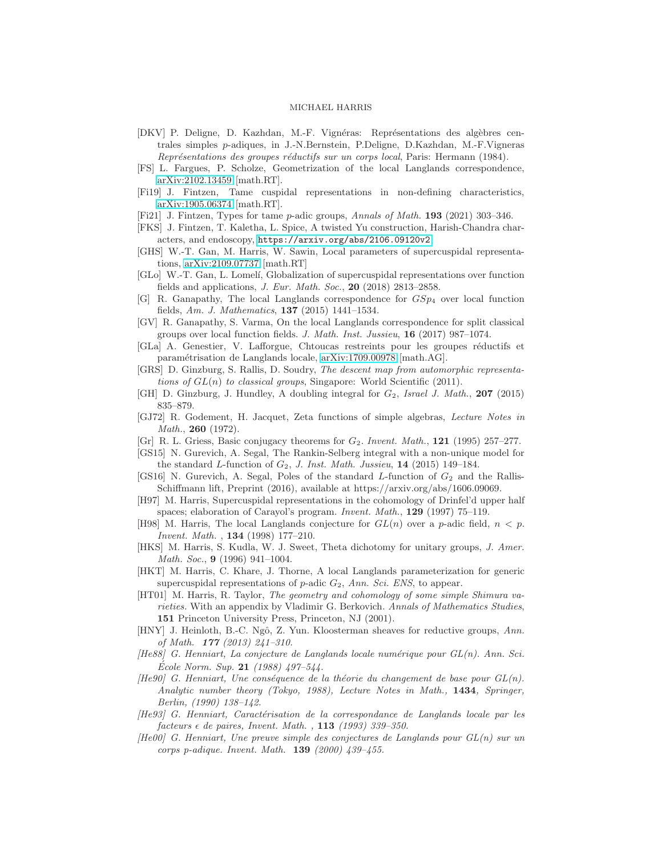- <span id="page-49-9"></span>[DKV] P. Deligne, D. Kazhdan, M.-F. Vignéras: Représentations des algèbres centrales simples p-adiques, in J.-N.Bernstein, P.Deligne, D.Kazhdan, M.-F.Vigneras Représentations des groupes réductifs sur un corps local, Paris: Hermann (1984).
- <span id="page-49-2"></span>[FS] L. Fargues, P. Scholze, Geometrization of the local Langlands correspondence, [arXiv:2102.13459](http://arxiv.org/abs/2102.13459) [math.RT].
- <span id="page-49-17"></span>[Fi19] J. Fintzen, Tame cuspidal representations in non-defining characteristics, [arXiv:1905.06374](http://arxiv.org/abs/1905.06374) [math.RT].
- <span id="page-49-3"></span>[Fi21] J. Fintzen, Types for tame p-adic groups, Annals of Math. 193 (2021) 303–346.
- <span id="page-49-18"></span>[FKS] J. Fintzen, T. Kaletha, L. Spice, A twisted Yu construction, Harish-Chandra characters, and endoscopy, <https://arxiv.org/abs/2106.09120v2>.
- <span id="page-49-0"></span>[GHS] W.-T. Gan, M. Harris, W. Sawin, Local parameters of supercuspidal representations, [arXiv:2109.07737](http://arxiv.org/abs/2109.07737) [math.RT]
- <span id="page-49-19"></span>[GLo] W.-T. Gan, L. Lomel´ı, Globalization of supercuspidal representations over function fields and applications, *J. Eur. Math. Soc.*, **20** (2018) 2813–2858.
- <span id="page-49-20"></span>[G] R. Ganapathy, The local Langlands correspondence for  $GSp<sub>4</sub>$  over local function fields, Am. J. Mathematics, 137 (2015) 1441–1534.
- <span id="page-49-8"></span>[GV] R. Ganapathy, S. Varma, On the local Langlands correspondence for split classical groups over local function fields. J. Math. Inst. Jussieu, 16 (2017) 987–1074.
- <span id="page-49-1"></span>[GLa] A. Genestier, V. Lafforgue, Chtoucas restreints pour les groupes réductifs et param´etrisation de Langlands locale, [arXiv:1709.00978](http://arxiv.org/abs/1709.00978) [math.AG].
- <span id="page-49-15"></span>[GRS] D. Ginzburg, S. Rallis, D. Soudry, The descent map from automorphic representations of  $GL(n)$  to classical groups, Singapore: World Scientific (2011).
- <span id="page-49-22"></span>[GH] D. Ginzburg, J. Hundley, A doubling integral for  $G_2$ , Israel J. Math., 207 (2015) 835–879.
- <span id="page-49-12"></span>[GJ72] R. Godement, H. Jacquet, Zeta functions of simple algebras, Lecture Notes in Math., **260** (1972).
- <span id="page-49-16"></span>[Gr] R. L. Griess, Basic conjugacy theorems for  $G_2$ . Invent. Math., 121 (1995) 257–277.
- <span id="page-49-23"></span>[GS15] N. Gurevich, A. Segal, The Rankin-Selberg integral with a non-unique model for the standard L-function of  $G_2$ , J. Inst. Math. Jussieu, 14 (2015) 149–184.
- <span id="page-49-24"></span>[GS16] N. Gurevich, A. Segal, Poles of the standard  $L$ -function of  $G_2$  and the Rallis-Schiffmann lift, Preprint (2016), available at https://arxiv.org/abs/1606.09069.
- <span id="page-49-4"></span>[H97] M. Harris, Supercuspidal representations in the cohomology of Drinfel'd upper half spaces; elaboration of Carayol's program. *Invent. Math.*, **129** (1997) 75–119.
- <span id="page-49-5"></span>[H98] M. Harris, The local Langlands conjecture for  $GL(n)$  over a p-adic field,  $n < p$ . Invent. Math. , 134 (1998) 177–210.
- <span id="page-49-21"></span>[HKS] M. Harris, S. Kudla, W. J. Sweet, Theta dichotomy for unitary groups, J. Amer. Math. Soc., 9 (1996) 941–1004.
- <span id="page-49-14"></span>[HKT] M. Harris, C. Khare, J. Thorne, A local Langlands parameterization for generic supercuspidal representations of  $p$ -adic  $G_2$ , Ann. Sci. ENS, to appear.
- <span id="page-49-6"></span>[HT01] M. Harris, R. Taylor, The geometry and cohomology of some simple Shimura varieties. With an appendix by Vladimir G. Berkovich. Annals of Mathematics Studies, 151 Princeton University Press, Princeton, NJ (2001).
- <span id="page-49-25"></span>[HNY] J. Heinloth, B.-C. Ngô, Z. Yun. Kloosterman sheaves for reductive groups, Ann. of Math. 177 (2013) 241–310.
- <span id="page-49-11"></span> $[He88]$  G. Henniart, La conjecture de Langlands locale numérique pour  $GL(n)$ . Ann. Sci. Ecole Norm. Sup.  $21$  (1988) 497–544.
- <span id="page-49-13"></span> $[He90]$  G. Henniart, Une conséquence de la théorie du changement de base pour  $GL(n)$ . Analytic number theory (Tokyo, 1988), Lecture Notes in Math., 1434, Springer, Berlin, (1990) 138–142.
- <span id="page-49-10"></span> $[He93]$  G. Henniart, Caractérisation de la correspondance de Langlands locale par les  $factors \in de \,\, pairs, \,\, Invent. \,\, Math. \,\, , \,\, {\bf 113} \,\, (1993) \,\, 339-350.$
- <span id="page-49-7"></span> $[He00]$  G. Henniart, Une preuve simple des conjectures de Langlands pour  $GL(n)$  sur un corps p-adique. Invent. Math. 139 (2000) 439–455.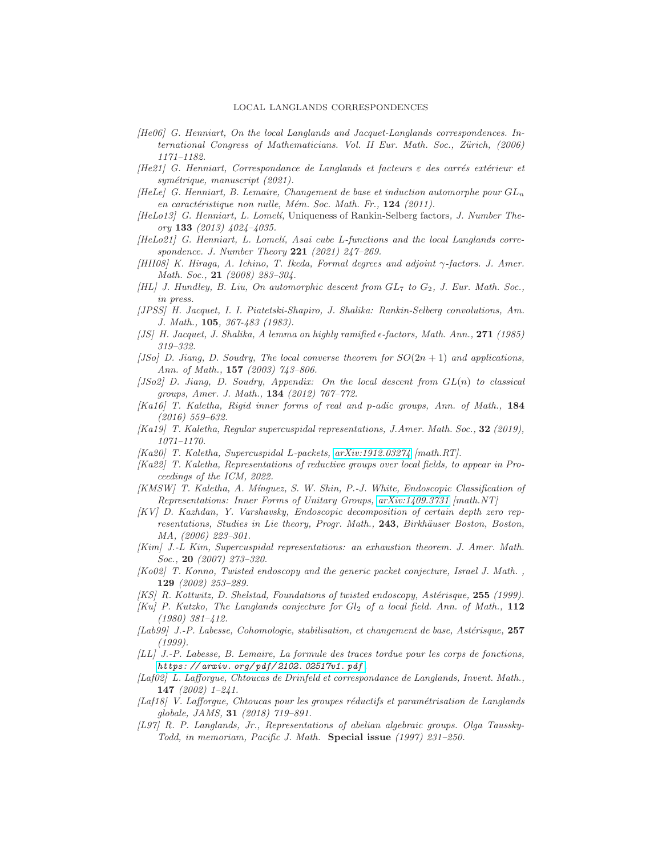- [He06] G. Henniart, On the local Langlands and Jacquet-Langlands correspondences. International Congress of Mathematicians. Vol. II Eur. Math. Soc., Zürich, (2006) 1171–1182.
- <span id="page-50-12"></span>[He21] G. Henniart, Correspondance de Langlands et facteurs  $\varepsilon$  des carrés extérieur et symétrique, manuscript (2021).
- <span id="page-50-18"></span>[HeLe] G. Henniart, B. Lemaire, Changement de base et induction automorphe pour  $GL_n$ en caractéristique non nulle, Mém. Soc. Math. Fr.,  $124$  (2011).
- <span id="page-50-21"></span> $[HeLo13]$  G. Henniart, L. Lomelí, Uniqueness of Rankin-Selberg factors, J. Number Theory 133 (2013) 4024–4035.
- <span id="page-50-11"></span> $[HeLo21]$  G. Henniart, L. Lomelí, Asai cube L-functions and the local Langlands correspondence. J. Number Theory 221 (2021) 247–269.
- [HII08] K. Hiraga, A. Ichino, T. Ikeda, Formal degrees and adjoint γ-factors. J. Amer. Math. Soc., 21 (2008) 283–304.
- [HL] J. Hundley, B. Liu, On automorphic descent from  $GL_7$  to  $G_2$ , J. Eur. Math. Soc., in press.
- <span id="page-50-10"></span>[JPSS] H. Jacquet, I. I. Piatetski-Shapiro, J. Shalika: Rankin-Selberg convolutions, Am. J. Math., 105, 367-483 (1983).
- <span id="page-50-20"></span>[JS] H. Jacquet, J. Shalika, A lemma on highly ramified  $\epsilon$ -factors, Math. Ann., 271 (1985) 319–332.
- <span id="page-50-14"></span>[JSo] D. Jiang, D. Soudry, The local converse theorem for  $SO(2n+1)$  and applications, Ann. of Math., 157 (2003) 743–806.
- <span id="page-50-15"></span> $[JSo2]$  D. Jiang, D. Soudry, Appendix: On the local descent from  $GL(n)$  to classical groups, Amer. J. Math., 134 (2012) 767–772.
- <span id="page-50-6"></span>[Ka16] T. Kaletha, Rigid inner forms of real and p-adic groups, Ann. of Math., 184 (2016) 559–632.
- <span id="page-50-0"></span>[Ka19] T. Kaletha, Regular supercuspidal representations, J.Amer. Math. Soc., 32 (2019), 1071–1170.
- <span id="page-50-5"></span>[Ka20] T. Kaletha, Supercuspidal L-packets, [arXiv:1912.03274](http://arxiv.org/abs/1912.03274) [math.RT].
- <span id="page-50-8"></span>[Ka22] T. Kaletha, Representations of reductive groups over local fields, to appear in Proceedings of the ICM, 2022.
- <span id="page-50-3"></span>[KMSW] T. Kaletha, A. M´ınguez, S. W. Shin, P.-J. White, Endoscopic Classification of Representations: Inner Forms of Unitary Groups, [arXiv:1409.3731](http://arxiv.org/abs/1409.3731) [math.NT]
- <span id="page-50-16"></span>[KV] D. Kazhdan, Y. Varshavsky, Endoscopic decomposition of certain depth zero representations, Studies in Lie theory, Progr. Math., 243, Birkhäuser Boston, Boston, MA, (2006) 223–301.
- <span id="page-50-1"></span>[Kim] J.-L Kim, Supercuspidal representations: an exhaustion theorem. J. Amer. Math. Soc., 20 (2007) 273–320.
- [Ko02] T. Konno, Twisted endoscopy and the generic packet conjecture, Israel J. Math. , 129 (2002) 253–289.
- <span id="page-50-9"></span>[KS] R. Kottwitz, D. Shelstad, Foundations of twisted endoscopy, Astérisque, 255 (1999).
- <span id="page-50-13"></span>[Ku] P. Kutzko, The Langlands conjecture for  $Gl_2$  of a local field. Ann. of Math., 112 (1980) 381–412.
- <span id="page-50-19"></span> $[Lab99]$  J.-P. Labesse, Cohomologie, stabilisation, et changement de base, Astérisque, 257 (1999).
- <span id="page-50-17"></span>[LL] J.-P. Labesse, B. Lemaire, La formule des traces tordue pour les corps de fonctions, *[https: // arxiv. org/ pdf/ 2102. 02517v1. pdf](https://arxiv.org/pdf/2102.02517v1.pdf)* .
- <span id="page-50-2"></span>[Laf02] L. Lafforgue, Chtoucas de Drinfeld et correspondance de Langlands, Invent. Math., 147 (2002) 1–241.
- <span id="page-50-4"></span>[Laf18] V. Lafforgue, Chtoucas pour les groupes réductifs et paramétrisation de Langlands globale, JAMS, 31 (2018) 719–891.
- <span id="page-50-7"></span>[L97] R. P. Langlands, Jr., Representations of abelian algebraic groups. Olga Taussky-Todd, in memoriam, Pacific J. Math. Special issue (1997) 231-250.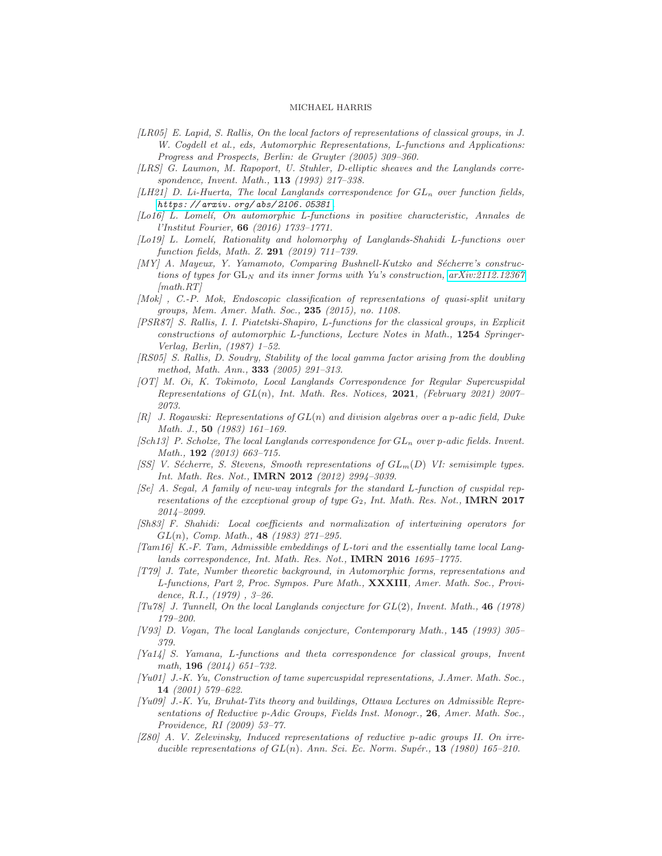- <span id="page-51-19"></span>[LR05] E. Lapid, S. Rallis, On the local factors of representations of classical groups, in J. W. Cogdell et al., eds, Automorphic Representations, L-functions and Applications: Progress and Prospects, Berlin: de Gruyter (2005) 309–360.
- <span id="page-51-1"></span>[LRS] G. Laumon, M. Rapoport, U. Stuhler, D-elliptic sheaves and the Langlands correspondence, Invent. Math., 113 (1993) 217–338.
- <span id="page-51-11"></span>[LH21] D. Li-Huerta, The local Langlands correspondence for  $GL_n$  over function fields, *[https: // arxiv. org/ abs/ 2106. 05381](https://arxiv.org/abs/2106.05381)* .
- <span id="page-51-17"></span>[Lo16] L. Lomel´ı, On automorphic L-functions in positive characteristic, Annales de l'Institut Fourier, 66 (2016) 1733–1771.
- [Lo19] L. Lomel´ı, Rationality and holomorphy of Langlands-Shahidi L-functions over function fields, Math. Z. 291 (2019) 711–739.
- <span id="page-51-15"></span> $[MY]$  A. Mayeux, Y. Yamamoto, Comparing Bushnell-Kutzko and Sécherre's constructions of types for  $GL_N$  and its inner forms with Yu's construction, [arXiv:2112.12367](http://arxiv.org/abs/2112.12367)  $[math, RT]$
- <span id="page-51-4"></span>[Mok] , C.-P. Mok, Endoscopic classification of representations of quasi-split unitary groups, Mem. Amer. Math. Soc., 235 (2015), no. 1108.
- <span id="page-51-18"></span>[PSR87] S. Rallis, I. I. Piatetski-Shapiro, L-functions for the classical groups, in Explicit constructions of automorphic L-functions, Lecture Notes in Math., 1254 Springer-Verlag, Berlin, (1987) 1–52.
- <span id="page-51-14"></span>[RS05] S. Rallis, D. Soudry, Stability of the local gamma factor arising from the doubling method, Math. Ann., 333 (2005) 291–313.
- <span id="page-51-6"></span>[OT] M. Oi, K. Tokimoto, Local Langlands Correspondence for Regular Supercuspidal Representations of  $GL(n)$ , Int. Math. Res. Notices, 2021, (February 2021) 2007– 2073.
- <span id="page-51-5"></span> $[R]$  J. Rogawski: Representations of  $GL(n)$  and division algebras over a p-adic field, Duke Math. J., 50 (1983) 161–169.
- <span id="page-51-3"></span>[Sch13] P. Scholze, The local Langlands correspondence for  $GL_n$  over p-adic fields. Invent. Math., **192** (2013) 663-715.
- <span id="page-51-13"></span>[SS] V. Sécherre, S. Stevens, Smooth representations of  $GL_m(D)$  VI: semisimple types. Int. Math. Res. Not., IMRN 2012 (2012) 2994–3039.
- <span id="page-51-21"></span>[Se] A. Segal, A family of new-way integrals for the standard L-function of cuspidal representations of the exceptional group of type  $G_2$ , Int. Math. Res. Not., IMRN 2017 2014–2099.
- <span id="page-51-9"></span>[Sh83] F. Shahidi: Local coefficients and normalization of intertwining operators for  $GL(n)$ , Comp. Math., **48** (1983) 271-295.
- <span id="page-51-12"></span> $[Tam16]$  K.-F. Tam, Admissible embeddings of L-tori and the essentially tame local Langlands correspondence, Int. Math. Res. Not., **IMRN 2016** 1695-1775.
- <span id="page-51-7"></span>[T79] J. Tate, Number theoretic background, in Automorphic forms, representations and L-functions, Part 2, Proc. Sympos. Pure Math., XXXIII, Amer. Math. Soc., Providence, R.I., (1979) , 3–26.
- <span id="page-51-10"></span>[Tu78] J. Tunnell, On the local Langlands conjecture for  $GL(2)$ , Invent. Math., 46 (1978) 179–200.
- <span id="page-51-8"></span>[V93] D. Vogan, The local Langlands conjecture, Contemporary Math., 145 (1993) 305– 379.
- <span id="page-51-20"></span>[Ya14] S. Yamana, L-functions and theta correspondence for classical groups, Invent math, 196 (2014) 651–732.
- <span id="page-51-0"></span>[Yu01] J.-K. Yu, Construction of tame supercuspidal representations, J.Amer. Math. Soc., 14 (2001) 579–622.
- <span id="page-51-16"></span>[Yu09] J.-K. Yu, Bruhat-Tits theory and buildings, Ottawa Lectures on Admissible Representations of Reductive p-Adic Groups, Fields Inst. Monogr., 26, Amer. Math. Soc., Providence, RI (2009) 53–77.
- <span id="page-51-2"></span>[Z80] A. V. Zelevinsky, Induced representations of reductive p-adic groups II. On irreducible representations of  $GL(n)$ . Ann. Sci. Ec. Norm. Supér., 13 (1980) 165–210.